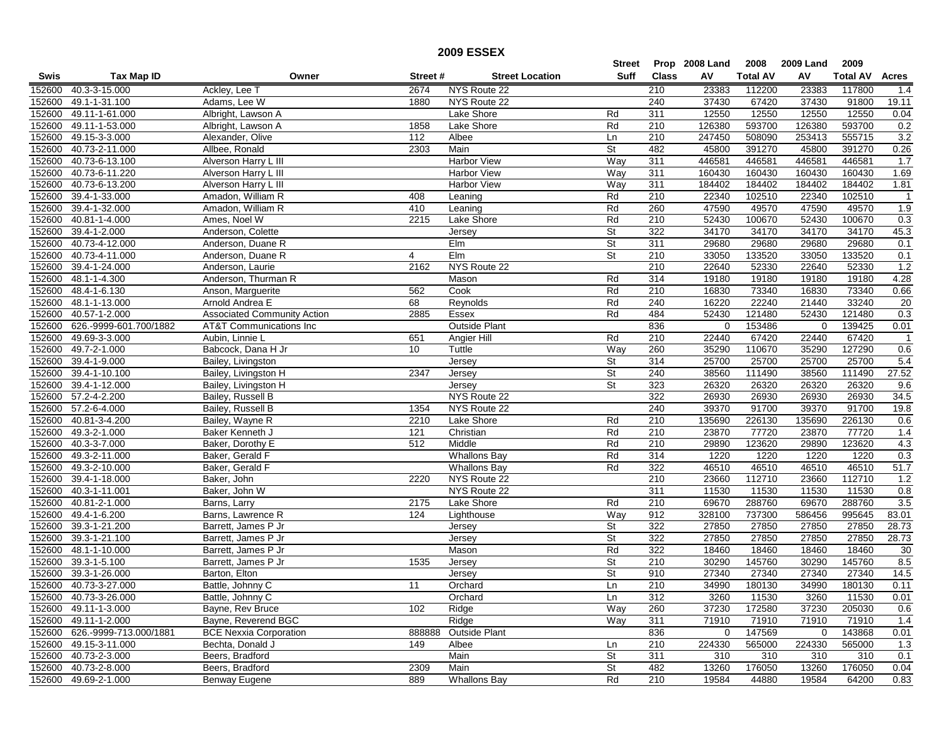## **2009 ESSEX**

|        |                        |                                    |          |                        | Street      |              | Prop 2008 Land | 2008            | 2009 Land   | 2009            |                |
|--------|------------------------|------------------------------------|----------|------------------------|-------------|--------------|----------------|-----------------|-------------|-----------------|----------------|
| Swis   | <b>Tax Map ID</b>      | Owner                              | Street # | <b>Street Location</b> | <b>Suff</b> | <b>Class</b> | A٧             | <b>Total AV</b> | AV          | <b>Total AV</b> | Acres          |
| 152600 | 40.3-3-15.000          | Ackley, Lee T                      | 2674     | NYS Route 22           |             | 210          | 23383          | 112200          | 23383       | 117800          | 1.4            |
| 152600 | 49.1-1-31.100          | Adams, Lee W                       | 1880     | NYS Route 22           |             | 240          | 37430          | 67420           | 37430       | 91800           | 19.11          |
| 152600 | 49.11-1-61.000         | Albright, Lawson A                 |          | Lake Shore             | Rd          | 311          | 12550          | 12550           | 12550       | 12550           | 0.04           |
| 152600 | 49.11-1-53.000         | Albright, Lawson A                 | 1858     | Lake Shore             | Rd          | 210          | 126380         | 593700          | 126380      | 593700          | 0.2            |
| 152600 | 49.15-3-3.000          | Alexander, Olive                   | 112      | Albee                  | Ln          | 210          | 247450         | 508090          | 253413      | 555715          | 3.2            |
| 152600 | 40.73-2-11.000         | Allbee, Ronald                     | 2303     | Main                   | St          | 482          | 45800          | 391270          | 45800       | 391270          | 0.26           |
| 152600 | 40.73-6-13.100         | Alverson Harry L III               |          | Harbor View            | Way         | 311          | 446581         | 446581          | 446581      | 446581          | 1.7            |
| 152600 | 40.73-6-11.220         | Alverson Harry L III               |          | Harbor View            | Way         | 311          | 160430         | 160430          | 160430      | 160430          | 1.69           |
| 152600 | 40.73-6-13.200         | Alverson Harry L III               |          | Harbor View            | Way         | 311          | 184402         | 184402          | 184402      | 184402          | 1.81           |
| 152600 | 39.4-1-33.000          | Amadon, William R                  | 408      | Leaning                | Rd          | 210          | 22340          | 102510          | 22340       | 102510          | $\overline{1}$ |
| 152600 | 39.4-1-32.000          | Amadon, William R                  | 410      | Leaning                | Rd          | 260          | 47590          | 49570           | 47590       | 49570           | 1.9            |
| 152600 | 40.81-1-4.000          | Ames, Noel W                       | 2215     | Lake Shore             | Rd          | 210          | 52430          | 100670          | 52430       | 100670          | 0.3            |
| 152600 | 39.4-1-2.000           | Anderson, Colette                  |          | Jersey                 | St          | 322          | 34170          | 34170           | 34170       | 34170           | 45.3           |
| 152600 | 40.73-4-12.000         | Anderson, Duane R                  |          | EIm                    | St          | 311          | 29680          | 29680           | 29680       | 29680           | 0.1            |
| 152600 | 40.73-4-11.000         | Anderson, Duane R                  | 4        | Elm                    | St          | 210          | 33050          | 133520          | 33050       | 133520          | 0.1            |
| 152600 | 39.4-1-24.000          | Anderson, Laurie                   | 2162     | NYS Route 22           |             | 210          | 22640          | 52330           | 22640       | 52330           | 1.2            |
| 152600 | 48.1-1-4.300           | Anderson, Thurman R                |          | Mason                  | Rd          | 314          | 19180          | 19180           | 19180       | 19180           | 4.28           |
| 152600 | 48.4-1-6.130           | Anson, Marquerite                  | 562      | Cook                   | Rd          | 210          | 16830          | 73340           | 16830       | 73340           | 0.66           |
| 152600 | 48.1-1-13.000          | Arnold Andrea E                    | 68       | Reynolds               | Rd          | 240          | 16220          | 22240           | 21440       | 33240           | 20             |
| 152600 | 40.57-1-2.000          | <b>Associated Community Action</b> | 2885     | Essex                  | Rd          | 484          | 52430          | 121480          | 52430       | 121480          | 0.3            |
| 152600 | 626.-9999-601.700/1882 | <b>AT&amp;T</b> Communications Inc |          | <b>Outside Plant</b>   |             | 836          | $\mathbf 0$    | 153486          | $\mathbf 0$ | 139425          | 0.01           |
| 152600 | 49.69-3-3.000          | Aubin, Linnie L                    | 651      | <b>Angier Hill</b>     | Rd          | 210          | 22440          | 67420           | 22440       | 67420           | $\overline{1}$ |
| 152600 | 49.7-2-1.000           | Babcock, Dana H Jr                 | 10       | Tuttle                 | Way         | 260          | 35290          | 110670          | 35290       | 127290          | 0.6            |
| 152600 | 39.4-1-9.000           | Bailey, Livingston                 |          | Jersey                 | St          | 314          | 25700          | 25700           | 25700       | 25700           | 5.4            |
| 152600 | 39.4-1-10.100          | Bailey, Livingston H               | 2347     | Jersey                 | St          | 240          | 38560          | 111490          | 38560       | 111490          | 27.52          |
| 152600 | 39.4-1-12.000          | Bailey, Livingston H               |          | Jersey                 | St          | 323          | 26320          | 26320           | 26320       | 26320           | 9.6            |
| 152600 | 57.2-4-2.200           | Bailey, Russell B                  |          | NYS Route 22           |             | 322          | 26930          | 26930           | 26930       | 26930           | 34.5           |
| 152600 | 57.2-6-4.000           | Bailey, Russell B                  | 1354     | NYS Route 22           |             | 240          | 39370          | 91700           | 39370       | 91700           | 19.8           |
| 152600 | 40.81-3-4.200          | Bailey, Wayne R                    | 2210     | Lake Shore             | Rd          | 210          | 135690         | 226130          | 135690      | 226130          | 0.6            |
| 152600 | 49.3-2-1.000           | Baker Kenneth J                    | 121      | Christian              | Rd          | 210          | 23870          | 77720           | 23870       | 77720           | 1.4            |
| 152600 | 40.3-3-7.000           | Baker, Dorothy E                   | 512      | Middle                 | Rd          | 210          | 29890          | 123620          | 29890       | 123620          | 4.3            |
| 152600 | 49.3-2-11.000          | Baker, Gerald F                    |          | <b>Whallons Bay</b>    | Rd          | 314          | 1220           | 1220            | 1220        | 1220            | 0.3            |
| 152600 | 49.3-2-10.000          | Baker, Gerald F                    |          | <b>Whallons Bay</b>    | Rd          | 322          | 46510          | 46510           | 46510       | 46510           | 51.7           |
| 152600 | 39.4-1-18.000          | Baker, John                        | 2220     | NYS Route 22           |             | 210          | 23660          | 112710          | 23660       | 112710          | 1.2            |
| 152600 | 40.3-1-11.001          | Baker, John W                      |          | NYS Route 22           |             | 311          | 11530          | 11530           | 11530       | 11530           | 0.8            |
| 152600 | 40.81-2-1.000          | Barns, Larry                       | 2175     | Lake Shore             | Rd          | 210          | 69670          | 288760          | 69670       | 288760          | 3.5            |
| 152600 | 49.4-1-6.200           | Barns, Lawrence R                  | 124      | Lighthouse             | Way         | 912          | 328100         | 737300          | 586456      | 995645          | 83.01          |
| 152600 | 39.3-1-21.200          | Barrett, James P Jr                |          | Jersey                 | St          | 322          | 27850          | 27850           | 27850       | 27850           | 28.73          |
| 152600 | 39.3-1-21.100          | Barrett, James P Jr                |          | Jersey                 | St          | 322          | 27850          | 27850           | 27850       | 27850           | 28.73          |
| 152600 | 48.1-1-10.000          | Barrett, James P Jr                |          | Mason                  | Rd          | 322          | 18460          | 18460           | 18460       | 18460           | 30             |
| 152600 | 39.3-1-5.100           | Barrett, James P Jr                | 1535     | Jersey                 | St          | 210          | 30290          | 145760          | 30290       | 145760          | 8.5            |
| 152600 | 39.3-1-26.000          | Barton, Elton                      |          | Jersey                 | St          | 910          | 27340          | 27340           | 27340       | 27340           | 14.5           |
| 152600 | 40.73-3-27.000         | Battle, Johnny C                   | 11       | Orchard                | Ln          | 210          | 34990          | 180130          | 34990       | 180130          | 0.11           |
|        | 152600 40.73-3-26.000  | Battle, Johnny C                   |          | Orchard                | Ln          | 312          | 3260           | 11530           | 3260        | 11530           | 0.01           |
| 152600 | 49.11-1-3.000          | Bayne, Rev Bruce                   | 102      | Ridge                  | Way         | 260          | 37230          | 172580          | 37230       | 205030          | 0.6            |
|        | 152600 49.11-1-2.000   | Bayne, Reverend BGC                |          | Ridge                  | Way         | 311          | 71910          | 71910           | 71910       | 71910           | 1.4            |
| 152600 | 626.-9999-713.000/1881 | <b>BCE Nexxia Corporation</b>      | 888888   | Outside Plant          |             | 836          | $\mathbf{0}$   | 147569          | 0           | 143868          | 0.01           |
| 152600 | 49.15-3-11.000         | Bechta, Donald J                   | 149      | Albee                  | Ln          | 210          | 224330         | 565000          | 224330      | 565000          | 1.3            |
|        | 152600 40.73-2-3.000   | Beers, Bradford                    |          | Main                   | St          | 311          | 310            | 310             | 310         | 310             | 0.1            |
| 152600 | 40.73-2-8.000          | Beers, Bradford                    | 2309     | Main                   | St          | 482          | 13260          | 176050          | 13260       | 176050          | 0.04           |
|        | 152600 49.69-2-1.000   | Benway Eugene                      | 889      | <b>Whallons Bay</b>    | Rd          | 210          | 19584          | 44880           | 19584       | 64200           | 0.83           |
|        |                        |                                    |          |                        |             |              |                |                 |             |                 |                |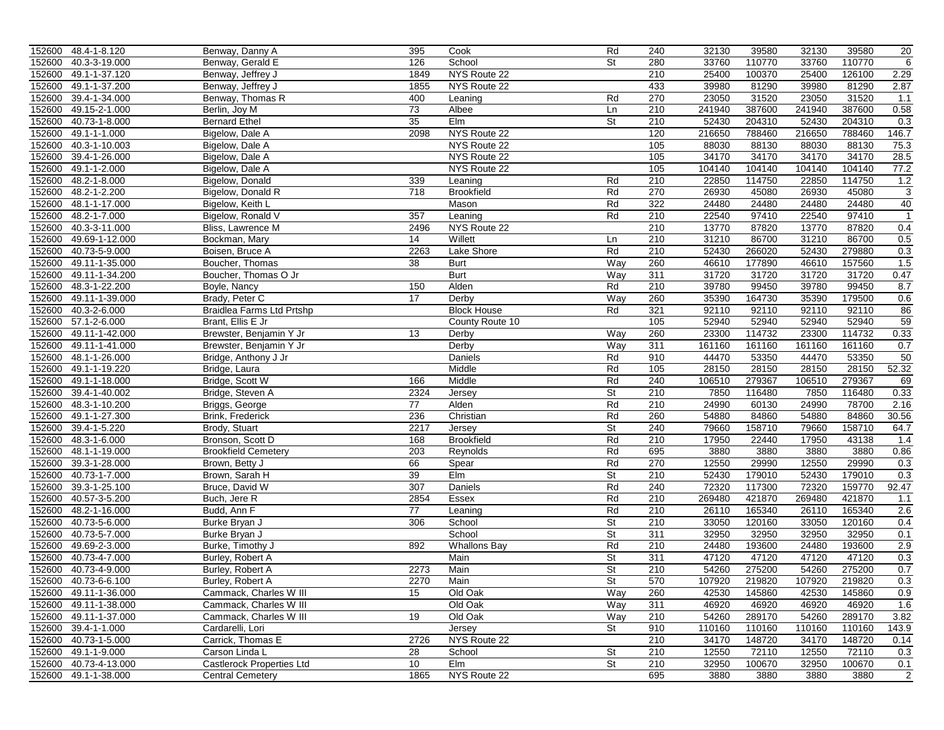|        | 152600 48.4-1-8.120   | Benway, Danny A                  | 395              | Cook                | Rd                       | 240 | 32130  | 39580  | 32130  | 39580  | 20             |
|--------|-----------------------|----------------------------------|------------------|---------------------|--------------------------|-----|--------|--------|--------|--------|----------------|
| 152600 | 40.3-3-19.000         | Benway, Gerald E                 | 126              | School              | St                       | 280 | 33760  | 110770 | 33760  | 110770 | 6              |
| 152600 | 49.1-1-37.120         | Benway, Jeffrey J                | 1849             | NYS Route 22        |                          | 210 | 25400  | 100370 | 25400  | 126100 | 2.29           |
| 152600 | 49.1-1-37.200         | Benway, Jeffrey J                | 1855             | NYS Route 22        |                          | 433 | 39980  | 81290  | 39980  | 81290  | 2.87           |
| 152600 | 39.4-1-34.000         | Benway, Thomas R                 | 400              | Leaning             | Rd                       | 270 | 23050  | 31520  | 23050  | 31520  | 1.1            |
| 152600 | 49.15-2-1.000         | Berlin, Joy M                    | 73               | Albee               | Ln                       | 210 | 241940 | 387600 | 241940 | 387600 | 0.58           |
| 152600 | 40.73-1-8.000         | <b>Bernard Ethel</b>             | 35               | Elm                 | St                       | 210 | 52430  | 204310 | 52430  | 204310 | 0.3            |
| 152600 | 49.1-1-1.000          | Bigelow, Dale A                  | 2098             | NYS Route 22        |                          | 120 | 216650 | 788460 | 216650 | 788460 | 146.7          |
| 152600 | 40.3-1-10.003         | Bigelow, Dale A                  |                  | NYS Route 22        |                          | 105 | 88030  | 88130  | 88030  | 88130  | 75.3           |
| 152600 | 39.4-1-26.000         | Bigelow, Dale A                  |                  | NYS Route 22        |                          | 105 | 34170  | 34170  | 34170  | 34170  | 28.5           |
| 152600 | 49.1-1-2.000          | Bigelow, Dale A                  |                  | NYS Route 22        |                          | 105 | 104140 | 104140 | 104140 | 104140 | 77.2           |
| 152600 | 48.2-1-8.000          | Bigelow, Donald                  | 339              | Leaning             | Rd                       | 210 | 22850  | 114750 | 22850  | 114750 | 1.2            |
| 152600 | 48.2-1-2.200          | Bigelow, Donald R                | $\overline{718}$ | <b>Brookfield</b>   | Rd                       | 270 | 26930  | 45080  | 26930  | 45080  | $\overline{3}$ |
| 152600 | 48.1-1-17.000         | Bigelow, Keith L                 |                  | Mason               | Rd                       | 322 | 24480  | 24480  | 24480  | 24480  | 40             |
| 152600 | 48.2-1-7.000          | Bigelow, Ronald V                | 357              | Leaning             | Rd                       | 210 | 22540  | 97410  | 22540  | 97410  | $\overline{1}$ |
| 152600 | 40.3-3-11.000         | Bliss, Lawrence M                | 2496             | NYS Route 22        |                          | 210 | 13770  | 87820  | 13770  | 87820  | 0.4            |
| 152600 | 49.69-1-12.000        | Bockman, Mary                    | 14               | Willett             | Ln                       | 210 | 31210  | 86700  | 31210  | 86700  | 0.5            |
| 152600 | 40.73-5-9.000         | Boisen, Bruce A                  | 2263             | Lake Shore          | Rd                       | 210 | 52430  | 266020 | 52430  | 279880 | 0.3            |
| 152600 | 49.11-1-35.000        | Boucher, Thomas                  | 38               | <b>Burt</b>         | Way                      | 260 | 46610  | 177890 | 46610  | 157560 | 1.5            |
| 152600 | 49.11-1-34.200        | Boucher, Thomas O Jr             |                  | <b>Burt</b>         | Way                      | 311 | 31720  | 31720  | 31720  | 31720  | 0.47           |
| 152600 | 48.3-1-22.200         | Boyle, Nancy                     | 150              | Alden               | Rd                       | 210 | 39780  | 99450  | 39780  | 99450  | 8.7            |
| 152600 | 49.11-1-39.000        | Brady, Peter C                   | 17               | Derby               | Way                      | 260 | 35390  | 164730 | 35390  | 179500 | 0.6            |
| 152600 | 40.3-2-6.000          | Braidlea Farms Ltd Prtshp        |                  | <b>Block House</b>  | Rd                       | 321 | 92110  | 92110  | 92110  | 92110  | 86             |
|        | 152600 57.1-2-6.000   | Brant, Ellis E Jr                |                  | County Route 10     |                          | 105 | 52940  | 52940  | 52940  | 52940  | 59             |
| 152600 | 49.11-1-42.000        | Brewster, Benjamin Y Jr          | 13               | Derby               | Way                      | 260 | 23300  | 114732 | 23300  | 114732 | 0.33           |
| 152600 | 49.11-1-41.000        | Brewster, Benjamin Y Jr          |                  | Derby               | Way                      | 311 | 161160 | 161160 | 161160 | 161160 | 0.7            |
| 152600 | 48.1-1-26.000         | Bridge, Anthony J Jr             |                  | Daniels             | Rd                       | 910 | 44470  | 53350  | 44470  | 53350  | 50             |
| 152600 | 49.1-1-19.220         | Bridge, Laura                    |                  | Middle              | Rd                       | 105 | 28150  | 28150  | 28150  | 28150  | 52.32          |
| 152600 | 49.1-1-18.000         | Bridge, Scott W                  | 166              | Middle              | Rd                       | 240 | 106510 | 279367 | 106510 | 279367 | 69             |
| 152600 | 39.4-1-40.002         | Bridge, Steven A                 | 2324             | Jersey              | St                       | 210 | 7850   | 116480 | 7850   | 116480 | 0.33           |
| 152600 | 48.3-1-10.200         | Briggs, George                   | 77               | Alden               | Rd                       | 210 | 24990  | 60130  | 24990  | 78700  | 2.16           |
| 152600 | 49.1-1-27.300         | Brink, Frederick                 | 236              | Christian           | Rd                       | 260 | 54880  | 84860  | 54880  | 84860  | 30.56          |
| 152600 | 39.4-1-5.220          | Brody, Stuart                    | 2217             | Jersey              | <b>St</b>                | 240 | 79660  | 158710 | 79660  | 158710 | 64.7           |
| 152600 | 48.3-1-6.000          | Bronson, Scott D                 | 168              | <b>Brookfield</b>   | Rd                       | 210 | 17950  | 22440  | 17950  | 43138  | 1.4            |
| 152600 | 48.1-1-19.000         | <b>Brookfield Cemetery</b>       | 203              | Reynolds            | Rd                       | 695 | 3880   | 3880   | 3880   | 3880   | 0.86           |
| 152600 | 39.3-1-28.000         | Brown, Betty J                   | 66               | Spear               | Rd                       | 270 | 12550  | 29990  | 12550  | 29990  | 0.3            |
| 152600 | 40.73-1-7.000         | Brown, Sarah H                   | 39               | Elm                 | St                       | 210 | 52430  | 179010 | 52430  | 179010 | 0.3            |
| 152600 | 39.3-1-25.100         | Bruce, David W                   | 307              | Daniels             | Rd                       | 240 | 72320  | 117300 | 72320  | 159770 | 92.47          |
| 152600 | 40.57-3-5.200         | Buch, Jere R                     | 2854             | Essex               | Rd                       | 210 | 269480 | 421870 | 269480 | 421870 | 1.1            |
| 152600 | 48.2-1-16.000         | Budd, Ann F                      | 77               | Leaning             | Rd                       | 210 | 26110  | 165340 | 26110  | 165340 | 2.6            |
| 152600 | 40.73-5-6.000         | Burke Bryan J                    | 306              | School              | St                       | 210 | 33050  | 120160 | 33050  | 120160 | 0.4            |
| 152600 | 40.73-5-7.000         | Burke Bryan J                    |                  | School              | St                       | 311 | 32950  | 32950  | 32950  | 32950  | 0.1            |
| 152600 | 49.69-2-3.000         | Burke, Timothy J                 | 892              | <b>Whallons Bay</b> | Rd                       | 210 | 24480  | 193600 | 24480  | 193600 |                |
| 152600 | 40.73-4-7.000         | Burley, Robert A                 |                  | Main                | St                       | 311 | 47120  | 47120  | 47120  | 47120  | 2.9<br>0.3     |
|        | 40.73-4-9.000         |                                  | 2273             | Main                | St                       | 210 | 54260  | 275200 | 54260  | 275200 | 0.7            |
| 152600 |                       | Burley, Robert A                 |                  |                     |                          |     |        |        |        |        |                |
|        | 152600 40.73-6-6.100  | Burley, Robert A                 | 2270             | Main                | St                       | 570 | 107920 | 219820 | 107920 | 219820 | 0.3            |
|        | 152600 49.11-1-36.000 | Cammack, Charles W III           | 15               | Old Oak             | Way                      | 260 | 42530  | 145860 | 42530  | 145860 | 0.9            |
|        | 152600 49.11-1-38.000 | Cammack, Charles W III           |                  | Old Oak             | Way                      | 311 | 46920  | 46920  | 46920  | 46920  | 1.6            |
|        | 152600 49.11-1-37.000 | Cammack, Charles W III           | 19               | Old Oak             | <b>Way</b>               | 210 | 54260  | 289170 | 54260  | 289170 | 3.82           |
|        | 152600 39.4-1-1.000   | Cardarelli, Lori                 |                  | Jersey              | $\overline{\mathsf{St}}$ | 910 | 110160 | 110160 | 110160 | 110160 | 143.9          |
|        | 152600 40.73-1-5.000  | Carrick, Thomas E                | 2726             | NYS Route 22        |                          | 210 | 34170  | 148720 | 34170  | 148720 | 0.14           |
|        | 152600 49.1-1-9.000   | Carson Linda L                   | 28               | School              | St                       | 210 | 12550  | 72110  | 12550  | 72110  | 0.3            |
|        | 152600 40.73-4-13.000 | <b>Castlerock Properties Ltd</b> | 10 <sup>1</sup>  | Elm                 | St                       | 210 | 32950  | 100670 | 32950  | 100670 | 0.1            |
|        | 152600 49.1-1-38.000  | <b>Central Cemetery</b>          | 1865             | NYS Route 22        |                          | 695 | 3880   | 3880   | 3880   | 3880   | $\overline{2}$ |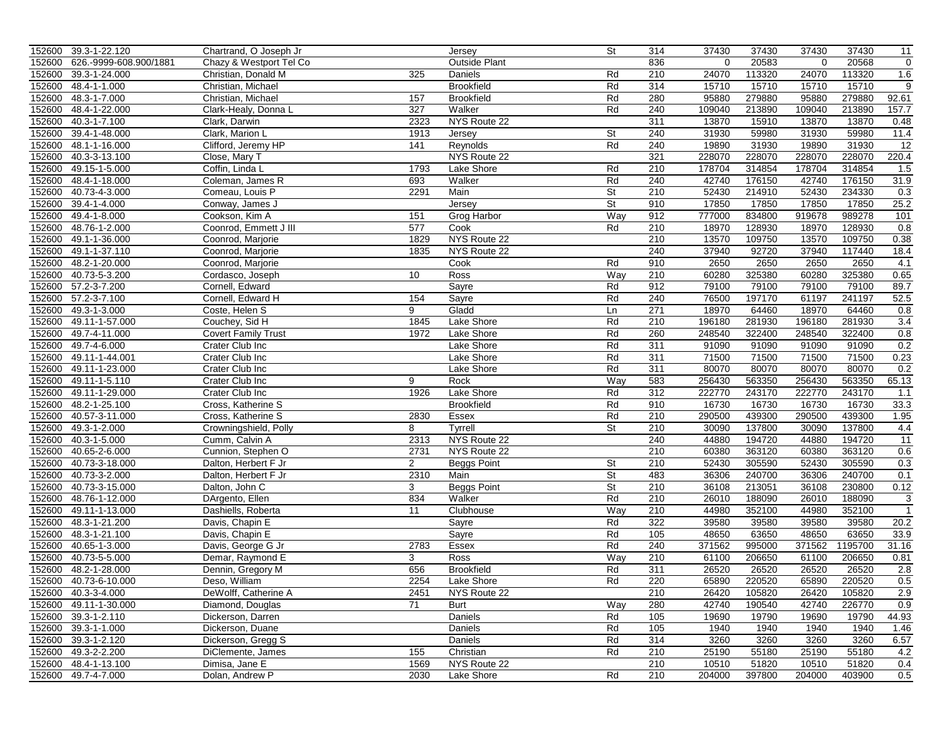|                  | 152600 39.3-1-22.120   | Chartrand, O Joseph Jr     |                | Jersey             | St        | 314 | 37430    | 37430  | 37430    | 37430   | 11              |
|------------------|------------------------|----------------------------|----------------|--------------------|-----------|-----|----------|--------|----------|---------|-----------------|
| 152600           | 626.-9999-608.900/1881 | Chazy & Westport Tel Co    |                | Outside Plant      |           | 836 | $\Omega$ | 20583  | $\Omega$ | 20568   | $\mathbf 0$     |
| 152600           | 39.3-1-24.000          | Christian, Donald M        | 325            | Daniels            | Rd        | 210 | 24070    | 113320 | 24070    | 113320  | 1.6             |
| 152600           | 48.4-1-1.000           | Christian, Michael         |                | <b>Brookfield</b>  | Rd        | 314 | 15710    | 15710  | 15710    | 15710   | 9               |
| 152600           | 48.3-1-7.000           | Christian, Michael         | 157            | <b>Brookfield</b>  | Rd        | 280 | 95880    | 279880 | 95880    | 279880  | 92.61           |
| 152600           | 48.4-1-22.000          | Clark-Healy, Donna L       | 327            | Walker             | Rd        | 240 | 109040   | 213890 | 109040   | 213890  | 157.7           |
| 152600           | 40.3-1-7.100           | Clark, Darwin              | 2323           | NYS Route 22       |           | 311 | 13870    | 15910  | 13870    | 13870   | 0.48            |
|                  | 39.4-1-48.000          | Clark, Marion L            | 1913           |                    | <b>St</b> | 240 | 31930    | 59980  | 31930    | 59980   | 11.4            |
| 152600<br>152600 | 48.1-1-16.000          | Clifford, Jeremy HP        | 141            | Jersey<br>Reynolds | Rd        | 240 | 19890    | 31930  | 19890    | 31930   | $\overline{12}$ |
|                  |                        |                            |                |                    |           | 321 |          |        |          | 228070  |                 |
| 152600           | 40.3-3-13.100          | Close, Mary T              |                | NYS Route 22       |           |     | 228070   | 228070 | 228070   |         | 220.4           |
| 152600           | 49.15-1-5.000          | Coffin, Linda L            | 1793           | Lake Shore         | Rd        | 210 | 178704   | 314854 | 178704   | 314854  | 1.5             |
| 152600           | 48.4-1-18.000          | Coleman, James R           | 693            | Walker             | Rd        | 240 | 42740    | 176150 | 42740    | 176150  | 31.9            |
| 152600           | 40.73-4-3.000          | Comeau, Louis P            | 2291           | Main               | St        | 210 | 52430    | 214910 | 52430    | 234330  | 0.3             |
| 152600           | 39.4-1-4.000           | Conway, James J            |                | <b>Jersey</b>      | <b>St</b> | 910 | 17850    | 17850  | 17850    | 17850   | 25.2            |
| 152600           | 49.4-1-8.000           | Cookson, Kim A             | 151            | <b>Grog Harbor</b> | Way       | 912 | 777000   | 834800 | 919678   | 989278  | 101             |
| 152600           | 48.76-1-2.000          | Coonrod, Emmett J III      | 577            | Cook               | Rd        | 210 | 18970    | 128930 | 18970    | 128930  | 0.8             |
| 152600           | 49.1-1-36.000          | Coonrod, Marjorie          | 1829           | NYS Route 22       |           | 210 | 13570    | 109750 | 13570    | 109750  | 0.38            |
| 152600           | 49.1-1-37.110          | Coonrod, Marjorie          | 1835           | NYS Route 22       |           | 240 | 37940    | 92720  | 37940    | 117440  | 18.4            |
| 152600           | 48.2-1-20.000          | Coonrod, Marjorie          |                | Cook               | Rd        | 910 | 2650     | 2650   | 2650     | 2650    | 4.1             |
| 152600           | 40.73-5-3.200          | Cordasco, Joseph           | 10             | Ross               | Way       | 210 | 60280    | 325380 | 60280    | 325380  | 0.65            |
|                  | 152600 57.2-3-7.200    | Cornell, Edward            |                | Sayre              | Rd        | 912 | 79100    | 79100  | 79100    | 79100   | 89.7            |
| 152600           | 57.2-3-7.100           | Cornell, Edward H          | 154            | Sayre              | Rd        | 240 | 76500    | 197170 | 61197    | 241197  | 52.5            |
| 152600           | 49.3-1-3.000           | Coste, Helen S             | 9              | Gladd              | Ln        | 271 | 18970    | 64460  | 18970    | 64460   | 0.8             |
| 152600           | 49.11-1-57.000         | Couchey, Sid H             | 1845           | Lake Shore         | Rd        | 210 | 196180   | 281930 | 196180   | 281930  | 3.4             |
| 152600           | 49.7-4-11.000          | <b>Covert Family Trust</b> | 1972           | Lake Shore         | Rd        | 260 | 248540   | 322400 | 248540   | 322400  | 0.8             |
| 152600           | 49.7-4-6.000           | Crater Club Inc            |                | Lake Shore         | Rd        | 311 | 91090    | 91090  | 91090    | 91090   | 0.2             |
| 152600           | 49.11-1-44.001         | Crater Club Inc            |                | Lake Shore         | Rd        | 311 | 71500    | 71500  | 71500    | 71500   | 0.23            |
| 152600           | 49.11-1-23.000         | Crater Club Inc            |                | Lake Shore         | Rd        | 311 | 80070    | 80070  | 80070    | 80070   | 0.2             |
| 152600           | 49.11-1-5.110          | Crater Club Inc            | 9              | Rock               | Way       | 583 | 256430   | 563350 | 256430   | 563350  | 65.13           |
| 152600           | 49.11-1-29.000         | Crater Club Inc            | 1926           | Lake Shore         | Rd        | 312 | 222770   | 243170 | 222770   | 243170  | 1.1             |
| 152600           | 48.2-1-25.100          | Cross, Katherine S         |                | <b>Brookfield</b>  | Rd        | 910 | 16730    | 16730  | 16730    | 16730   | 33.3            |
| 152600           | 40.57-3-11.000         | Cross, Katherine S         | 2830           | Essex              | Rd        | 210 | 290500   | 439300 | 290500   | 439300  | 1.95            |
| 152600           | 49.3-1-2.000           | Crowningshield, Polly      | 8              | Tyrrell            | St        | 210 | 30090    | 137800 | 30090    | 137800  | 4.4             |
| 152600           | 40.3-1-5.000           | Cumm, Calvin A             | 2313           | NYS Route 22       |           | 240 | 44880    | 194720 | 44880    | 194720  | 11              |
| 152600           | 40.65-2-6.000          | Cunnion, Stephen O         | 2731           | NYS Route 22       |           | 210 | 60380    | 363120 | 60380    | 363120  | 0.6             |
| 152600           | 40.73-3-18.000         | Dalton, Herbert F Jr       | $\overline{2}$ | <b>Beggs Point</b> | St        | 210 | 52430    | 305590 | 52430    | 305590  | 0.3             |
| 152600           | 40.73-3-2.000          | Dalton, Herbert F Jr       | 2310           | Main               | St        | 483 | 36306    | 240700 | 36306    | 240700  | 0.1             |
| 152600           | 40.73-3-15.000         | Dalton, John C             | 3              | Beggs Point        | St        | 210 | 36108    | 213051 | 36108    | 230800  | 0.12            |
| 152600           | 48.76-1-12.000         | DArgento, Ellen            | 834            | Walker             | Rd        | 210 | 26010    | 188090 | 26010    | 188090  | 3               |
| 152600           | 49.11-1-13.000         | Dashiells, Roberta         | 11             | Clubhouse          | Way       | 210 | 44980    | 352100 | 44980    | 352100  | $\overline{1}$  |
| 152600           | 48.3-1-21.200          | Davis, Chapin E            |                | Sayre              | Rd        | 322 | 39580    | 39580  | 39580    | 39580   | 20.2            |
| 152600           | 48.3-1-21.100          | Davis, Chapin E            |                | Sayre              | Rd        | 105 | 48650    | 63650  | 48650    | 63650   | 33.9            |
| 152600           | 40.65-1-3.000          | Davis, George G Jr         | 2783           | Essex              | Rd        | 240 | 371562   | 995000 | 371562   | 1195700 | 31.16           |
| 152600           | 40.73-5-5.000          | Demar, Raymond E           | 3              | Ross               | Way       | 210 | 61100    | 206650 | 61100    | 206650  | 0.81            |
| 152600           | 48.2-1-28.000          | Dennin, Gregory M          | 656            | <b>Brookfield</b>  | Rd        | 311 | 26520    | 26520  | 26520    | 26520   | 2.8             |
|                  | 152600 40.73-6-10.000  | Deso, William              | 2254           | Lake Shore         | Rd        | 220 | 65890    | 220520 | 65890    | 220520  | 0.5             |
|                  | 152600 40.3-3-4.000    | DeWolff, Catherine A       | 2451           | NYS Route 22       |           | 210 | 26420    | 105820 | 26420    | 105820  | 2.9             |
|                  | 152600 49.11-1-30.000  | Diamond, Douglas           | 71             | Burt               | Way       | 280 | 42740    | 190540 | 42740    | 226770  | 0.9             |
|                  | 152600 39.3-1-2.110    | Dickerson, Darren          |                | Daniels            | Rd        | 105 | 19690    | 19790  | 19690    | 19790   | 44.93           |
|                  | 152600 39.3-1-1.000    | Dickerson, Duane           |                | Daniels            | Rd        | 105 | 1940     | 1940   | 1940     | 1940    | 1.46            |
|                  | 152600 39.3-1-2.120    | Dickerson, Gregg S         |                | Daniels            | Rd        | 314 | 3260     | 3260   | 3260     | 3260    | 6.57            |
|                  | 152600 49.3-2-2.200    | DiClemente, James          | 155            | Christian          | Rd        | 210 | 25190    | 55180  | 25190    | 55180   | 4.2             |
|                  | 152600 48.4-1-13.100   | Dimisa, Jane E             | 1569           | NYS Route 22       |           | 210 | 10510    | 51820  | 10510    | 51820   | 0.4             |
|                  | 152600 49.7-4-7.000    | Dolan, Andrew P            | 2030           | Lake Shore         | Rd        | 210 | 204000   | 397800 | 204000   | 403900  | 0.5             |
|                  |                        |                            |                |                    |           |     |          |        |          |         |                 |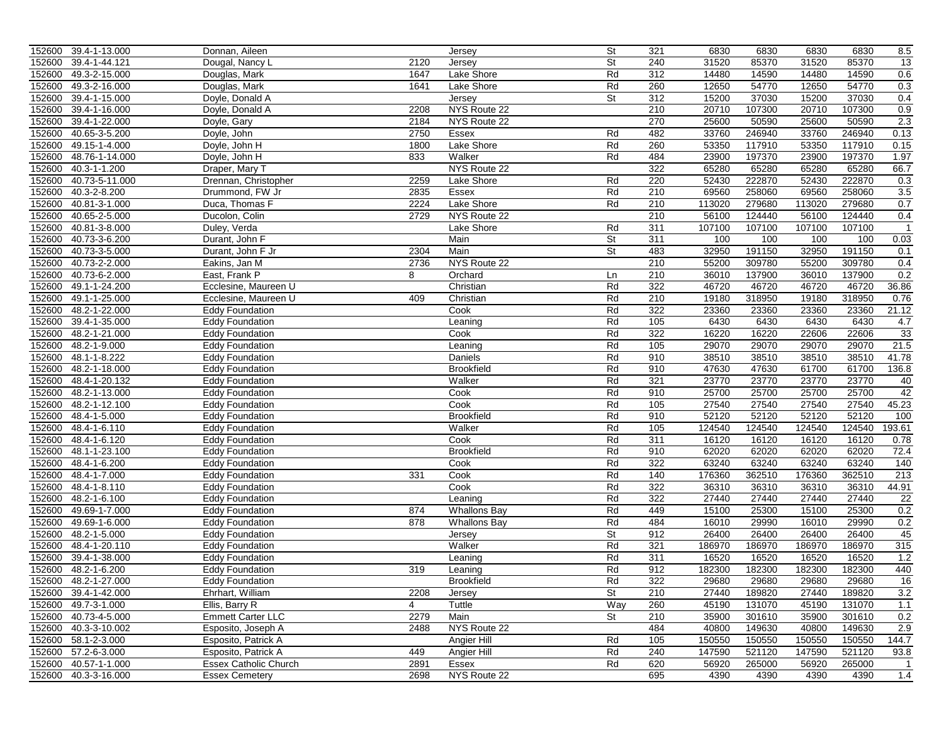|        | 152600 39.4-1-13.000 | Donnan, Aileen               |      | Jersey              | St  | 321 | 6830   | 6830   | 6830   | 6830   | 8.5            |
|--------|----------------------|------------------------------|------|---------------------|-----|-----|--------|--------|--------|--------|----------------|
| 152600 | 39.4-1-44.121        | Dougal, Nancy L              | 2120 | Jersey              | St  | 240 | 31520  | 85370  | 31520  | 85370  | 13             |
| 152600 | 49.3-2-15.000        | Douglas, Mark                | 1647 | Lake Shore          | Rd  | 312 | 14480  | 14590  | 14480  | 14590  | 0.6            |
| 152600 | 49.3-2-16.000        | Douglas, Mark                | 1641 | Lake Shore          | Rd  | 260 | 12650  | 54770  | 12650  | 54770  | 0.3            |
| 152600 | 39.4-1-15.000        | Doyle, Donald A              |      | Jersey              | St  | 312 | 15200  | 37030  | 15200  | 37030  | 0.4            |
| 152600 | 39.4-1-16.000        | Doyle, Donald A              | 2208 | NYS Route 22        |     | 210 | 20710  | 107300 | 20710  | 107300 | 0.9            |
| 152600 | 39.4-1-22.000        | Doyle, Gary                  | 2184 | NYS Route 22        |     | 270 | 25600  | 50590  | 25600  | 50590  | 2.3            |
| 152600 | 40.65-3-5.200        | Doyle, John                  | 2750 | Essex               | Rd  | 482 | 33760  | 246940 | 33760  | 246940 | 0.13           |
| 152600 | 49.15-1-4.000        | Doyle, John H                | 1800 | Lake Shore          | Rd  | 260 | 53350  | 117910 | 53350  | 117910 | 0.15           |
| 152600 | 48.76-1-14.000       | Doyle, John H                | 833  | Walker              | Rd  | 484 | 23900  | 197370 | 23900  | 197370 | 1.97           |
| 152600 | 40.3-1-1.200         | Draper, Mary T               |      | NYS Route 22        |     | 322 | 65280  | 65280  | 65280  | 65280  | 66.7           |
| 152600 | 40.73-5-11.000       | Drennan, Christopher         | 2259 | Lake Shore          | Rd  | 220 | 52430  | 222870 | 52430  | 222870 | 0.3            |
| 152600 | 40.3-2-8.200         | Drummond, FW Jr              | 2835 | Essex               | Rd  | 210 | 69560  | 258060 | 69560  | 258060 | 3.5            |
| 152600 | 40.81-3-1.000        | Duca, Thomas F               | 2224 | Lake Shore          | Rd  | 210 | 113020 | 279680 | 113020 | 279680 | 0.7            |
| 152600 | 40.65-2-5.000        | Ducolon, Colin               | 2729 | NYS Route 22        |     | 210 | 56100  | 124440 | 56100  | 124440 | 0.4            |
| 152600 | 40.81-3-8.000        | Duley, Verda                 |      | Lake Shore          | Rd  | 311 | 107100 | 107100 | 107100 | 107100 | $\overline{1}$ |
|        |                      |                              |      |                     |     |     |        |        |        |        |                |
| 152600 | 40.73-3-6.200        | Durant, John F               |      | Main                | St  | 311 | 100    | 100    | 100    | 100    | 0.03           |
| 152600 | 40.73-3-5.000        | Durant, John F Jr            | 2304 | Main                | St  | 483 | 32950  | 191150 | 32950  | 191150 | 0.1            |
| 152600 | 40.73-2-2.000        | Eakins, Jan M                | 2736 | NYS Route 22        |     | 210 | 55200  | 309780 | 55200  | 309780 | 0.4            |
| 152600 | 40.73-6-2.000        | East, Frank P                | 8    | Orchard             | Ln  | 210 | 36010  | 137900 | 36010  | 137900 | 0.2            |
| 152600 | 49.1-1-24.200        | Ecclesine, Maureen U         |      | Christian           | Rd  | 322 | 46720  | 46720  | 46720  | 46720  | 36.86          |
| 152600 | 49.1-1-25.000        | Ecclesine, Maureen U         | 409  | Christian           | Rd  | 210 | 19180  | 318950 | 19180  | 318950 | 0.76           |
| 152600 | 48.2-1-22.000        | <b>Eddy Foundation</b>       |      | Cook                | Rd  | 322 | 23360  | 23360  | 23360  | 23360  | 21.12          |
| 152600 | 39.4-1-35.000        | <b>Eddy Foundation</b>       |      | Leaning             | Rd  | 105 | 6430   | 6430   | 6430   | 6430   | 4.7            |
| 152600 | 48.2-1-21.000        | <b>Eddy Foundation</b>       |      | Cook                | Rd  | 322 | 16220  | 16220  | 22606  | 22606  | 33             |
| 152600 | 48.2-1-9.000         | <b>Eddy Foundation</b>       |      | Leaning             | Rd  | 105 | 29070  | 29070  | 29070  | 29070  | 21.5           |
| 152600 | 48.1-1-8.222         | <b>Eddy Foundation</b>       |      | Daniels             | Rd  | 910 | 38510  | 38510  | 38510  | 38510  | 41.78          |
| 152600 | 48.2-1-18.000        | <b>Eddy Foundation</b>       |      | <b>Brookfield</b>   | Rd  | 910 | 47630  | 47630  | 61700  | 61700  | 136.8          |
| 152600 | 48.4-1-20.132        | <b>Eddy Foundation</b>       |      | Walker              | Rd  | 321 | 23770  | 23770  | 23770  | 23770  | 40             |
| 152600 | 48.2-1-13.000        | <b>Eddy Foundation</b>       |      | Cook                | Rd  | 910 | 25700  | 25700  | 25700  | 25700  | 42             |
| 152600 | 48.2-1-12.100        | <b>Eddy Foundation</b>       |      | Cook                | Rd  | 105 | 27540  | 27540  | 27540  | 27540  | 45.23          |
| 152600 | 48.4-1-5.000         | <b>Eddy Foundation</b>       |      | <b>Brookfield</b>   | Rd  | 910 | 52120  | 52120  | 52120  | 52120  | 100            |
| 152600 | 48.4-1-6.110         | <b>Eddy Foundation</b>       |      | Walker              | Rd  | 105 | 124540 | 124540 | 124540 | 124540 | 193.61         |
| 152600 | 48.4-1-6.120         | <b>Eddy Foundation</b>       |      | Cook                | Rd  | 311 | 16120  | 16120  | 16120  | 16120  | 0.78           |
| 152600 | 48.1-1-23.100        | <b>Eddy Foundation</b>       |      | <b>Brookfield</b>   | Rd  | 910 | 62020  | 62020  | 62020  | 62020  | 72.4           |
| 152600 | 48.4-1-6.200         | <b>Eddy Foundation</b>       |      | Cook                | Rd  | 322 | 63240  | 63240  | 63240  | 63240  | 140            |
|        |                      |                              | 331  |                     | Rd  | 140 |        |        |        |        | 213            |
| 152600 | 48.4-1-7.000         | <b>Eddy Foundation</b>       |      | Cook                | Rd  | 322 | 176360 | 362510 | 176360 | 362510 |                |
| 152600 | 48.4-1-8.110         | <b>Eddy Foundation</b>       |      | Cook                |     |     | 36310  | 36310  | 36310  | 36310  | 44.91          |
| 152600 | 48.2-1-6.100         | <b>Eddy Foundation</b>       |      | Leaning             | Rd  | 322 | 27440  | 27440  | 27440  | 27440  | 22             |
| 152600 | 49.69-1-7.000        | <b>Eddy Foundation</b>       | 874  | <b>Whallons Bay</b> | Rd  | 449 | 15100  | 25300  | 15100  | 25300  | 0.2            |
| 152600 | 49.69-1-6.000        | <b>Eddy Foundation</b>       | 878  | <b>Whallons Bay</b> | Rd  | 484 | 16010  | 29990  | 16010  | 29990  | 0.2            |
| 152600 | 48.2-1-5.000         | <b>Eddy Foundation</b>       |      | Jersey              | St  | 912 | 26400  | 26400  | 26400  | 26400  | 45             |
| 152600 | 48.4-1-20.110        | <b>Eddy Foundation</b>       |      | Walker              | Rd  | 321 | 186970 | 186970 | 186970 | 186970 | 315            |
| 152600 | 39.4-1-38.000        | <b>Eddy Foundation</b>       |      | Leaning             | Rd  | 311 | 16520  | 16520  | 16520  | 16520  | 1.2            |
| 152600 | 48.2-1-6.200         | <b>Eddy Foundation</b>       | 319  | Leaning             | Rd  | 912 | 182300 | 182300 | 182300 | 182300 | 440            |
|        | 152600 48.2-1-27.000 | Eddy Foundation              |      | <b>Brookfield</b>   | Rd  | 322 | 29680  | 29680  | 29680  | 29680  | 16             |
|        | 152600 39.4-1-42.000 | Ehrhart, William             | 2208 | Jersey              | St  | 210 | 27440  | 189820 | 27440  | 189820 | 3.2            |
|        | 152600 49.7-3-1.000  | Ellis, Barry R               | 4    | Tuttle              | Way | 260 | 45190  | 131070 | 45190  | 131070 | 1.1            |
|        | 152600 40.73-4-5.000 | <b>Emmett Carter LLC</b>     | 2279 | Main                | St  | 210 | 35900  | 301610 | 35900  | 301610 | 0.2            |
|        | 152600 40.3-3-10.002 | Esposito, Joseph A           | 2488 | NYS Route 22        |     | 484 | 40800  | 149630 | 40800  | 149630 | 2.9            |
|        | 152600 58.1-2-3.000  | Esposito, Patrick A          |      | Angier Hill         | Rd  | 105 | 150550 | 150550 | 150550 | 150550 | 144.7          |
|        | 152600 57.2-6-3.000  | Esposito, Patrick A          | 449  | Angier Hill         | Rd  | 240 | 147590 | 521120 | 147590 | 521120 | 93.8           |
|        | 152600 40.57-1-1.000 | <b>Essex Catholic Church</b> | 2891 | Essex               | Rd  | 620 | 56920  | 265000 | 56920  | 265000 | $\overline{1}$ |
|        | 152600 40.3-3-16.000 | <b>Essex Cemetery</b>        | 2698 | NYS Route 22        |     | 695 | 4390   | 4390   | 4390   | 4390   | 1.4            |
|        |                      |                              |      |                     |     |     |        |        |        |        |                |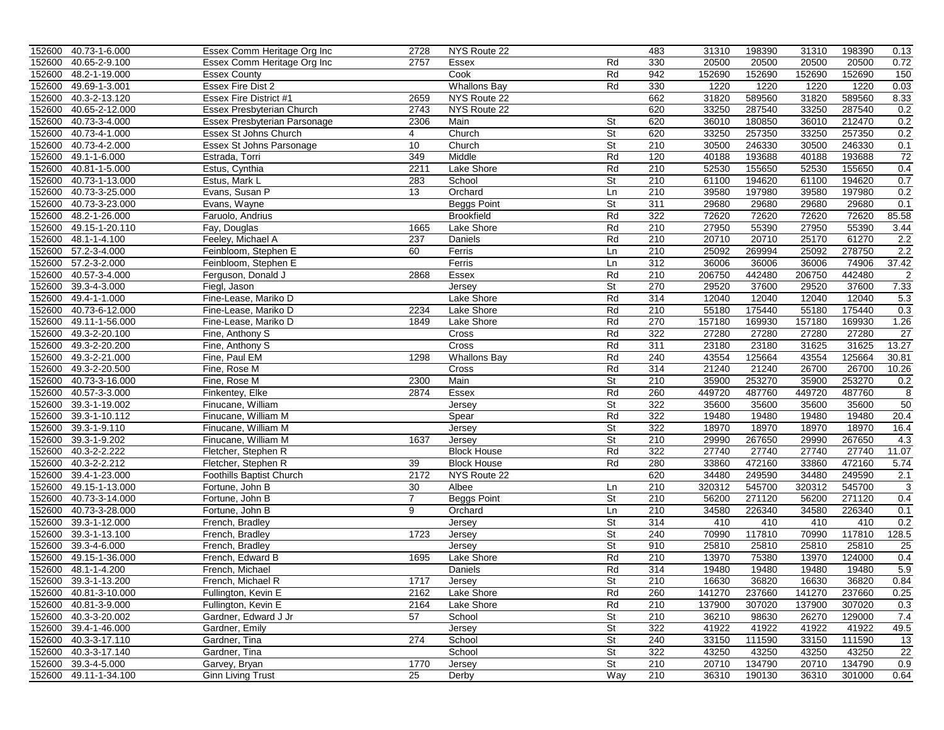|        | 152600 40.73-1-6.000  | Essex Comm Heritage Org Inc  | 2728           | NYS Route 22        |                          | 483 | 31310  | 198390 | 31310  | 198390 | 0.13            |
|--------|-----------------------|------------------------------|----------------|---------------------|--------------------------|-----|--------|--------|--------|--------|-----------------|
| 152600 | 40.65-2-9.100         | Essex Comm Heritage Org Inc  | 2757           | Essex               | Rd                       | 330 | 20500  | 20500  | 20500  | 20500  | 0.72            |
| 152600 | 48.2-1-19.000         | Essex County                 |                | Cook                | Rd                       | 942 | 152690 | 152690 | 152690 | 152690 | 150             |
| 152600 | 49.69-1-3.001         | <b>Essex Fire Dist 2</b>     |                | <b>Whallons Bay</b> | Rd                       | 330 | 1220   | 1220   | 1220   | 1220   | 0.03            |
| 152600 | 40.3-2-13.120         | Essex Fire District #1       | 2659           | NYS Route 22        |                          | 662 | 31820  | 589560 | 31820  | 589560 | 8.33            |
| 152600 | 40.65-2-12.000        | Essex Presbyterian Church    | 2743           | NYS Route 22        |                          | 620 | 33250  | 287540 | 33250  | 287540 | 0.2             |
| 152600 | 40.73-3-4.000         | Essex Presbyterian Parsonage | 2306           | Main                | <b>St</b>                | 620 | 36010  | 180850 | 36010  | 212470 | 0.2             |
| 152600 | 40.73-4-1.000         | Essex St Johns Church        | $\overline{4}$ | Church              | St                       | 620 | 33250  | 257350 | 33250  | 257350 | 0.2             |
| 152600 | 40.73-4-2.000         | Essex St Johns Parsonage     | 10             | Church              | $\overline{\mathsf{St}}$ | 210 | 30500  | 246330 | 30500  | 246330 | 0.1             |
| 152600 | 49.1-1-6.000          | Estrada, Torri               | 349            | Middle              | Rd                       | 120 | 40188  | 193688 | 40188  | 193688 | 72              |
| 152600 | 40.81-1-5.000         | Estus, Cynthia               | 2211           | Lake Shore          | Rd                       | 210 | 52530  | 155650 | 52530  | 155650 | 0.4             |
| 152600 | 40.73-1-13.000        | Estus, Mark L                | 283            | School              | St                       | 210 | 61100  | 194620 | 61100  | 194620 | 0.7             |
| 152600 | 40.73-3-25.000        | Evans, Susan P               | 13             | Orchard             | Ln                       | 210 | 39580  | 197980 | 39580  | 197980 | 0.2             |
| 152600 | 40.73-3-23.000        | Evans, Wayne                 |                | <b>Beggs Point</b>  | St                       | 311 | 29680  | 29680  | 29680  | 29680  | 0.1             |
| 152600 | 48.2-1-26.000         | Faruolo, Andrius             |                | <b>Brookfield</b>   | Rd                       | 322 | 72620  | 72620  | 72620  | 72620  | 85.58           |
| 152600 | 49.15-1-20.110        | Fay, Douglas                 | 1665           | Lake Shore          | Rd                       | 210 | 27950  | 55390  | 27950  | 55390  | 3.44            |
| 152600 | 48.1-1-4.100          | Feeley, Michael A            | 237            | Daniels             | Rd                       | 210 | 20710  | 20710  | 25170  | 61270  | 2.2             |
|        | 152600 57.2-3-4.000   | Feinbloom, Stephen E         | 60             | Ferris              | Ln                       | 210 | 25092  | 269994 | 25092  | 278750 | 2.2             |
| 152600 | 57.2-3-2.000          | Feinbloom, Stephen E         |                | Ferris              | Ln                       | 312 | 36006  | 36006  | 36006  | 74906  | 37.42           |
| 152600 | 40.57-3-4.000         | Ferguson, Donald J           | 2868           | Essex               | Rd                       | 210 | 206750 | 442480 | 206750 | 442480 | 2               |
| 152600 | 39.3-4-3.000          | Fiegl, Jason                 |                | Jersey              | St                       | 270 | 29520  | 37600  | 29520  | 37600  | 7.33            |
| 152600 | 49.4-1-1.000          | Fine-Lease, Mariko D         |                | Lake Shore          | Rd                       | 314 | 12040  | 12040  | 12040  | 12040  | 5.3             |
| 152600 | 40.73-6-12.000        | Fine-Lease, Mariko D         | 2234           | Lake Shore          | Rd                       | 210 | 55180  | 175440 | 55180  | 175440 | 0.3             |
| 152600 | 49.11-1-56.000        | Fine-Lease, Mariko D         | 1849           | Lake Shore          | Rd                       | 270 | 157180 | 169930 | 157180 | 169930 | 1.26            |
| 152600 | 49.3-2-20.100         | Fine, Anthony S              |                | Cross               | Rd                       | 322 | 27280  | 27280  | 27280  | 27280  | 27              |
| 152600 | 49.3-2-20.200         | Fine, Anthony S              |                | Cross               | Rd                       | 311 | 23180  | 23180  | 31625  | 31625  | 13.27           |
| 152600 | 49.3-2-21.000         | Fine, Paul EM                | 1298           | <b>Whallons Bay</b> | Rd                       | 240 | 43554  | 125664 | 43554  | 125664 | 30.81           |
| 152600 | 49.3-2-20.500         | Fine, Rose M                 |                | Cross               | Rd                       | 314 | 21240  | 21240  | 26700  | 26700  | 10.26           |
| 152600 | 40.73-3-16.000        | Fine, Rose M                 | 2300           | Main                | <b>St</b>                | 210 | 35900  | 253270 | 35900  | 253270 | 0.2             |
| 152600 | 40.57-3-3.000         | Finkentey, Elke              | 2874           | Essex               | Rd                       | 260 | 449720 | 487760 | 449720 | 487760 | 8               |
| 152600 | 39.3-1-19.002         | Finucane, William            |                | Jersey              | St                       | 322 | 35600  | 35600  | 35600  | 35600  | 50              |
| 152600 | 39.3-1-10.112         | Finucane, William M          |                | Spear               | Rd                       | 322 | 19480  | 19480  | 19480  | 19480  | 20.4            |
| 152600 | 39.3-1-9.110          | Finucane, William M          |                | Jersey              | St                       | 322 | 18970  | 18970  | 18970  | 18970  | 16.4            |
| 152600 | 39.3-1-9.202          | Finucane, William M          | 1637           | Jersey              | St                       | 210 | 29990  | 267650 | 29990  | 267650 | 4.3             |
| 152600 | 40.3-2-2.222          | Fletcher, Stephen R          |                | <b>Block House</b>  | Rd                       | 322 | 27740  | 27740  | 27740  | 27740  | 11.07           |
| 152600 | 40.3-2-2.212          | Fletcher, Stephen R          | 39             | <b>Block House</b>  | Rd                       | 280 | 33860  | 472160 | 33860  | 472160 | 5.74            |
| 152600 | 39.4-1-23.000         | Foothills Baptist Church     | 2172           | NYS Route 22        |                          | 620 | 34480  | 249590 | 34480  | 249590 | 2.1             |
| 152600 | 49.15-1-13.000        | Fortune, John B              | 30             | Albee               | Ln                       | 210 | 320312 | 545700 | 320312 | 545700 | 3               |
| 152600 | 40.73-3-14.000        | Fortune, John B              | $\overline{7}$ | <b>Beggs Point</b>  | St                       | 210 | 56200  | 271120 | 56200  | 271120 | 0.4             |
| 152600 | 40.73-3-28.000        | Fortune, John B              | 9              | Orchard             | Ln                       | 210 | 34580  | 226340 | 34580  | 226340 | 0.1             |
| 152600 | 39.3-1-12.000         | French, Bradley              |                | Jersey              | St                       | 314 | 410    | 410    | 410    | 410    | 0.2             |
| 152600 | 39.3-1-13.100         | French, Bradley              | 1723           | Jersey              | St                       | 240 | 70990  | 117810 | 70990  | 117810 | 128.5           |
| 152600 | 39.3-4-6.000          | French, Bradley              |                | <b>Jersey</b>       | St                       | 910 | 25810  | 25810  | 25810  | 25810  | $\overline{25}$ |
| 152600 | 49.15-1-36.000        | French, Edward B             | 1695           | Lake Shore          | Rd                       | 210 | 13970  | 75380  | 13970  | 124000 | 0.4             |
| 152600 | 48.1-1-4.200          | French, Michael              |                | Daniels             | Rd                       | 314 | 19480  | 19480  | 19480  | 19480  | 5.9             |
|        | 152600 39.3-1-13.200  | French, Michael R            | 1717           | Jersey              | St                       | 210 | 16630  | 36820  | 16630  | 36820  | 0.84            |
|        | 152600 40.81-3-10.000 | Fullington, Kevin E          | 2162           | Lake Shore          | Rd                       | 260 | 141270 | 237660 | 141270 | 237660 | 0.25            |
|        | 152600 40.81-3-9.000  | Fullington, Kevin E          | 2164           | Lake Shore          | Rd                       | 210 | 137900 | 307020 | 137900 | 307020 | 0.3             |
|        | 152600 40.3-3-20.002  | Gardner, Edward J Jr         | 57             | School              | St                       | 210 | 36210  | 98630  | 26270  | 129000 | 7.4             |
|        | 152600 39.4-1-46.000  | Gardner, Emily               |                | Jersey              | St                       | 322 | 41922  | 41922  | 41922  | 41922  | 49.5            |
|        | 152600 40.3-3-17.110  | Gardner, Tina                | 274            | School              | St                       | 240 | 33150  | 111590 | 33150  | 111590 | 13              |
|        | 152600 40.3-3-17.140  | Gardner, Tina                |                | School              | <b>St</b>                | 322 | 43250  | 43250  | 43250  | 43250  | 22              |
|        | 152600 39.3-4-5.000   | Garvey, Bryan                | 1770           | Jersey              | St                       | 210 | 20710  | 134790 | 20710  | 134790 | 0.9             |
|        | 152600 49.11-1-34.100 | <b>Ginn Living Trust</b>     | 25             | Derby               | Way                      | 210 | 36310  | 190130 | 36310  | 301000 | 0.64            |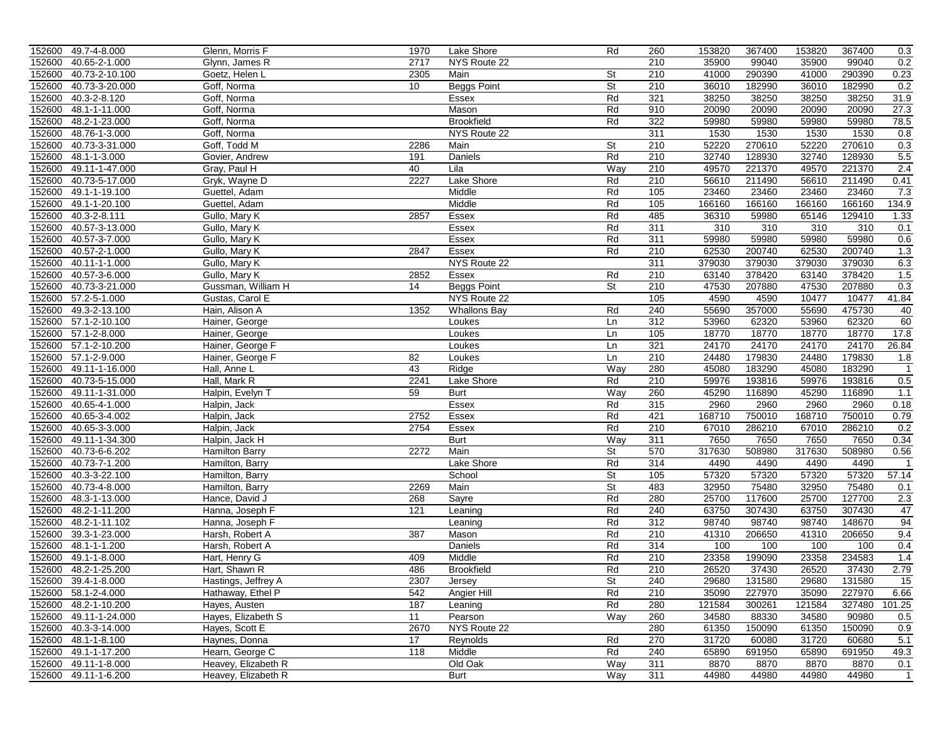|        | 152600 49.7-4-8.000   | Glenn, Morris F     | 1970 | Lake Shore          | Rd        | 260 | 153820 | 367400 | 153820 | 367400 | 0.3            |
|--------|-----------------------|---------------------|------|---------------------|-----------|-----|--------|--------|--------|--------|----------------|
| 152600 | 40.65-2-1.000         | Glynn, James R      | 2717 | NYS Route 22        |           | 210 | 35900  | 99040  | 35900  | 99040  | 0.2            |
| 152600 | 40.73-2-10.100        | Goetz, Helen L      | 2305 | Main                | <b>St</b> | 210 | 41000  | 290390 | 41000  | 290390 | 0.23           |
| 152600 | 40.73-3-20.000        | Goff, Norma         | 10   | <b>Beggs Point</b>  | St        | 210 | 36010  | 182990 | 36010  | 182990 | 0.2            |
| 152600 | 40.3-2-8.120          | Goff, Norma         |      | Essex               | Rd        | 321 | 38250  | 38250  | 38250  | 38250  | 31.9           |
| 152600 | 48.1-1-11.000         | Goff, Norma         |      | Mason               | Rd        | 910 | 20090  | 20090  | 20090  | 20090  | 27.3           |
| 152600 | 48.2-1-23.000         | Goff, Norma         |      | <b>Brookfield</b>   | Rd        | 322 | 59980  | 59980  | 59980  | 59980  | 78.5           |
| 152600 | 48.76-1-3.000         | Goff, Norma         |      | NYS Route 22        |           | 311 | 1530   | 1530   | 1530   | 1530   | 0.8            |
| 152600 | 40.73-3-31.000        | Goff, Todd M        | 2286 | Main                | St        | 210 | 52220  | 270610 | 52220  | 270610 | 0.3            |
| 152600 | 48.1-1-3.000          | Govier, Andrew      | 191  | Daniels             | Rd        | 210 | 32740  | 128930 | 32740  | 128930 | 5.5            |
| 152600 | 49.11-1-47.000        | Gray, Paul H        | 40   | Lila                | Way       | 210 | 49570  | 221370 | 49570  | 221370 | 2.4            |
| 152600 | 40.73-5-17.000        | Gryk, Wayne D       | 2227 | Lake Shore          | Rd        | 210 | 56610  | 211490 | 56610  | 211490 | 0.41           |
| 152600 | 49.1-1-19.100         | Guettel, Adam       |      | Middle              | Rd        | 105 | 23460  | 23460  | 23460  | 23460  | 7.3            |
| 152600 | 49.1-1-20.100         | Guettel, Adam       |      | Middle              | Rd        | 105 | 166160 | 166160 | 166160 | 166160 | 134.9          |
| 152600 | 40.3-2-8.111          |                     | 2857 | Essex               | Rd        | 485 | 36310  | 59980  | 65146  | 129410 | 1.33           |
|        | 40.57-3-13.000        | Gullo, Mary K       |      |                     | Rd        | 311 | 310    | 310    | 310    | 310    |                |
| 152600 |                       | Gullo, Mary K       |      | Essex               | Rd        |     |        |        |        |        | 0.1            |
| 152600 | 40.57-3-7.000         | Gullo, Mary K       |      | Essex               |           | 311 | 59980  | 59980  | 59980  | 59980  | 0.6            |
|        | 152600 40.57-2-1.000  | Gullo, Mary K       | 2847 | Essex               | Rd        | 210 | 62530  | 200740 | 62530  | 200740 | 1.3            |
| 152600 | 40.11-1-1.000         | Gullo, Mary K       |      | NYS Route 22        |           | 311 | 379030 | 379030 | 379030 | 379030 | 6.3            |
| 152600 | 40.57-3-6.000         | Gullo, Mary K       | 2852 | Essex               | Rd        | 210 | 63140  | 378420 | 63140  | 378420 | 1.5            |
| 152600 | 40.73-3-21.000        | Gussman, William H  | 14   | <b>Beggs Point</b>  | St        | 210 | 47530  | 207880 | 47530  | 207880 | 0.3            |
| 152600 | 57.2-5-1.000          | Gustas, Carol E     |      | NYS Route 22        |           | 105 | 4590   | 4590   | 10477  | 10477  | 41.84          |
| 152600 | 49.3-2-13.100         | Hain, Alison A      | 1352 | <b>Whallons Bay</b> | Rd        | 240 | 55690  | 357000 | 55690  | 475730 | 40             |
|        | 152600 57.1-2-10.100  | Hainer, George      |      | Loukes              | Ln        | 312 | 53960  | 62320  | 53960  | 62320  | 60             |
|        | 152600 57.1-2-8.000   | Hainer, George      |      | Loukes              | Ln        | 105 | 18770  | 18770  | 18770  | 18770  | 17.8           |
|        | 152600 57.1-2-10.200  | Hainer, George F    |      | Loukes              | Ln        | 321 | 24170  | 24170  | 24170  | 24170  | 26.84          |
|        | 152600 57.1-2-9.000   | Hainer, George F    | 82   | Loukes              | Ln        | 210 | 24480  | 179830 | 24480  | 179830 | 1.8            |
| 152600 | 49.11-1-16.000        | Hall, Anne L        | 43   | Ridge               | Way       | 280 | 45080  | 183290 | 45080  | 183290 | $\mathbf{1}$   |
| 152600 | 40.73-5-15.000        | Hall, Mark R        | 2241 | Lake Shore          | Rd        | 210 | 59976  | 193816 | 59976  | 193816 | 0.5            |
| 152600 | 49.11-1-31.000        | Halpin, Evelyn T    | 59   | Burt                | Way       | 260 | 45290  | 116890 | 45290  | 116890 | 1.1            |
| 152600 | 40.65-4-1.000         | Halpin, Jack        |      | Essex               | Rd        | 315 | 2960   | 2960   | 2960   | 2960   | 0.18           |
| 152600 | 40.65-3-4.002         | Halpin, Jack        | 2752 | Essex               | Rd        | 421 | 168710 | 750010 | 168710 | 750010 | 0.79           |
| 152600 | 40.65-3-3.000         | Halpin, Jack        | 2754 | Essex               | Rd        | 210 | 67010  | 286210 | 67010  | 286210 | 0.2            |
| 152600 | 49.11-1-34.300        | Halpin, Jack H      |      | Burt                | Way       | 311 | 7650   | 7650   | 7650   | 7650   | 0.34           |
|        | 152600 40.73-6-6.202  | Hamilton Barry      | 2272 | Main                | St        | 570 | 317630 | 508980 | 317630 | 508980 | 0.56           |
| 152600 | 40.73-7-1.200         | Hamilton, Barry     |      | Lake Shore          | Rd        | 314 | 4490   | 4490   | 4490   | 4490   | $\mathbf{1}$   |
| 152600 | 40.3-3-22.100         | Hamilton, Barry     |      | School              | St        | 105 | 57320  | 57320  | 57320  | 57320  | 57.14          |
| 152600 | 40.73-4-8.000         | Hamilton, Barry     | 2269 | Main                | St        | 483 | 32950  | 75480  | 32950  | 75480  | 0.1            |
| 152600 | 48.3-1-13.000         | Hance, David J      | 268  | Sayre               | Rd        | 280 | 25700  | 117600 | 25700  | 127700 | 2.3            |
| 152600 | 48.2-1-11.200         | Hanna, Joseph F     | 121  | Leaning             | Rd        | 240 | 63750  | 307430 | 63750  | 307430 | 47             |
| 152600 | 48.2-1-11.102         | Hanna, Joseph F     |      | Leaning             | Rd        | 312 | 98740  | 98740  | 98740  | 148670 | 94             |
| 152600 | 39.3-1-23.000         | Harsh, Robert A     | 387  | Mason               | Rd        | 210 | 41310  | 206650 | 41310  | 206650 | 9.4            |
| 152600 | 48.1-1-1.200          | Harsh, Robert A     |      | Daniels             | Rd        | 314 | 100    | 100    | 100    | 100    | 0.4            |
| 152600 | 49.1-1-8.000          | Hart, Henry G       | 409  | Middle              | Rd        | 210 | 23358  | 199090 | 23358  | 234583 | 1.4            |
|        | 152600 48.2-1-25.200  | Hart, Shawn R       | 486  | <b>Brookfield</b>   | Rd        | 210 | 26520  | 37430  | 26520  | 37430  | 2.79           |
|        | 152600 39.4-1-8.000   | Hastings, Jeffrey A | 2307 | Jersey              | St        | 240 | 29680  | 131580 | 29680  | 131580 | 15             |
|        | 152600 58.1-2-4.000   | Hathaway, Ethel P   | 542  | Angier Hill         | Rd        | 210 | 35090  | 227970 | 35090  | 227970 | 6.66           |
|        | 152600 48.2-1-10.200  | Hayes, Austen       | 187  | Leaning             | Rd        | 280 | 121584 | 300261 | 121584 | 327480 | 101.25         |
|        | 152600 49.11-1-24.000 | Hayes, Elizabeth S  | 11   | Pearson             | Way       | 260 | 34580  | 88330  | 34580  | 90980  | 0.5            |
|        | 152600 40.3-3-14.000  | Hayes, Scott E      | 2670 | NYS Route 22        |           | 280 | 61350  | 150090 | 61350  | 150090 | 0.9            |
|        | 152600 48.1-1-8.100   | Haynes, Donna       | 17   | Reynolds            | Rd        | 270 | 31720  | 60080  | 31720  | 60680  | 5.1            |
|        | 152600 49.1-1-17.200  | Hearn, George C     | 118  | Middle              | Rd        | 240 | 65890  | 691950 | 65890  | 691950 | 49.3           |
|        | 152600 49.11-1-8.000  | Heavey, Elizabeth R |      | Old Oak             | Way       | 311 | 8870   | 8870   | 8870   | 8870   | 0.1            |
|        | 152600 49.11-1-6.200  | Heavey, Elizabeth R |      | Burt                | Way       | 311 | 44980  | 44980  | 44980  | 44980  | $\overline{1}$ |
|        |                       |                     |      |                     |           |     |        |        |        |        |                |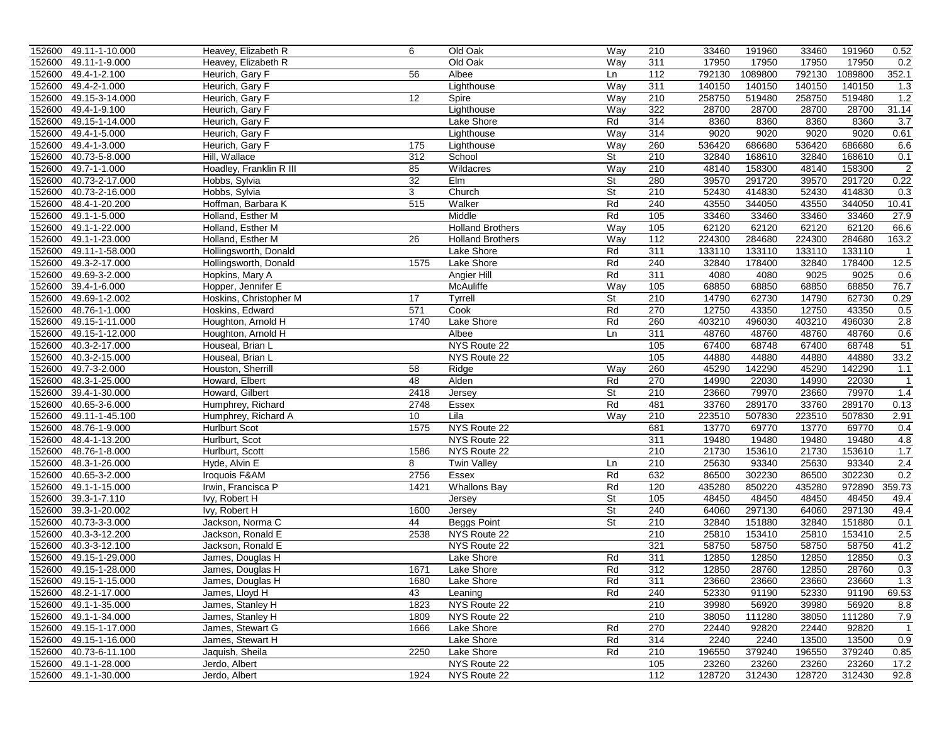|        | 152600 49.11-1-10.000                         | Heavey, Elizabeth R                | 6          | Old Oak                 | Way                      | 210              | 33460          | 191960         | 33460          | 191960         | 0.52           |
|--------|-----------------------------------------------|------------------------------------|------------|-------------------------|--------------------------|------------------|----------------|----------------|----------------|----------------|----------------|
| 152600 | 49.11-1-9.000                                 | Heavey, Elizabeth R                |            | Old Oak                 | Way                      | 311              | 17950          | 17950          | 17950          | 17950          | 0.2            |
| 152600 | 49.4-1-2.100                                  | Heurich, Gary F                    | 56         | Albee                   | Ln                       | 112              | 792130         | 1089800        | 792130         | 1089800        | 352.1          |
| 152600 | 49.4-2-1.000                                  | Heurich, Gary F                    |            | Lighthouse              | Way                      | 311              | 140150         | 140150         | 140150         | 140150         | 1.3            |
| 152600 | 49.15-3-14.000                                | Heurich, Gary F                    | 12         | Spire                   | Way                      | 210              | 258750         | 519480         | 258750         | 519480         | 1.2            |
| 152600 | 49.4-1-9.100                                  | Heurich, Gary F                    |            | Lighthouse              | Way                      | 322              | 28700          | 28700          | 28700          | 28700          | 31.14          |
| 152600 | 49.15-1-14.000                                | Heurich, Gary F                    |            | Lake Shore              | Rd                       | 314              | 8360           | 8360           | 8360           | 8360           | 3.7            |
| 152600 | 49.4-1-5.000                                  | Heurich, Gary F                    |            | Lighthouse              | Way                      | 314              | 9020           | 9020           | 9020           | 9020           | 0.61           |
| 152600 | 49.4-1-3.000                                  | Heurich, Gary F                    | 175        | Lighthouse              | Way                      | 260              | 536420         | 686680         | 536420         | 686680         | 6.6            |
| 152600 | 40.73-5-8.000                                 | Hill, Wallace                      | 312        | School                  | $\overline{\mathsf{St}}$ | 210              | 32840          | 168610         | 32840          | 168610         | 0.1            |
| 152600 | 49.7-1-1.000                                  | Hoadley, Franklin R III            | 85         | Wildacres               | Way                      | 210              | 48140          | 158300         | 48140          | 158300         | $\overline{2}$ |
| 152600 | 40.73-2-17.000                                | Hobbs, Sylvia                      | 32         | Elm                     | $\overline{\mathsf{St}}$ | 280              | 39570          | 291720         | 39570          | 291720         | 0.22           |
| 152600 | 40.73-2-16.000                                | Hobbs, Sylvia                      | 3          | Church                  | $\overline{\mathsf{St}}$ | 210              | 52430          | 414830         | 52430          | 414830         | 0.3            |
| 152600 | 48.4-1-20.200                                 | Hoffman, Barbara K                 | 515        | Walker                  | Rd                       | 240              | 43550          | 344050         | 43550          | 344050         | 10.41          |
| 152600 | 49.1-1-5.000                                  | Holland, Esther M                  |            | Middle                  | Rd                       | 105              | 33460          | 33460          | 33460          | 33460          | 27.9           |
| 152600 | 49.1-1-22.000                                 | Holland, Esther M                  |            | <b>Holland Brothers</b> | Way                      | 105              | 62120          | 62120          | 62120          | 62120          | 66.6           |
| 152600 | 49.1-1-23.000                                 | Holland, Esther M                  | 26         | <b>Holland Brothers</b> | Way                      | $\overline{112}$ | 224300         | 284680         | 224300         | 284680         | 163.2          |
|        | 152600 49.11-1-58.000                         | Hollingsworth, Donald              |            | Lake Shore              | Rd                       | 311              | 133110         | 133110         | 133110         | 133110         | $\overline{1}$ |
| 152600 | 49.3-2-17.000                                 | Hollingsworth, Donald              | 1575       | Lake Shore              | Rd                       | 240              | 32840          | 178400         | 32840          | 178400         | 12.5           |
| 152600 | 49.69-3-2.000                                 | Hopkins, Mary A                    |            | Angier Hill             | Rd                       | 311              | 4080           | 4080           | 9025           | 9025           | 0.6            |
| 152600 | 39.4-1-6.000                                  | Hopper, Jennifer E                 |            | <b>McAuliffe</b>        | Way                      | 105              | 68850          | 68850          | 68850          | 68850          | 76.7           |
| 152600 | 49.69-1-2.002                                 | Hoskins, Christopher M             | 17         | Tyrrell                 | St                       | 210              | 14790          | 62730          | 14790          | 62730          | 0.29           |
| 152600 | 48.76-1-1.000                                 | Hoskins, Edward                    | 571        | Cook                    | Rd                       | 270              | 12750          | 43350          | 12750          | 43350          | 0.5            |
| 152600 | 49.15-1-11.000                                | Houghton, Arnold H                 | 1740       | Lake Shore              | Rd                       | 260              | 403210         | 496030         | 403210         | 496030         | 2.8            |
| 152600 | 49.15-1-12.000                                | Houghton, Arnold H                 |            | Albee                   | Ln                       | 311              | 48760          | 48760          | 48760          | 48760          | 0.6            |
| 152600 | 40.3-2-17.000                                 | Houseal, Brian L                   |            | NYS Route 22            |                          | 105              | 67400          | 68748          | 67400          | 68748          | 51             |
| 152600 | 40.3-2-15.000                                 | Houseal, Brian L                   |            | NYS Route 22            |                          | 105              | 44880          | 44880          | 44880          | 44880          | 33.2           |
| 152600 | 49.7-3-2.000                                  | Houston, Sherrill                  | 58         | Ridge                   | Way                      | 260              | 45290          | 142290         | 45290          | 142290         | 1.1            |
| 152600 | 48.3-1-25.000                                 | Howard, Elbert                     | 48         | Alden                   | Rd                       | 270              | 14990          | 22030          | 14990          | 22030          | $\overline{1}$ |
| 152600 | 39.4-1-30.000                                 | Howard, Gilbert                    | 2418       | Jersey                  | St                       | 210              | 23660          | 79970          | 23660          | 79970          | 1.4            |
| 152600 | 40.65-3-6.000                                 | Humphrey, Richard                  | 2748       | Essex                   | Rd                       | 481              | 33760          | 289170         | 33760          | 289170         | 0.13           |
| 152600 | 49.11-1-45.100                                | Humphrey, Richard A                | 10         | Lila                    | Way                      | 210              | 223510         | 507830         | 223510         | 507830         | 2.91           |
| 152600 | 48.76-1-9.000                                 | <b>Hurlburt Scot</b>               | 1575       | NYS Route 22            |                          | 681              | 13770          | 69770          | 13770          | 69770          | 0.4            |
| 152600 | 48.4-1-13.200                                 | Hurlburt, Scot                     |            | NYS Route 22            |                          | 311              | 19480          | 19480          | 19480          | 19480          | 4.8            |
|        | 152600 48.76-1-8.000                          | Hurlburt, Scott                    | 1586       | NYS Route 22            |                          | 210              | 21730          | 153610         | 21730          | 153610         | 1.7            |
| 152600 | 48.3-1-26.000                                 | Hyde, Alvin E                      | 8          | <b>Twin Valley</b>      | Ln                       | 210              | 25630          | 93340          | 25630          | 93340          | 2.4            |
| 152600 | 40.65-3-2.000                                 | Iroquois F&AM                      | 2756       | Essex                   | Rd                       | 632              | 86500          | 302230         | 86500          | 302230         | 0.2            |
| 152600 | 49.1-1-15.000                                 | Irwin, Francisca P                 | 1421       | <b>Whallons Bay</b>     | Rd                       | 120              | 435280         | 850220         | 435280         | 972890         | 359.73         |
| 152600 | 39.3-1-7.110                                  | Ivy, Robert H                      |            | Jersey                  | St                       | 105              | 48450          | 48450          | 48450          | 48450          | 49.4           |
| 152600 | 39.3-1-20.002                                 | Ivy, Robert H                      | 1600       | Jersey                  | St                       | 240              | 64060          | 297130         | 64060          | 297130         | 49.4           |
| 152600 | 40.73-3-3.000                                 | Jackson, Norma C                   | 44         | <b>Beggs Point</b>      | St                       | 210              | 32840          | 151880         | 32840          | 151880         | 0.1            |
| 152600 | 40.3-3-12.200                                 | Jackson, Ronald E                  | 2538       | NYS Route 22            |                          | 210              | 25810          | 153410         | 25810          | 153410         | 2.5            |
| 152600 | 40.3-3-12.100                                 | Jackson, Ronald E                  |            | NYS Route 22            |                          | 321              | 58750          | 58750          | 58750          | 58750          | 41.2           |
| 152600 | 49.15-1-29.000                                | James, Douglas H                   |            | Lake Shore              | Rd                       | 311              | 12850          | 12850          | 12850          | 12850          | 0.3            |
|        | 152600 49.15-1-28.000                         | James, Douglas H                   | 1671       | Lake Shore              | Rd                       | 312              | 12850          | 28760          | 12850          | 28760          | 0.3            |
|        |                                               |                                    |            |                         |                          |                  |                |                |                |                | 1.3            |
|        | 152600 49.15-1-15.000<br>152600 48.2-1-17.000 | James, Douglas H<br>James, Lloyd H | 1680<br>43 | Lake Shore<br>Leaning   | Кd<br>Rd                 | 311<br>240       | 23660<br>52330 | 23660<br>91190 | 23660<br>52330 | 23660<br>91190 | 69.53          |
|        | 152600 49.1-1-35.000                          | James, Stanley H                   | 1823       | NYS Route 22            |                          | 210              | 39980          | 56920          | 39980          | 56920          | 8.8            |
|        | 152600 49.1-1-34.000                          | James, Stanley H                   | 1809       | NYS Route 22            |                          | 210              | 38050          | 111280         | 38050          | 111280         | 7.9            |
|        | 152600 49.15-1-17.000                         | James, Stewart G                   | 1666       | Lake Shore              | Rd                       | 270              | 22440          | 92820          | 22440          | 92820          | $\overline{1}$ |
|        | 152600 49.15-1-16.000                         | James, Stewart H                   |            | Lake Shore              | Rd                       | 314              | 2240           | 2240           | 13500          | 13500          | 0.9            |
|        | 152600 40.73-6-11.100                         | Jaquish, Sheila                    | 2250       | Lake Shore              | Rd                       | 210              | 196550         | 379240         | 196550         | 379240         | 0.85           |
|        | 152600 49.1-1-28.000                          | Jerdo, Albert                      |            | NYS Route 22            |                          | 105              | 23260          | 23260          | 23260          | 23260          | 17.2           |
|        | 152600 49.1-1-30.000                          | Jerdo, Albert                      | 1924       | NYS Route 22            |                          | 112              | 128720         | 312430         | 128720         | 312430         | 92.8           |
|        |                                               |                                    |            |                         |                          |                  |                |                |                |                |                |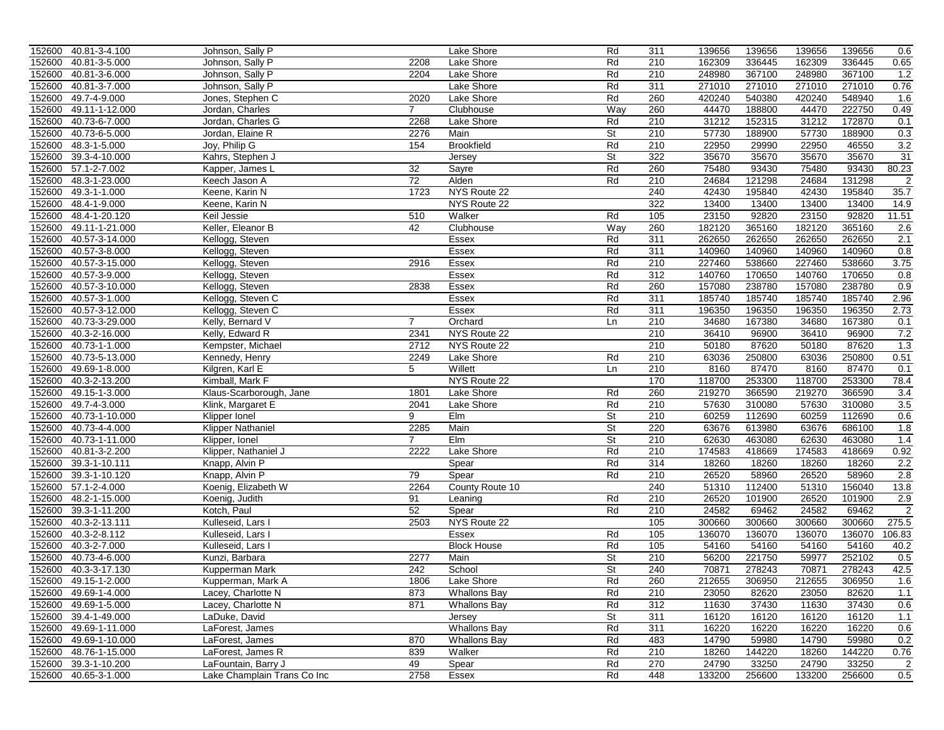|        | 152600 40.81-3-4.100           | Johnson, Sally P                      |                | Lake Shore          | Rd                       | 311        | 139656 | 139656 | 139656 | 139656 | 0.6            |
|--------|--------------------------------|---------------------------------------|----------------|---------------------|--------------------------|------------|--------|--------|--------|--------|----------------|
| 152600 | 40.81-3-5.000                  | Johnson, Sally P                      | 2208           | Lake Shore          | Rd                       | 210        | 162309 | 336445 | 162309 | 336445 | 0.65           |
| 152600 | 40.81-3-6.000                  | Johnson, Sally P                      | 2204           | Lake Shore          | Rd                       | 210        | 248980 | 367100 | 248980 | 367100 | 1.2            |
| 152600 | 40.81-3-7.000                  | Johnson, Sally P                      |                | <b>Lake Shore</b>   | Rd                       | 311        | 271010 | 271010 | 271010 | 271010 | 0.76           |
| 152600 | 49.7-4-9.000                   | Jones, Stephen C                      | 2020           | Lake Shore          | Rd                       | 260        | 420240 | 540380 | 420240 | 548940 | 1.6            |
| 152600 | 49.11-1-12.000                 | Jordan, Charles                       | $\overline{7}$ | Clubhouse           | Way                      | 260        | 44470  | 188800 | 44470  | 222750 | 0.49           |
| 152600 | 40.73-6-7.000                  | Jordan, Charles G                     | 2268           | Lake Shore          | Rd                       | 210        | 31212  | 152315 | 31212  | 172870 | 0.1            |
| 152600 | 40.73-6-5.000                  | Jordan, Elaine R                      | 2276           | Main                | St                       | 210        | 57730  | 188900 | 57730  | 188900 | 0.3            |
| 152600 | 48.3-1-5.000                   | Joy, Philip G                         | 154            | <b>Brookfield</b>   | Rd                       | 210        | 22950  | 29990  | 22950  | 46550  | 3.2            |
| 152600 | 39.3-4-10.000                  | Kahrs, Stephen J                      |                | Jersey              | $\overline{\mathsf{St}}$ | 322        | 35670  | 35670  | 35670  | 35670  | 31             |
| 152600 | 57.1-2-7.002                   | Kapper, James L                       | 32             | Sayre               | Rd                       | 260        | 75480  | 93430  | 75480  | 93430  | 80.23          |
| 152600 | 48.3-1-23.000                  | Keech Jason A                         | 72             | Alden               | Rd                       | 210        | 24684  | 121298 | 24684  | 131298 | $\overline{2}$ |
| 152600 | 49.3-1-1.000                   | Keene, Karin N                        | 1723           | NYS Route 22        |                          | 240        | 42430  | 195840 | 42430  | 195840 | 35.7           |
| 152600 | 48.4-1-9.000                   | Keene, Karin N                        |                | NYS Route 22        |                          | 322        | 13400  | 13400  | 13400  | 13400  | 14.9           |
| 152600 | 48.4-1-20.120                  | Keil Jessie                           | 510            | Walker              | Rd                       | 105        | 23150  | 92820  | 23150  | 92820  | 11.51          |
| 152600 | 49.11-1-21.000                 | Keller, Eleanor B                     | 42             | Clubhouse           | Way                      | 260        | 182120 | 365160 | 182120 | 365160 | 2.6            |
| 152600 | 40.57-3-14.000                 | Kellogg, Steven                       |                | Essex               | Rd                       | 311        | 262650 | 262650 | 262650 | 262650 | 2.1            |
|        | 152600 40.57-3-8.000           | Kellogg, Steven                       |                | Essex               | Rd                       | 311        | 140960 | 140960 | 140960 | 140960 | 0.8            |
| 152600 | 40.57-3-15.000                 | Kellogg, Steven                       | 2916           | Essex               | Rd                       | 210        | 227460 | 538660 | 227460 | 538660 | 3.75           |
| 152600 | 40.57-3-9.000                  | Kellogg, Steven                       |                | Essex               | Rd                       | 312        | 140760 | 170650 | 140760 | 170650 | 0.8            |
| 152600 | 40.57-3-10.000                 | Kellogg, Steven                       | 2838           | Essex               | Rd                       | 260        | 157080 | 238780 | 157080 | 238780 | 0.9            |
| 152600 | 40.57-3-1.000                  | Kellogg, Steven C                     |                | Essex               | Rd                       | 311        | 185740 | 185740 | 185740 | 185740 | 2.96           |
| 152600 | 40.57-3-12.000                 | Kellogg, Steven C                     |                | <b>Essex</b>        | Rd                       | 311        | 196350 | 196350 | 196350 | 196350 | 2.73           |
| 152600 | 40.73-3-29.000                 | Kelly, Bernard V                      | $\overline{7}$ | Orchard             | Ln                       | 210        | 34680  | 167380 | 34680  | 167380 | 0.1            |
| 152600 | 40.3-2-16.000                  | Kelly, Edward R                       | 2341           | NYS Route 22        |                          | 210        | 36410  | 96900  | 36410  | 96900  | 7.2            |
| 152600 | 40.73-1-1.000                  | Kempster, Michael                     | 2712           | NYS Route 22        |                          | 210        | 50180  | 87620  | 50180  | 87620  | 1.3            |
| 152600 | 40.73-5-13.000                 | Kennedy, Henry                        | 2249           | Lake Shore          | Rd                       | 210        | 63036  | 250800 | 63036  | 250800 | 0.51           |
| 152600 | 49.69-1-8.000                  | Kilgren, Karl E                       | 5              | Willett             | Ln                       | 210        | 8160   | 87470  | 8160   | 87470  | 0.1            |
| 152600 | 40.3-2-13.200                  | Kimball, Mark F                       |                | NYS Route 22        |                          | 170        | 118700 | 253300 | 118700 | 253300 | 78.4           |
| 152600 | 49.15-1-3.000                  | Klaus-Scarborough, Jane               | 1801           | Lake Shore          | Rd                       | 260        | 219270 | 366590 | 219270 | 366590 | 3.4            |
| 152600 | 49.7-4-3.000                   | Klink, Margaret E                     | 2041           | Lake Shore          | Rd                       | 210        | 57630  | 310080 | 57630  | 310080 | 3.5            |
| 152600 | 40.73-1-10.000                 | Klipper Ionel                         | 9              | Elm                 | St                       | 210        | 60259  | 112690 | 60259  | 112690 | 0.6            |
| 152600 | 40.73-4-4.000                  | <b>Klipper Nathaniel</b>              | 2285           | Main                | St                       | 220        | 63676  | 613980 | 63676  | 686100 | 1.8            |
| 152600 | 40.73-1-11.000                 | Klipper, Ionel                        | $\overline{7}$ | Elm                 | St                       | 210        | 62630  | 463080 | 62630  | 463080 | 1.4            |
|        | 152600 40.81-3-2.200           | Klipper, Nathaniel J                  | 2222           | Lake Shore          | Rd                       | 210        | 174583 | 418669 | 174583 | 418669 | 0.92           |
| 152600 | 39.3-1-10.111                  | Knapp, Alvin P                        |                | Spear               | Rd                       | 314        | 18260  | 18260  | 18260  | 18260  | 2.2            |
| 152600 | 39.3-1-10.120                  |                                       | 79             | Spear               | Rd                       | 210        | 26520  | 58960  | 26520  | 58960  | 2.8            |
| 152600 | 57.1-2-4.000                   | Knapp, Alvin P<br>Koenig, Elizabeth W | 2264           |                     |                          | 240        | 51310  | 112400 | 51310  | 156040 | 13.8           |
| 152600 | 48.2-1-15.000                  |                                       | 91             | County Route 10     | Rd                       | 210        | 26520  | 101900 | 26520  | 101900 | 2.9            |
|        |                                | Koenig, Judith                        |                | Leaning             |                          |            |        |        |        | 69462  |                |
| 152600 | 39.3-1-11.200<br>40.3-2-13.111 | Kotch, Paul                           | 52<br>2503     | Spear               | Rd                       | 210<br>105 | 24582  | 69462  | 24582  |        | $\overline{2}$ |
| 152600 |                                | Kulleseid, Lars I                     |                | NYS Route 22        |                          |            | 300660 | 300660 | 300660 | 300660 | 275.5          |
| 152600 | 40.3-2-8.112                   | Kulleseid, Lars I                     |                | Essex               | Rd                       | 105        | 136070 | 136070 | 136070 | 136070 | 106.83         |
| 152600 | 40.3-2-7.000                   | Kulleseid, Lars I                     |                | <b>Block House</b>  | Rd                       | 105        | 54160  | 54160  | 54160  | 54160  | 40.2           |
| 152600 | 40.73-4-6.000                  | Kunzi, Barbara                        | 2277           | Main                | St                       | 210        | 56200  | 221750 | 59977  | 252102 | 0.5            |
|        | 152600 40.3-3-17.130           | Kupperman Mark                        | 242            | School              | $\overline{\mathsf{St}}$ | 240        | 70871  | 278243 | 70871  | 278243 | 42.5           |
|        | 152600 49.15-1-2.000           | Kupperman, Mark A                     | 1806           | Lake Shore          | Кd                       | 260        | 212655 | 306950 | 212655 | 306950 | 1.6            |
|        | 152600 49.69-1-4.000           | Lacey, Charlotte N                    | 873            | <b>Whallons Bay</b> | Rd                       | 210        | 23050  | 82620  | 23050  | 82620  | 1.1            |
|        | 152600 49.69-1-5.000           | Lacey, Charlotte N                    | 871            | <b>Whallons Bay</b> | Rd                       | 312        | 11630  | 37430  | 11630  | 37430  | 0.6            |
|        | 152600 39.4-1-49.000           | LaDuke, David                         |                | Jersey              | St                       | 311        | 16120  | 16120  | 16120  | 16120  | 1.1            |
|        | 152600 49.69-1-11.000          | LaForest, James                       |                | <b>Whallons Bay</b> | Rd                       | 311        | 16220  | 16220  | 16220  | 16220  | 0.6            |
|        | 152600 49.69-1-10.000          | LaForest, James                       | 870            | <b>Whallons Bay</b> | Rd                       | 483        | 14790  | 59980  | 14790  | 59980  | 0.2            |
|        | 152600 48.76-1-15.000          | LaForest, James R                     | 839            | Walker              | Rd                       | 210        | 18260  | 144220 | 18260  | 144220 | 0.76           |
|        | 152600 39.3-1-10.200           | LaFountain, Barry J                   | 49             | Spear               | Rd                       | 270        | 24790  | 33250  | 24790  | 33250  | $\overline{2}$ |
|        | 152600 40.65-3-1.000           | Lake Champlain Trans Co Inc           | 2758           | Essex               | Rd                       | 448        | 133200 | 256600 | 133200 | 256600 | 0.5            |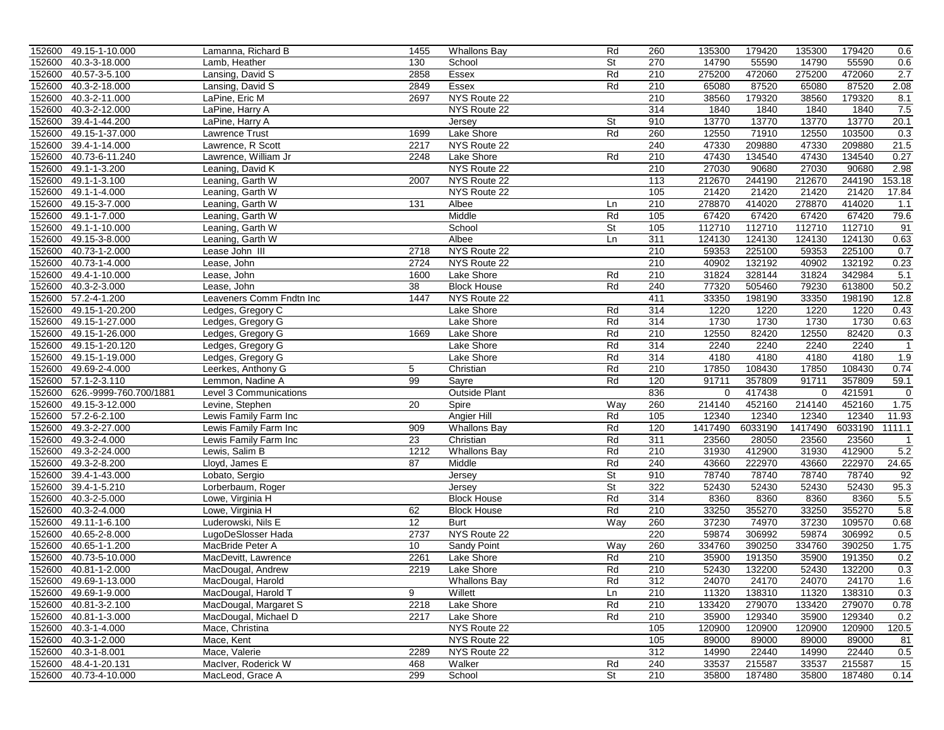| 40.3-3-18.000<br>130<br>St<br>270<br>14790<br>55590<br>14790<br>55590<br>Lamb, Heather<br>School<br>0.6<br>$40.57 - 3 - 5.100$<br>275200<br>275200<br>472060<br>2.7<br>Lansing, David S<br>2858<br>Essex<br>Rd<br>210<br>472060<br>2.08<br>40.3-2-18.000<br>2849<br>Essex<br>Rd<br>210<br>65080<br>87520<br>65080<br>87520<br>Lansing, David S<br>40.3-2-11.000<br>NYS Route 22<br>38560<br>179320<br>38560<br>179320<br>8.1<br>LaPine, Eric M<br>2697<br>210<br>7.5<br>40.3-2-12.000<br>NYS Route 22<br>314<br>1840<br>1840<br>1840<br>1840<br>LaPine, Harry A<br>39.4-1-44.200<br>13770<br>13770<br>13770<br>20.1<br>152600<br><b>St</b><br>910<br>13770<br>LaPine, Harry A<br>Jersey<br>49.15-1-37.000<br>1699<br>Lake Shore<br>Rd<br>260<br>12550<br>71910<br>12550<br>103500<br>0.3<br>Lawrence Trust<br>21.5<br>47330<br>209880<br>209880<br>39.4-1-14.000<br>2217<br>NYS Route 22<br>240<br>47330<br>Lawrence, R Scott<br>0.27<br>40.73-6-11.240<br>Rd<br>47430<br>134540<br>47430<br>134540<br>152600<br>Lawrence, William Jr<br>2248<br>Lake Shore<br>210<br>27030<br>27030<br>2.98<br>152600<br>49.1-1-3.200<br>NYS Route 22<br>210<br>90680<br>90680<br>Leaning, David K<br>49.1-1-3.100<br>113<br>212670<br>244190<br>212670<br>244190<br>153.18<br>152600<br>2007<br>NYS Route 22<br>Leaning, Garth W<br>21420<br>152600<br>49.1-1-4.000<br>Leaning, Garth W<br>NYS Route 22<br>105<br>21420<br>21420<br>21420<br>17.84<br>152600<br>49.15-3-7.000<br>131<br>210<br>278870<br>414020<br>278870<br>414020<br>Leaning, Garth W<br>Albee<br>1.1<br>Ln<br>Middle<br>Rd<br>105<br>67420<br>67420<br>67420<br>67420<br>79.6<br>152600<br>49.1-1-7.000<br>Leaning, Garth W<br>St<br>112710<br>112710<br>112710<br>112710<br>152600<br>49.1-1-10.000<br>School<br>105<br>91<br>Leaning, Garth W<br>49.15-3-8.000<br>311<br>124130<br>124130<br>0.63<br>152600<br>Leaning, Garth W<br>Albee<br>124130<br>124130<br>Ln<br>59353<br>152600<br>40.73-1-2.000<br>NYS Route 22<br>210<br>225100<br>59353<br>225100<br>0.7<br>Lease John III<br>2718<br>0.23<br>40.73-1-4.000<br>210<br>40902<br>132192<br>40902<br>152600<br>2724<br>NYS Route 22<br>132192<br>Lease, John<br>5.1<br>152600<br>Lake Shore<br>Rd<br>210<br>31824<br>328144<br>31824<br>342984<br>49.4-1-10.000<br>Lease, John<br>1600<br>77320<br>613800<br>50.2<br>152600<br>40.3-2-3.000<br>38<br><b>Block House</b><br>Rd<br>240<br>505460<br>79230<br>Lease, John<br>12.8<br>57.2-4-1.200<br>1447<br>NYS Route 22<br>411<br>33350<br>33350<br>198190<br>152600<br>Leaveners Comm Fndtn Inc<br>198190<br>49.15-1-20.200<br>314<br>1220<br>1220<br>152600<br>Ledges, Gregory C<br>Lake Shore<br>Rd<br>1220<br>1220<br>0.43<br>49.15-1-27.000<br>314<br>1730<br>152600<br>Lake Shore<br>Rd<br>1730<br>1730<br>1730<br>0.63<br>Ledges, Gregory G<br>152600<br>49.15-1-26.000<br>1669<br>Lake Shore<br>Rd<br>210<br>12550<br>82420<br>12550<br>82420<br>0.3<br>Ledges, Gregory G<br>152600<br>49.15-1-20.120<br>Lake Shore<br>Rd<br>314<br>2240<br>2240<br>2240<br>2240<br>$\overline{1}$<br>Ledges, Gregory G<br>49.15-1-19.000<br>Rd<br>314<br>4180<br>4180<br>1.9<br>152600<br>Lake Shore<br>4180<br>4180<br>Ledges, Gregory G<br>152600<br>49.69-2-4.000<br>5<br>Rd<br>210<br>17850<br>108430<br>17850<br>108430<br>0.74<br>Leerkes, Anthony G<br>Christian<br>99<br>91711<br>357809<br>91711<br>357809<br>59.1<br>152600 57.1-2-3.110<br>Rd<br>120<br>Lemmon, Nadine A<br>Sayre<br>152600 626.-9999-760.700/1881<br>Outside Plant<br>836<br>0<br>417438<br>$\mathbf 0$<br>421591<br>$\overline{0}$<br>Level 3 Communications<br>20<br>452160<br>214140<br>452160<br>152600 49.15-3-12.000<br>Way<br>260<br>214140<br>1.75<br>Levine, Stephen<br>Spire<br>105<br>12340<br>12340<br>12340<br>12340<br>11.93<br>152600 57.2-6-2.100<br>Angier Hill<br>Rd<br>Lewis Family Farm Inc<br>1417490<br>6033190<br>152600<br>49.3-2-27.000<br>909<br><b>Whallons Bay</b><br>Rd<br>120<br>1417490<br>6033190<br>1111.1<br>Lewis Family Farm Inc<br>311<br>23560<br>49.3-2-4.000<br>23<br>Rd<br>28050<br>23560<br>23560<br>Lewis Family Farm Inc<br>Christian<br>$\mathbf{1}$<br>412900<br>152600 49.3-2-24.000<br>1212<br>Rd<br>210<br>31930<br>31930<br>412900<br>5.2<br>Lewis, Salim B<br><b>Whallons Bay</b><br>43660<br>222970<br>43660<br>222970<br>152600<br>49.3-2-8.200<br>87<br>Middle<br>Rd<br>240<br>24.65<br>Lloyd, James E<br>152600<br>39.4-1-43.000<br>St<br>910<br>78740<br>78740<br>78740<br>78740<br>92<br>Lobato, Sergio<br>Jersey<br>St<br>322<br>52430<br>52430<br>52430<br>52430<br>95.3<br>152600<br>39.4-1-5.210<br>Lorberbaum, Roger<br>Jersey<br>40.3-2-5.000<br>Lowe, Virginia H<br>Rd<br>314<br>8360<br>8360<br>8360<br>8360<br>5.5<br><b>Block House</b><br>355270<br>152600<br>40.3-2-4.000<br>Rd<br>210<br>33250<br>355270<br>33250<br>5.8<br>Lowe, Virginia H<br>62<br><b>Block House</b><br>12<br>49.11-1-6.100<br>Luderowski, Nils E<br>260<br>37230<br>74970<br>37230<br>109570<br>0.68<br><b>Burt</b><br>Way<br>40.65-2-8.000<br>2737<br>220<br>59874<br>306992<br>59874<br>306992<br>0.5<br>LugoDeSlosser Hada<br>NYS Route 22<br>1.75<br>40.65-1-1.200<br>10<br>260<br>334760<br>390250<br>334760<br>390250<br>MacBride Peter A<br>Sandy Point<br>Way<br>152600<br>40.73-5-10.000<br>2261<br>Lake Shore<br>Rd<br>210<br>35900<br>191350<br>35900<br>191350<br>0.2<br>MacDevitt, Lawrence<br>152600 40.81-1-2.000<br>2219<br>Rd<br>210<br>52430<br>132200<br>52430<br>132200<br>MacDougal, Andrew<br>Lake Shore<br>0.3<br>1.6<br>152600 49.69-1-13.000<br>MacDougal, Harold<br>Whallons Bay<br>Кd<br>312<br>24070<br>24170<br>24070<br>24170<br>9<br>Willett<br>0.3<br>152600 49.69-1-9.000<br>MacDougal, Harold T<br>Ln<br>210<br>11320<br>138310<br>11320<br>138310<br>152600 40.81-3-2.100<br>133420<br>279070<br>0.78<br>MacDougal, Margaret S<br>2218<br>Lake Shore<br>Rd<br>210<br>133420<br>279070<br>Lake Shore<br>210<br>35900<br>129340<br>35900<br>129340<br>0.2<br>152600 40.81-1-3.000<br>MacDougal, Michael D<br>2217<br>Rd<br>NYS Route 22<br>105<br>120900<br>120900<br>120.5<br>152600 40.3-1-4.000<br>Mace, Christina<br>120900<br>120900<br>152600 40.3-1-2.000<br>NYS Route 22<br>89000<br>Mace, Kent<br>105<br>89000<br>89000<br>89000<br>81<br>NYS Route 22<br>14990<br>22440<br>22440<br>0.5<br>152600 40.3-1-8.001<br>Mace, Valerie<br>2289<br>312<br>14990<br>152600 48.4-1-20.131<br>33537<br>215587<br>33537<br>215587<br>15<br>MacIver, Roderick W<br>468<br>Walker<br>Rd<br>240<br>St<br>210<br>152600 40.73-4-10.000<br>MacLeod, Grace A<br>299<br>School<br>35800<br>187480<br>35800<br>187480<br>0.14 |        | 152600 49.15-1-10.000 | Lamanna, Richard B | 1455 | <b>Whallons Bay</b> | Rd | 260 | 135300 | 179420 | 135300 | 179420 | 0.6 |
|----------------------------------------------------------------------------------------------------------------------------------------------------------------------------------------------------------------------------------------------------------------------------------------------------------------------------------------------------------------------------------------------------------------------------------------------------------------------------------------------------------------------------------------------------------------------------------------------------------------------------------------------------------------------------------------------------------------------------------------------------------------------------------------------------------------------------------------------------------------------------------------------------------------------------------------------------------------------------------------------------------------------------------------------------------------------------------------------------------------------------------------------------------------------------------------------------------------------------------------------------------------------------------------------------------------------------------------------------------------------------------------------------------------------------------------------------------------------------------------------------------------------------------------------------------------------------------------------------------------------------------------------------------------------------------------------------------------------------------------------------------------------------------------------------------------------------------------------------------------------------------------------------------------------------------------------------------------------------------------------------------------------------------------------------------------------------------------------------------------------------------------------------------------------------------------------------------------------------------------------------------------------------------------------------------------------------------------------------------------------------------------------------------------------------------------------------------------------------------------------------------------------------------------------------------------------------------------------------------------------------------------------------------------------------------------------------------------------------------------------------------------------------------------------------------------------------------------------------------------------------------------------------------------------------------------------------------------------------------------------------------------------------------------------------------------------------------------------------------------------------------------------------------------------------------------------------------------------------------------------------------------------------------------------------------------------------------------------------------------------------------------------------------------------------------------------------------------------------------------------------------------------------------------------------------------------------------------------------------------------------------------------------------------------------------------------------------------------------------------------------------------------------------------------------------------------------------------------------------------------------------------------------------------------------------------------------------------------------------------------------------------------------------------------------------------------------------------------------------------------------------------------------------------------------------------------------------------------------------------------------------------------------------------------------------------------------------------------------------------------------------------------------------------------------------------------------------------------------------------------------------------------------------------------------------------------------------------------------------------------------------------------------------------------------------------------------------------------------------------------------------------------------------------------------------------------------------------------------------------------------------------------------------------------------------------------------------------------------------------------------------------------------------------------------------------------------------------------------------------------------------------------------------------------------------------------------------------------------------------------------------------------------------------------------------------------------------------------------------------------------------------------------------------------------------------------------------------------------------------------------------------------------------------------------------------------------------------------------------------------------------------------------------------------------------------------------------------------------------------------------------------------------------------------------------------------------------------------------------------------------------------------------------------------------------------------------------------------------------------------------------------------------------------------------------------------------------------------------------------------------------------------------------------------------------------------------------------------------------------------------------------------------------------------------------------------------------------------------------------------------------------------------------------------------------------------------------------------------------------------------------------------------------------------------------------------------------------------------------------------------------|--------|-----------------------|--------------------|------|---------------------|----|-----|--------|--------|--------|--------|-----|
|                                                                                                                                                                                                                                                                                                                                                                                                                                                                                                                                                                                                                                                                                                                                                                                                                                                                                                                                                                                                                                                                                                                                                                                                                                                                                                                                                                                                                                                                                                                                                                                                                                                                                                                                                                                                                                                                                                                                                                                                                                                                                                                                                                                                                                                                                                                                                                                                                                                                                                                                                                                                                                                                                                                                                                                                                                                                                                                                                                                                                                                                                                                                                                                                                                                                                                                                                                                                                                                                                                                                                                                                                                                                                                                                                                                                                                                                                                                                                                                                                                                                                                                                                                                                                                                                                                                                                                                                                                                                                                                                                                                                                                                                                                                                                                                                                                                                                                                                                                                                                                                                                                                                                                                                                                                                                                                                                                                                                                                                                                                                                                                                                                                                                                                                                                                                                                                                                                                                                                                                                                                                                                                                                                                                                                                                                                                                                                                                                                                                                                                                                                                                                                  | 152600 |                       |                    |      |                     |    |     |        |        |        |        |     |
|                                                                                                                                                                                                                                                                                                                                                                                                                                                                                                                                                                                                                                                                                                                                                                                                                                                                                                                                                                                                                                                                                                                                                                                                                                                                                                                                                                                                                                                                                                                                                                                                                                                                                                                                                                                                                                                                                                                                                                                                                                                                                                                                                                                                                                                                                                                                                                                                                                                                                                                                                                                                                                                                                                                                                                                                                                                                                                                                                                                                                                                                                                                                                                                                                                                                                                                                                                                                                                                                                                                                                                                                                                                                                                                                                                                                                                                                                                                                                                                                                                                                                                                                                                                                                                                                                                                                                                                                                                                                                                                                                                                                                                                                                                                                                                                                                                                                                                                                                                                                                                                                                                                                                                                                                                                                                                                                                                                                                                                                                                                                                                                                                                                                                                                                                                                                                                                                                                                                                                                                                                                                                                                                                                                                                                                                                                                                                                                                                                                                                                                                                                                                                                  | 152600 |                       |                    |      |                     |    |     |        |        |        |        |     |
|                                                                                                                                                                                                                                                                                                                                                                                                                                                                                                                                                                                                                                                                                                                                                                                                                                                                                                                                                                                                                                                                                                                                                                                                                                                                                                                                                                                                                                                                                                                                                                                                                                                                                                                                                                                                                                                                                                                                                                                                                                                                                                                                                                                                                                                                                                                                                                                                                                                                                                                                                                                                                                                                                                                                                                                                                                                                                                                                                                                                                                                                                                                                                                                                                                                                                                                                                                                                                                                                                                                                                                                                                                                                                                                                                                                                                                                                                                                                                                                                                                                                                                                                                                                                                                                                                                                                                                                                                                                                                                                                                                                                                                                                                                                                                                                                                                                                                                                                                                                                                                                                                                                                                                                                                                                                                                                                                                                                                                                                                                                                                                                                                                                                                                                                                                                                                                                                                                                                                                                                                                                                                                                                                                                                                                                                                                                                                                                                                                                                                                                                                                                                                                  | 152600 |                       |                    |      |                     |    |     |        |        |        |        |     |
|                                                                                                                                                                                                                                                                                                                                                                                                                                                                                                                                                                                                                                                                                                                                                                                                                                                                                                                                                                                                                                                                                                                                                                                                                                                                                                                                                                                                                                                                                                                                                                                                                                                                                                                                                                                                                                                                                                                                                                                                                                                                                                                                                                                                                                                                                                                                                                                                                                                                                                                                                                                                                                                                                                                                                                                                                                                                                                                                                                                                                                                                                                                                                                                                                                                                                                                                                                                                                                                                                                                                                                                                                                                                                                                                                                                                                                                                                                                                                                                                                                                                                                                                                                                                                                                                                                                                                                                                                                                                                                                                                                                                                                                                                                                                                                                                                                                                                                                                                                                                                                                                                                                                                                                                                                                                                                                                                                                                                                                                                                                                                                                                                                                                                                                                                                                                                                                                                                                                                                                                                                                                                                                                                                                                                                                                                                                                                                                                                                                                                                                                                                                                                                  | 152600 |                       |                    |      |                     |    |     |        |        |        |        |     |
|                                                                                                                                                                                                                                                                                                                                                                                                                                                                                                                                                                                                                                                                                                                                                                                                                                                                                                                                                                                                                                                                                                                                                                                                                                                                                                                                                                                                                                                                                                                                                                                                                                                                                                                                                                                                                                                                                                                                                                                                                                                                                                                                                                                                                                                                                                                                                                                                                                                                                                                                                                                                                                                                                                                                                                                                                                                                                                                                                                                                                                                                                                                                                                                                                                                                                                                                                                                                                                                                                                                                                                                                                                                                                                                                                                                                                                                                                                                                                                                                                                                                                                                                                                                                                                                                                                                                                                                                                                                                                                                                                                                                                                                                                                                                                                                                                                                                                                                                                                                                                                                                                                                                                                                                                                                                                                                                                                                                                                                                                                                                                                                                                                                                                                                                                                                                                                                                                                                                                                                                                                                                                                                                                                                                                                                                                                                                                                                                                                                                                                                                                                                                                                  | 152600 |                       |                    |      |                     |    |     |        |        |        |        |     |
|                                                                                                                                                                                                                                                                                                                                                                                                                                                                                                                                                                                                                                                                                                                                                                                                                                                                                                                                                                                                                                                                                                                                                                                                                                                                                                                                                                                                                                                                                                                                                                                                                                                                                                                                                                                                                                                                                                                                                                                                                                                                                                                                                                                                                                                                                                                                                                                                                                                                                                                                                                                                                                                                                                                                                                                                                                                                                                                                                                                                                                                                                                                                                                                                                                                                                                                                                                                                                                                                                                                                                                                                                                                                                                                                                                                                                                                                                                                                                                                                                                                                                                                                                                                                                                                                                                                                                                                                                                                                                                                                                                                                                                                                                                                                                                                                                                                                                                                                                                                                                                                                                                                                                                                                                                                                                                                                                                                                                                                                                                                                                                                                                                                                                                                                                                                                                                                                                                                                                                                                                                                                                                                                                                                                                                                                                                                                                                                                                                                                                                                                                                                                                                  |        |                       |                    |      |                     |    |     |        |        |        |        |     |
|                                                                                                                                                                                                                                                                                                                                                                                                                                                                                                                                                                                                                                                                                                                                                                                                                                                                                                                                                                                                                                                                                                                                                                                                                                                                                                                                                                                                                                                                                                                                                                                                                                                                                                                                                                                                                                                                                                                                                                                                                                                                                                                                                                                                                                                                                                                                                                                                                                                                                                                                                                                                                                                                                                                                                                                                                                                                                                                                                                                                                                                                                                                                                                                                                                                                                                                                                                                                                                                                                                                                                                                                                                                                                                                                                                                                                                                                                                                                                                                                                                                                                                                                                                                                                                                                                                                                                                                                                                                                                                                                                                                                                                                                                                                                                                                                                                                                                                                                                                                                                                                                                                                                                                                                                                                                                                                                                                                                                                                                                                                                                                                                                                                                                                                                                                                                                                                                                                                                                                                                                                                                                                                                                                                                                                                                                                                                                                                                                                                                                                                                                                                                                                  | 152600 |                       |                    |      |                     |    |     |        |        |        |        |     |
|                                                                                                                                                                                                                                                                                                                                                                                                                                                                                                                                                                                                                                                                                                                                                                                                                                                                                                                                                                                                                                                                                                                                                                                                                                                                                                                                                                                                                                                                                                                                                                                                                                                                                                                                                                                                                                                                                                                                                                                                                                                                                                                                                                                                                                                                                                                                                                                                                                                                                                                                                                                                                                                                                                                                                                                                                                                                                                                                                                                                                                                                                                                                                                                                                                                                                                                                                                                                                                                                                                                                                                                                                                                                                                                                                                                                                                                                                                                                                                                                                                                                                                                                                                                                                                                                                                                                                                                                                                                                                                                                                                                                                                                                                                                                                                                                                                                                                                                                                                                                                                                                                                                                                                                                                                                                                                                                                                                                                                                                                                                                                                                                                                                                                                                                                                                                                                                                                                                                                                                                                                                                                                                                                                                                                                                                                                                                                                                                                                                                                                                                                                                                                                  | 152600 |                       |                    |      |                     |    |     |        |        |        |        |     |
|                                                                                                                                                                                                                                                                                                                                                                                                                                                                                                                                                                                                                                                                                                                                                                                                                                                                                                                                                                                                                                                                                                                                                                                                                                                                                                                                                                                                                                                                                                                                                                                                                                                                                                                                                                                                                                                                                                                                                                                                                                                                                                                                                                                                                                                                                                                                                                                                                                                                                                                                                                                                                                                                                                                                                                                                                                                                                                                                                                                                                                                                                                                                                                                                                                                                                                                                                                                                                                                                                                                                                                                                                                                                                                                                                                                                                                                                                                                                                                                                                                                                                                                                                                                                                                                                                                                                                                                                                                                                                                                                                                                                                                                                                                                                                                                                                                                                                                                                                                                                                                                                                                                                                                                                                                                                                                                                                                                                                                                                                                                                                                                                                                                                                                                                                                                                                                                                                                                                                                                                                                                                                                                                                                                                                                                                                                                                                                                                                                                                                                                                                                                                                                  |        |                       |                    |      |                     |    |     |        |        |        |        |     |
|                                                                                                                                                                                                                                                                                                                                                                                                                                                                                                                                                                                                                                                                                                                                                                                                                                                                                                                                                                                                                                                                                                                                                                                                                                                                                                                                                                                                                                                                                                                                                                                                                                                                                                                                                                                                                                                                                                                                                                                                                                                                                                                                                                                                                                                                                                                                                                                                                                                                                                                                                                                                                                                                                                                                                                                                                                                                                                                                                                                                                                                                                                                                                                                                                                                                                                                                                                                                                                                                                                                                                                                                                                                                                                                                                                                                                                                                                                                                                                                                                                                                                                                                                                                                                                                                                                                                                                                                                                                                                                                                                                                                                                                                                                                                                                                                                                                                                                                                                                                                                                                                                                                                                                                                                                                                                                                                                                                                                                                                                                                                                                                                                                                                                                                                                                                                                                                                                                                                                                                                                                                                                                                                                                                                                                                                                                                                                                                                                                                                                                                                                                                                                                  |        |                       |                    |      |                     |    |     |        |        |        |        |     |
|                                                                                                                                                                                                                                                                                                                                                                                                                                                                                                                                                                                                                                                                                                                                                                                                                                                                                                                                                                                                                                                                                                                                                                                                                                                                                                                                                                                                                                                                                                                                                                                                                                                                                                                                                                                                                                                                                                                                                                                                                                                                                                                                                                                                                                                                                                                                                                                                                                                                                                                                                                                                                                                                                                                                                                                                                                                                                                                                                                                                                                                                                                                                                                                                                                                                                                                                                                                                                                                                                                                                                                                                                                                                                                                                                                                                                                                                                                                                                                                                                                                                                                                                                                                                                                                                                                                                                                                                                                                                                                                                                                                                                                                                                                                                                                                                                                                                                                                                                                                                                                                                                                                                                                                                                                                                                                                                                                                                                                                                                                                                                                                                                                                                                                                                                                                                                                                                                                                                                                                                                                                                                                                                                                                                                                                                                                                                                                                                                                                                                                                                                                                                                                  |        |                       |                    |      |                     |    |     |        |        |        |        |     |
|                                                                                                                                                                                                                                                                                                                                                                                                                                                                                                                                                                                                                                                                                                                                                                                                                                                                                                                                                                                                                                                                                                                                                                                                                                                                                                                                                                                                                                                                                                                                                                                                                                                                                                                                                                                                                                                                                                                                                                                                                                                                                                                                                                                                                                                                                                                                                                                                                                                                                                                                                                                                                                                                                                                                                                                                                                                                                                                                                                                                                                                                                                                                                                                                                                                                                                                                                                                                                                                                                                                                                                                                                                                                                                                                                                                                                                                                                                                                                                                                                                                                                                                                                                                                                                                                                                                                                                                                                                                                                                                                                                                                                                                                                                                                                                                                                                                                                                                                                                                                                                                                                                                                                                                                                                                                                                                                                                                                                                                                                                                                                                                                                                                                                                                                                                                                                                                                                                                                                                                                                                                                                                                                                                                                                                                                                                                                                                                                                                                                                                                                                                                                                                  |        |                       |                    |      |                     |    |     |        |        |        |        |     |
|                                                                                                                                                                                                                                                                                                                                                                                                                                                                                                                                                                                                                                                                                                                                                                                                                                                                                                                                                                                                                                                                                                                                                                                                                                                                                                                                                                                                                                                                                                                                                                                                                                                                                                                                                                                                                                                                                                                                                                                                                                                                                                                                                                                                                                                                                                                                                                                                                                                                                                                                                                                                                                                                                                                                                                                                                                                                                                                                                                                                                                                                                                                                                                                                                                                                                                                                                                                                                                                                                                                                                                                                                                                                                                                                                                                                                                                                                                                                                                                                                                                                                                                                                                                                                                                                                                                                                                                                                                                                                                                                                                                                                                                                                                                                                                                                                                                                                                                                                                                                                                                                                                                                                                                                                                                                                                                                                                                                                                                                                                                                                                                                                                                                                                                                                                                                                                                                                                                                                                                                                                                                                                                                                                                                                                                                                                                                                                                                                                                                                                                                                                                                                                  |        |                       |                    |      |                     |    |     |        |        |        |        |     |
|                                                                                                                                                                                                                                                                                                                                                                                                                                                                                                                                                                                                                                                                                                                                                                                                                                                                                                                                                                                                                                                                                                                                                                                                                                                                                                                                                                                                                                                                                                                                                                                                                                                                                                                                                                                                                                                                                                                                                                                                                                                                                                                                                                                                                                                                                                                                                                                                                                                                                                                                                                                                                                                                                                                                                                                                                                                                                                                                                                                                                                                                                                                                                                                                                                                                                                                                                                                                                                                                                                                                                                                                                                                                                                                                                                                                                                                                                                                                                                                                                                                                                                                                                                                                                                                                                                                                                                                                                                                                                                                                                                                                                                                                                                                                                                                                                                                                                                                                                                                                                                                                                                                                                                                                                                                                                                                                                                                                                                                                                                                                                                                                                                                                                                                                                                                                                                                                                                                                                                                                                                                                                                                                                                                                                                                                                                                                                                                                                                                                                                                                                                                                                                  |        |                       |                    |      |                     |    |     |        |        |        |        |     |
|                                                                                                                                                                                                                                                                                                                                                                                                                                                                                                                                                                                                                                                                                                                                                                                                                                                                                                                                                                                                                                                                                                                                                                                                                                                                                                                                                                                                                                                                                                                                                                                                                                                                                                                                                                                                                                                                                                                                                                                                                                                                                                                                                                                                                                                                                                                                                                                                                                                                                                                                                                                                                                                                                                                                                                                                                                                                                                                                                                                                                                                                                                                                                                                                                                                                                                                                                                                                                                                                                                                                                                                                                                                                                                                                                                                                                                                                                                                                                                                                                                                                                                                                                                                                                                                                                                                                                                                                                                                                                                                                                                                                                                                                                                                                                                                                                                                                                                                                                                                                                                                                                                                                                                                                                                                                                                                                                                                                                                                                                                                                                                                                                                                                                                                                                                                                                                                                                                                                                                                                                                                                                                                                                                                                                                                                                                                                                                                                                                                                                                                                                                                                                                  |        |                       |                    |      |                     |    |     |        |        |        |        |     |
|                                                                                                                                                                                                                                                                                                                                                                                                                                                                                                                                                                                                                                                                                                                                                                                                                                                                                                                                                                                                                                                                                                                                                                                                                                                                                                                                                                                                                                                                                                                                                                                                                                                                                                                                                                                                                                                                                                                                                                                                                                                                                                                                                                                                                                                                                                                                                                                                                                                                                                                                                                                                                                                                                                                                                                                                                                                                                                                                                                                                                                                                                                                                                                                                                                                                                                                                                                                                                                                                                                                                                                                                                                                                                                                                                                                                                                                                                                                                                                                                                                                                                                                                                                                                                                                                                                                                                                                                                                                                                                                                                                                                                                                                                                                                                                                                                                                                                                                                                                                                                                                                                                                                                                                                                                                                                                                                                                                                                                                                                                                                                                                                                                                                                                                                                                                                                                                                                                                                                                                                                                                                                                                                                                                                                                                                                                                                                                                                                                                                                                                                                                                                                                  |        |                       |                    |      |                     |    |     |        |        |        |        |     |
|                                                                                                                                                                                                                                                                                                                                                                                                                                                                                                                                                                                                                                                                                                                                                                                                                                                                                                                                                                                                                                                                                                                                                                                                                                                                                                                                                                                                                                                                                                                                                                                                                                                                                                                                                                                                                                                                                                                                                                                                                                                                                                                                                                                                                                                                                                                                                                                                                                                                                                                                                                                                                                                                                                                                                                                                                                                                                                                                                                                                                                                                                                                                                                                                                                                                                                                                                                                                                                                                                                                                                                                                                                                                                                                                                                                                                                                                                                                                                                                                                                                                                                                                                                                                                                                                                                                                                                                                                                                                                                                                                                                                                                                                                                                                                                                                                                                                                                                                                                                                                                                                                                                                                                                                                                                                                                                                                                                                                                                                                                                                                                                                                                                                                                                                                                                                                                                                                                                                                                                                                                                                                                                                                                                                                                                                                                                                                                                                                                                                                                                                                                                                                                  |        |                       |                    |      |                     |    |     |        |        |        |        |     |
|                                                                                                                                                                                                                                                                                                                                                                                                                                                                                                                                                                                                                                                                                                                                                                                                                                                                                                                                                                                                                                                                                                                                                                                                                                                                                                                                                                                                                                                                                                                                                                                                                                                                                                                                                                                                                                                                                                                                                                                                                                                                                                                                                                                                                                                                                                                                                                                                                                                                                                                                                                                                                                                                                                                                                                                                                                                                                                                                                                                                                                                                                                                                                                                                                                                                                                                                                                                                                                                                                                                                                                                                                                                                                                                                                                                                                                                                                                                                                                                                                                                                                                                                                                                                                                                                                                                                                                                                                                                                                                                                                                                                                                                                                                                                                                                                                                                                                                                                                                                                                                                                                                                                                                                                                                                                                                                                                                                                                                                                                                                                                                                                                                                                                                                                                                                                                                                                                                                                                                                                                                                                                                                                                                                                                                                                                                                                                                                                                                                                                                                                                                                                                                  |        |                       |                    |      |                     |    |     |        |        |        |        |     |
|                                                                                                                                                                                                                                                                                                                                                                                                                                                                                                                                                                                                                                                                                                                                                                                                                                                                                                                                                                                                                                                                                                                                                                                                                                                                                                                                                                                                                                                                                                                                                                                                                                                                                                                                                                                                                                                                                                                                                                                                                                                                                                                                                                                                                                                                                                                                                                                                                                                                                                                                                                                                                                                                                                                                                                                                                                                                                                                                                                                                                                                                                                                                                                                                                                                                                                                                                                                                                                                                                                                                                                                                                                                                                                                                                                                                                                                                                                                                                                                                                                                                                                                                                                                                                                                                                                                                                                                                                                                                                                                                                                                                                                                                                                                                                                                                                                                                                                                                                                                                                                                                                                                                                                                                                                                                                                                                                                                                                                                                                                                                                                                                                                                                                                                                                                                                                                                                                                                                                                                                                                                                                                                                                                                                                                                                                                                                                                                                                                                                                                                                                                                                                                  |        |                       |                    |      |                     |    |     |        |        |        |        |     |
|                                                                                                                                                                                                                                                                                                                                                                                                                                                                                                                                                                                                                                                                                                                                                                                                                                                                                                                                                                                                                                                                                                                                                                                                                                                                                                                                                                                                                                                                                                                                                                                                                                                                                                                                                                                                                                                                                                                                                                                                                                                                                                                                                                                                                                                                                                                                                                                                                                                                                                                                                                                                                                                                                                                                                                                                                                                                                                                                                                                                                                                                                                                                                                                                                                                                                                                                                                                                                                                                                                                                                                                                                                                                                                                                                                                                                                                                                                                                                                                                                                                                                                                                                                                                                                                                                                                                                                                                                                                                                                                                                                                                                                                                                                                                                                                                                                                                                                                                                                                                                                                                                                                                                                                                                                                                                                                                                                                                                                                                                                                                                                                                                                                                                                                                                                                                                                                                                                                                                                                                                                                                                                                                                                                                                                                                                                                                                                                                                                                                                                                                                                                                                                  |        |                       |                    |      |                     |    |     |        |        |        |        |     |
|                                                                                                                                                                                                                                                                                                                                                                                                                                                                                                                                                                                                                                                                                                                                                                                                                                                                                                                                                                                                                                                                                                                                                                                                                                                                                                                                                                                                                                                                                                                                                                                                                                                                                                                                                                                                                                                                                                                                                                                                                                                                                                                                                                                                                                                                                                                                                                                                                                                                                                                                                                                                                                                                                                                                                                                                                                                                                                                                                                                                                                                                                                                                                                                                                                                                                                                                                                                                                                                                                                                                                                                                                                                                                                                                                                                                                                                                                                                                                                                                                                                                                                                                                                                                                                                                                                                                                                                                                                                                                                                                                                                                                                                                                                                                                                                                                                                                                                                                                                                                                                                                                                                                                                                                                                                                                                                                                                                                                                                                                                                                                                                                                                                                                                                                                                                                                                                                                                                                                                                                                                                                                                                                                                                                                                                                                                                                                                                                                                                                                                                                                                                                                                  |        |                       |                    |      |                     |    |     |        |        |        |        |     |
|                                                                                                                                                                                                                                                                                                                                                                                                                                                                                                                                                                                                                                                                                                                                                                                                                                                                                                                                                                                                                                                                                                                                                                                                                                                                                                                                                                                                                                                                                                                                                                                                                                                                                                                                                                                                                                                                                                                                                                                                                                                                                                                                                                                                                                                                                                                                                                                                                                                                                                                                                                                                                                                                                                                                                                                                                                                                                                                                                                                                                                                                                                                                                                                                                                                                                                                                                                                                                                                                                                                                                                                                                                                                                                                                                                                                                                                                                                                                                                                                                                                                                                                                                                                                                                                                                                                                                                                                                                                                                                                                                                                                                                                                                                                                                                                                                                                                                                                                                                                                                                                                                                                                                                                                                                                                                                                                                                                                                                                                                                                                                                                                                                                                                                                                                                                                                                                                                                                                                                                                                                                                                                                                                                                                                                                                                                                                                                                                                                                                                                                                                                                                                                  |        |                       |                    |      |                     |    |     |        |        |        |        |     |
|                                                                                                                                                                                                                                                                                                                                                                                                                                                                                                                                                                                                                                                                                                                                                                                                                                                                                                                                                                                                                                                                                                                                                                                                                                                                                                                                                                                                                                                                                                                                                                                                                                                                                                                                                                                                                                                                                                                                                                                                                                                                                                                                                                                                                                                                                                                                                                                                                                                                                                                                                                                                                                                                                                                                                                                                                                                                                                                                                                                                                                                                                                                                                                                                                                                                                                                                                                                                                                                                                                                                                                                                                                                                                                                                                                                                                                                                                                                                                                                                                                                                                                                                                                                                                                                                                                                                                                                                                                                                                                                                                                                                                                                                                                                                                                                                                                                                                                                                                                                                                                                                                                                                                                                                                                                                                                                                                                                                                                                                                                                                                                                                                                                                                                                                                                                                                                                                                                                                                                                                                                                                                                                                                                                                                                                                                                                                                                                                                                                                                                                                                                                                                                  |        |                       |                    |      |                     |    |     |        |        |        |        |     |
|                                                                                                                                                                                                                                                                                                                                                                                                                                                                                                                                                                                                                                                                                                                                                                                                                                                                                                                                                                                                                                                                                                                                                                                                                                                                                                                                                                                                                                                                                                                                                                                                                                                                                                                                                                                                                                                                                                                                                                                                                                                                                                                                                                                                                                                                                                                                                                                                                                                                                                                                                                                                                                                                                                                                                                                                                                                                                                                                                                                                                                                                                                                                                                                                                                                                                                                                                                                                                                                                                                                                                                                                                                                                                                                                                                                                                                                                                                                                                                                                                                                                                                                                                                                                                                                                                                                                                                                                                                                                                                                                                                                                                                                                                                                                                                                                                                                                                                                                                                                                                                                                                                                                                                                                                                                                                                                                                                                                                                                                                                                                                                                                                                                                                                                                                                                                                                                                                                                                                                                                                                                                                                                                                                                                                                                                                                                                                                                                                                                                                                                                                                                                                                  |        |                       |                    |      |                     |    |     |        |        |        |        |     |
|                                                                                                                                                                                                                                                                                                                                                                                                                                                                                                                                                                                                                                                                                                                                                                                                                                                                                                                                                                                                                                                                                                                                                                                                                                                                                                                                                                                                                                                                                                                                                                                                                                                                                                                                                                                                                                                                                                                                                                                                                                                                                                                                                                                                                                                                                                                                                                                                                                                                                                                                                                                                                                                                                                                                                                                                                                                                                                                                                                                                                                                                                                                                                                                                                                                                                                                                                                                                                                                                                                                                                                                                                                                                                                                                                                                                                                                                                                                                                                                                                                                                                                                                                                                                                                                                                                                                                                                                                                                                                                                                                                                                                                                                                                                                                                                                                                                                                                                                                                                                                                                                                                                                                                                                                                                                                                                                                                                                                                                                                                                                                                                                                                                                                                                                                                                                                                                                                                                                                                                                                                                                                                                                                                                                                                                                                                                                                                                                                                                                                                                                                                                                                                  |        |                       |                    |      |                     |    |     |        |        |        |        |     |
|                                                                                                                                                                                                                                                                                                                                                                                                                                                                                                                                                                                                                                                                                                                                                                                                                                                                                                                                                                                                                                                                                                                                                                                                                                                                                                                                                                                                                                                                                                                                                                                                                                                                                                                                                                                                                                                                                                                                                                                                                                                                                                                                                                                                                                                                                                                                                                                                                                                                                                                                                                                                                                                                                                                                                                                                                                                                                                                                                                                                                                                                                                                                                                                                                                                                                                                                                                                                                                                                                                                                                                                                                                                                                                                                                                                                                                                                                                                                                                                                                                                                                                                                                                                                                                                                                                                                                                                                                                                                                                                                                                                                                                                                                                                                                                                                                                                                                                                                                                                                                                                                                                                                                                                                                                                                                                                                                                                                                                                                                                                                                                                                                                                                                                                                                                                                                                                                                                                                                                                                                                                                                                                                                                                                                                                                                                                                                                                                                                                                                                                                                                                                                                  |        |                       |                    |      |                     |    |     |        |        |        |        |     |
|                                                                                                                                                                                                                                                                                                                                                                                                                                                                                                                                                                                                                                                                                                                                                                                                                                                                                                                                                                                                                                                                                                                                                                                                                                                                                                                                                                                                                                                                                                                                                                                                                                                                                                                                                                                                                                                                                                                                                                                                                                                                                                                                                                                                                                                                                                                                                                                                                                                                                                                                                                                                                                                                                                                                                                                                                                                                                                                                                                                                                                                                                                                                                                                                                                                                                                                                                                                                                                                                                                                                                                                                                                                                                                                                                                                                                                                                                                                                                                                                                                                                                                                                                                                                                                                                                                                                                                                                                                                                                                                                                                                                                                                                                                                                                                                                                                                                                                                                                                                                                                                                                                                                                                                                                                                                                                                                                                                                                                                                                                                                                                                                                                                                                                                                                                                                                                                                                                                                                                                                                                                                                                                                                                                                                                                                                                                                                                                                                                                                                                                                                                                                                                  |        |                       |                    |      |                     |    |     |        |        |        |        |     |
|                                                                                                                                                                                                                                                                                                                                                                                                                                                                                                                                                                                                                                                                                                                                                                                                                                                                                                                                                                                                                                                                                                                                                                                                                                                                                                                                                                                                                                                                                                                                                                                                                                                                                                                                                                                                                                                                                                                                                                                                                                                                                                                                                                                                                                                                                                                                                                                                                                                                                                                                                                                                                                                                                                                                                                                                                                                                                                                                                                                                                                                                                                                                                                                                                                                                                                                                                                                                                                                                                                                                                                                                                                                                                                                                                                                                                                                                                                                                                                                                                                                                                                                                                                                                                                                                                                                                                                                                                                                                                                                                                                                                                                                                                                                                                                                                                                                                                                                                                                                                                                                                                                                                                                                                                                                                                                                                                                                                                                                                                                                                                                                                                                                                                                                                                                                                                                                                                                                                                                                                                                                                                                                                                                                                                                                                                                                                                                                                                                                                                                                                                                                                                                  |        |                       |                    |      |                     |    |     |        |        |        |        |     |
|                                                                                                                                                                                                                                                                                                                                                                                                                                                                                                                                                                                                                                                                                                                                                                                                                                                                                                                                                                                                                                                                                                                                                                                                                                                                                                                                                                                                                                                                                                                                                                                                                                                                                                                                                                                                                                                                                                                                                                                                                                                                                                                                                                                                                                                                                                                                                                                                                                                                                                                                                                                                                                                                                                                                                                                                                                                                                                                                                                                                                                                                                                                                                                                                                                                                                                                                                                                                                                                                                                                                                                                                                                                                                                                                                                                                                                                                                                                                                                                                                                                                                                                                                                                                                                                                                                                                                                                                                                                                                                                                                                                                                                                                                                                                                                                                                                                                                                                                                                                                                                                                                                                                                                                                                                                                                                                                                                                                                                                                                                                                                                                                                                                                                                                                                                                                                                                                                                                                                                                                                                                                                                                                                                                                                                                                                                                                                                                                                                                                                                                                                                                                                                  |        |                       |                    |      |                     |    |     |        |        |        |        |     |
|                                                                                                                                                                                                                                                                                                                                                                                                                                                                                                                                                                                                                                                                                                                                                                                                                                                                                                                                                                                                                                                                                                                                                                                                                                                                                                                                                                                                                                                                                                                                                                                                                                                                                                                                                                                                                                                                                                                                                                                                                                                                                                                                                                                                                                                                                                                                                                                                                                                                                                                                                                                                                                                                                                                                                                                                                                                                                                                                                                                                                                                                                                                                                                                                                                                                                                                                                                                                                                                                                                                                                                                                                                                                                                                                                                                                                                                                                                                                                                                                                                                                                                                                                                                                                                                                                                                                                                                                                                                                                                                                                                                                                                                                                                                                                                                                                                                                                                                                                                                                                                                                                                                                                                                                                                                                                                                                                                                                                                                                                                                                                                                                                                                                                                                                                                                                                                                                                                                                                                                                                                                                                                                                                                                                                                                                                                                                                                                                                                                                                                                                                                                                                                  |        |                       |                    |      |                     |    |     |        |        |        |        |     |
|                                                                                                                                                                                                                                                                                                                                                                                                                                                                                                                                                                                                                                                                                                                                                                                                                                                                                                                                                                                                                                                                                                                                                                                                                                                                                                                                                                                                                                                                                                                                                                                                                                                                                                                                                                                                                                                                                                                                                                                                                                                                                                                                                                                                                                                                                                                                                                                                                                                                                                                                                                                                                                                                                                                                                                                                                                                                                                                                                                                                                                                                                                                                                                                                                                                                                                                                                                                                                                                                                                                                                                                                                                                                                                                                                                                                                                                                                                                                                                                                                                                                                                                                                                                                                                                                                                                                                                                                                                                                                                                                                                                                                                                                                                                                                                                                                                                                                                                                                                                                                                                                                                                                                                                                                                                                                                                                                                                                                                                                                                                                                                                                                                                                                                                                                                                                                                                                                                                                                                                                                                                                                                                                                                                                                                                                                                                                                                                                                                                                                                                                                                                                                                  |        |                       |                    |      |                     |    |     |        |        |        |        |     |
|                                                                                                                                                                                                                                                                                                                                                                                                                                                                                                                                                                                                                                                                                                                                                                                                                                                                                                                                                                                                                                                                                                                                                                                                                                                                                                                                                                                                                                                                                                                                                                                                                                                                                                                                                                                                                                                                                                                                                                                                                                                                                                                                                                                                                                                                                                                                                                                                                                                                                                                                                                                                                                                                                                                                                                                                                                                                                                                                                                                                                                                                                                                                                                                                                                                                                                                                                                                                                                                                                                                                                                                                                                                                                                                                                                                                                                                                                                                                                                                                                                                                                                                                                                                                                                                                                                                                                                                                                                                                                                                                                                                                                                                                                                                                                                                                                                                                                                                                                                                                                                                                                                                                                                                                                                                                                                                                                                                                                                                                                                                                                                                                                                                                                                                                                                                                                                                                                                                                                                                                                                                                                                                                                                                                                                                                                                                                                                                                                                                                                                                                                                                                                                  |        |                       |                    |      |                     |    |     |        |        |        |        |     |
|                                                                                                                                                                                                                                                                                                                                                                                                                                                                                                                                                                                                                                                                                                                                                                                                                                                                                                                                                                                                                                                                                                                                                                                                                                                                                                                                                                                                                                                                                                                                                                                                                                                                                                                                                                                                                                                                                                                                                                                                                                                                                                                                                                                                                                                                                                                                                                                                                                                                                                                                                                                                                                                                                                                                                                                                                                                                                                                                                                                                                                                                                                                                                                                                                                                                                                                                                                                                                                                                                                                                                                                                                                                                                                                                                                                                                                                                                                                                                                                                                                                                                                                                                                                                                                                                                                                                                                                                                                                                                                                                                                                                                                                                                                                                                                                                                                                                                                                                                                                                                                                                                                                                                                                                                                                                                                                                                                                                                                                                                                                                                                                                                                                                                                                                                                                                                                                                                                                                                                                                                                                                                                                                                                                                                                                                                                                                                                                                                                                                                                                                                                                                                                  | 152600 |                       |                    |      |                     |    |     |        |        |        |        |     |
|                                                                                                                                                                                                                                                                                                                                                                                                                                                                                                                                                                                                                                                                                                                                                                                                                                                                                                                                                                                                                                                                                                                                                                                                                                                                                                                                                                                                                                                                                                                                                                                                                                                                                                                                                                                                                                                                                                                                                                                                                                                                                                                                                                                                                                                                                                                                                                                                                                                                                                                                                                                                                                                                                                                                                                                                                                                                                                                                                                                                                                                                                                                                                                                                                                                                                                                                                                                                                                                                                                                                                                                                                                                                                                                                                                                                                                                                                                                                                                                                                                                                                                                                                                                                                                                                                                                                                                                                                                                                                                                                                                                                                                                                                                                                                                                                                                                                                                                                                                                                                                                                                                                                                                                                                                                                                                                                                                                                                                                                                                                                                                                                                                                                                                                                                                                                                                                                                                                                                                                                                                                                                                                                                                                                                                                                                                                                                                                                                                                                                                                                                                                                                                  |        |                       |                    |      |                     |    |     |        |        |        |        |     |
|                                                                                                                                                                                                                                                                                                                                                                                                                                                                                                                                                                                                                                                                                                                                                                                                                                                                                                                                                                                                                                                                                                                                                                                                                                                                                                                                                                                                                                                                                                                                                                                                                                                                                                                                                                                                                                                                                                                                                                                                                                                                                                                                                                                                                                                                                                                                                                                                                                                                                                                                                                                                                                                                                                                                                                                                                                                                                                                                                                                                                                                                                                                                                                                                                                                                                                                                                                                                                                                                                                                                                                                                                                                                                                                                                                                                                                                                                                                                                                                                                                                                                                                                                                                                                                                                                                                                                                                                                                                                                                                                                                                                                                                                                                                                                                                                                                                                                                                                                                                                                                                                                                                                                                                                                                                                                                                                                                                                                                                                                                                                                                                                                                                                                                                                                                                                                                                                                                                                                                                                                                                                                                                                                                                                                                                                                                                                                                                                                                                                                                                                                                                                                                  |        |                       |                    |      |                     |    |     |        |        |        |        |     |
|                                                                                                                                                                                                                                                                                                                                                                                                                                                                                                                                                                                                                                                                                                                                                                                                                                                                                                                                                                                                                                                                                                                                                                                                                                                                                                                                                                                                                                                                                                                                                                                                                                                                                                                                                                                                                                                                                                                                                                                                                                                                                                                                                                                                                                                                                                                                                                                                                                                                                                                                                                                                                                                                                                                                                                                                                                                                                                                                                                                                                                                                                                                                                                                                                                                                                                                                                                                                                                                                                                                                                                                                                                                                                                                                                                                                                                                                                                                                                                                                                                                                                                                                                                                                                                                                                                                                                                                                                                                                                                                                                                                                                                                                                                                                                                                                                                                                                                                                                                                                                                                                                                                                                                                                                                                                                                                                                                                                                                                                                                                                                                                                                                                                                                                                                                                                                                                                                                                                                                                                                                                                                                                                                                                                                                                                                                                                                                                                                                                                                                                                                                                                                                  |        |                       |                    |      |                     |    |     |        |        |        |        |     |
|                                                                                                                                                                                                                                                                                                                                                                                                                                                                                                                                                                                                                                                                                                                                                                                                                                                                                                                                                                                                                                                                                                                                                                                                                                                                                                                                                                                                                                                                                                                                                                                                                                                                                                                                                                                                                                                                                                                                                                                                                                                                                                                                                                                                                                                                                                                                                                                                                                                                                                                                                                                                                                                                                                                                                                                                                                                                                                                                                                                                                                                                                                                                                                                                                                                                                                                                                                                                                                                                                                                                                                                                                                                                                                                                                                                                                                                                                                                                                                                                                                                                                                                                                                                                                                                                                                                                                                                                                                                                                                                                                                                                                                                                                                                                                                                                                                                                                                                                                                                                                                                                                                                                                                                                                                                                                                                                                                                                                                                                                                                                                                                                                                                                                                                                                                                                                                                                                                                                                                                                                                                                                                                                                                                                                                                                                                                                                                                                                                                                                                                                                                                                                                  |        |                       |                    |      |                     |    |     |        |        |        |        |     |
|                                                                                                                                                                                                                                                                                                                                                                                                                                                                                                                                                                                                                                                                                                                                                                                                                                                                                                                                                                                                                                                                                                                                                                                                                                                                                                                                                                                                                                                                                                                                                                                                                                                                                                                                                                                                                                                                                                                                                                                                                                                                                                                                                                                                                                                                                                                                                                                                                                                                                                                                                                                                                                                                                                                                                                                                                                                                                                                                                                                                                                                                                                                                                                                                                                                                                                                                                                                                                                                                                                                                                                                                                                                                                                                                                                                                                                                                                                                                                                                                                                                                                                                                                                                                                                                                                                                                                                                                                                                                                                                                                                                                                                                                                                                                                                                                                                                                                                                                                                                                                                                                                                                                                                                                                                                                                                                                                                                                                                                                                                                                                                                                                                                                                                                                                                                                                                                                                                                                                                                                                                                                                                                                                                                                                                                                                                                                                                                                                                                                                                                                                                                                                                  | 152600 |                       |                    |      |                     |    |     |        |        |        |        |     |
|                                                                                                                                                                                                                                                                                                                                                                                                                                                                                                                                                                                                                                                                                                                                                                                                                                                                                                                                                                                                                                                                                                                                                                                                                                                                                                                                                                                                                                                                                                                                                                                                                                                                                                                                                                                                                                                                                                                                                                                                                                                                                                                                                                                                                                                                                                                                                                                                                                                                                                                                                                                                                                                                                                                                                                                                                                                                                                                                                                                                                                                                                                                                                                                                                                                                                                                                                                                                                                                                                                                                                                                                                                                                                                                                                                                                                                                                                                                                                                                                                                                                                                                                                                                                                                                                                                                                                                                                                                                                                                                                                                                                                                                                                                                                                                                                                                                                                                                                                                                                                                                                                                                                                                                                                                                                                                                                                                                                                                                                                                                                                                                                                                                                                                                                                                                                                                                                                                                                                                                                                                                                                                                                                                                                                                                                                                                                                                                                                                                                                                                                                                                                                                  |        |                       |                    |      |                     |    |     |        |        |        |        |     |
|                                                                                                                                                                                                                                                                                                                                                                                                                                                                                                                                                                                                                                                                                                                                                                                                                                                                                                                                                                                                                                                                                                                                                                                                                                                                                                                                                                                                                                                                                                                                                                                                                                                                                                                                                                                                                                                                                                                                                                                                                                                                                                                                                                                                                                                                                                                                                                                                                                                                                                                                                                                                                                                                                                                                                                                                                                                                                                                                                                                                                                                                                                                                                                                                                                                                                                                                                                                                                                                                                                                                                                                                                                                                                                                                                                                                                                                                                                                                                                                                                                                                                                                                                                                                                                                                                                                                                                                                                                                                                                                                                                                                                                                                                                                                                                                                                                                                                                                                                                                                                                                                                                                                                                                                                                                                                                                                                                                                                                                                                                                                                                                                                                                                                                                                                                                                                                                                                                                                                                                                                                                                                                                                                                                                                                                                                                                                                                                                                                                                                                                                                                                                                                  | 152600 |                       |                    |      |                     |    |     |        |        |        |        |     |
|                                                                                                                                                                                                                                                                                                                                                                                                                                                                                                                                                                                                                                                                                                                                                                                                                                                                                                                                                                                                                                                                                                                                                                                                                                                                                                                                                                                                                                                                                                                                                                                                                                                                                                                                                                                                                                                                                                                                                                                                                                                                                                                                                                                                                                                                                                                                                                                                                                                                                                                                                                                                                                                                                                                                                                                                                                                                                                                                                                                                                                                                                                                                                                                                                                                                                                                                                                                                                                                                                                                                                                                                                                                                                                                                                                                                                                                                                                                                                                                                                                                                                                                                                                                                                                                                                                                                                                                                                                                                                                                                                                                                                                                                                                                                                                                                                                                                                                                                                                                                                                                                                                                                                                                                                                                                                                                                                                                                                                                                                                                                                                                                                                                                                                                                                                                                                                                                                                                                                                                                                                                                                                                                                                                                                                                                                                                                                                                                                                                                                                                                                                                                                                  | 152600 |                       |                    |      |                     |    |     |        |        |        |        |     |
|                                                                                                                                                                                                                                                                                                                                                                                                                                                                                                                                                                                                                                                                                                                                                                                                                                                                                                                                                                                                                                                                                                                                                                                                                                                                                                                                                                                                                                                                                                                                                                                                                                                                                                                                                                                                                                                                                                                                                                                                                                                                                                                                                                                                                                                                                                                                                                                                                                                                                                                                                                                                                                                                                                                                                                                                                                                                                                                                                                                                                                                                                                                                                                                                                                                                                                                                                                                                                                                                                                                                                                                                                                                                                                                                                                                                                                                                                                                                                                                                                                                                                                                                                                                                                                                                                                                                                                                                                                                                                                                                                                                                                                                                                                                                                                                                                                                                                                                                                                                                                                                                                                                                                                                                                                                                                                                                                                                                                                                                                                                                                                                                                                                                                                                                                                                                                                                                                                                                                                                                                                                                                                                                                                                                                                                                                                                                                                                                                                                                                                                                                                                                                                  | 152600 |                       |                    |      |                     |    |     |        |        |        |        |     |
|                                                                                                                                                                                                                                                                                                                                                                                                                                                                                                                                                                                                                                                                                                                                                                                                                                                                                                                                                                                                                                                                                                                                                                                                                                                                                                                                                                                                                                                                                                                                                                                                                                                                                                                                                                                                                                                                                                                                                                                                                                                                                                                                                                                                                                                                                                                                                                                                                                                                                                                                                                                                                                                                                                                                                                                                                                                                                                                                                                                                                                                                                                                                                                                                                                                                                                                                                                                                                                                                                                                                                                                                                                                                                                                                                                                                                                                                                                                                                                                                                                                                                                                                                                                                                                                                                                                                                                                                                                                                                                                                                                                                                                                                                                                                                                                                                                                                                                                                                                                                                                                                                                                                                                                                                                                                                                                                                                                                                                                                                                                                                                                                                                                                                                                                                                                                                                                                                                                                                                                                                                                                                                                                                                                                                                                                                                                                                                                                                                                                                                                                                                                                                                  |        |                       |                    |      |                     |    |     |        |        |        |        |     |
|                                                                                                                                                                                                                                                                                                                                                                                                                                                                                                                                                                                                                                                                                                                                                                                                                                                                                                                                                                                                                                                                                                                                                                                                                                                                                                                                                                                                                                                                                                                                                                                                                                                                                                                                                                                                                                                                                                                                                                                                                                                                                                                                                                                                                                                                                                                                                                                                                                                                                                                                                                                                                                                                                                                                                                                                                                                                                                                                                                                                                                                                                                                                                                                                                                                                                                                                                                                                                                                                                                                                                                                                                                                                                                                                                                                                                                                                                                                                                                                                                                                                                                                                                                                                                                                                                                                                                                                                                                                                                                                                                                                                                                                                                                                                                                                                                                                                                                                                                                                                                                                                                                                                                                                                                                                                                                                                                                                                                                                                                                                                                                                                                                                                                                                                                                                                                                                                                                                                                                                                                                                                                                                                                                                                                                                                                                                                                                                                                                                                                                                                                                                                                                  |        |                       |                    |      |                     |    |     |        |        |        |        |     |
|                                                                                                                                                                                                                                                                                                                                                                                                                                                                                                                                                                                                                                                                                                                                                                                                                                                                                                                                                                                                                                                                                                                                                                                                                                                                                                                                                                                                                                                                                                                                                                                                                                                                                                                                                                                                                                                                                                                                                                                                                                                                                                                                                                                                                                                                                                                                                                                                                                                                                                                                                                                                                                                                                                                                                                                                                                                                                                                                                                                                                                                                                                                                                                                                                                                                                                                                                                                                                                                                                                                                                                                                                                                                                                                                                                                                                                                                                                                                                                                                                                                                                                                                                                                                                                                                                                                                                                                                                                                                                                                                                                                                                                                                                                                                                                                                                                                                                                                                                                                                                                                                                                                                                                                                                                                                                                                                                                                                                                                                                                                                                                                                                                                                                                                                                                                                                                                                                                                                                                                                                                                                                                                                                                                                                                                                                                                                                                                                                                                                                                                                                                                                                                  |        |                       |                    |      |                     |    |     |        |        |        |        |     |
|                                                                                                                                                                                                                                                                                                                                                                                                                                                                                                                                                                                                                                                                                                                                                                                                                                                                                                                                                                                                                                                                                                                                                                                                                                                                                                                                                                                                                                                                                                                                                                                                                                                                                                                                                                                                                                                                                                                                                                                                                                                                                                                                                                                                                                                                                                                                                                                                                                                                                                                                                                                                                                                                                                                                                                                                                                                                                                                                                                                                                                                                                                                                                                                                                                                                                                                                                                                                                                                                                                                                                                                                                                                                                                                                                                                                                                                                                                                                                                                                                                                                                                                                                                                                                                                                                                                                                                                                                                                                                                                                                                                                                                                                                                                                                                                                                                                                                                                                                                                                                                                                                                                                                                                                                                                                                                                                                                                                                                                                                                                                                                                                                                                                                                                                                                                                                                                                                                                                                                                                                                                                                                                                                                                                                                                                                                                                                                                                                                                                                                                                                                                                                                  |        |                       |                    |      |                     |    |     |        |        |        |        |     |
|                                                                                                                                                                                                                                                                                                                                                                                                                                                                                                                                                                                                                                                                                                                                                                                                                                                                                                                                                                                                                                                                                                                                                                                                                                                                                                                                                                                                                                                                                                                                                                                                                                                                                                                                                                                                                                                                                                                                                                                                                                                                                                                                                                                                                                                                                                                                                                                                                                                                                                                                                                                                                                                                                                                                                                                                                                                                                                                                                                                                                                                                                                                                                                                                                                                                                                                                                                                                                                                                                                                                                                                                                                                                                                                                                                                                                                                                                                                                                                                                                                                                                                                                                                                                                                                                                                                                                                                                                                                                                                                                                                                                                                                                                                                                                                                                                                                                                                                                                                                                                                                                                                                                                                                                                                                                                                                                                                                                                                                                                                                                                                                                                                                                                                                                                                                                                                                                                                                                                                                                                                                                                                                                                                                                                                                                                                                                                                                                                                                                                                                                                                                                                                  |        |                       |                    |      |                     |    |     |        |        |        |        |     |
|                                                                                                                                                                                                                                                                                                                                                                                                                                                                                                                                                                                                                                                                                                                                                                                                                                                                                                                                                                                                                                                                                                                                                                                                                                                                                                                                                                                                                                                                                                                                                                                                                                                                                                                                                                                                                                                                                                                                                                                                                                                                                                                                                                                                                                                                                                                                                                                                                                                                                                                                                                                                                                                                                                                                                                                                                                                                                                                                                                                                                                                                                                                                                                                                                                                                                                                                                                                                                                                                                                                                                                                                                                                                                                                                                                                                                                                                                                                                                                                                                                                                                                                                                                                                                                                                                                                                                                                                                                                                                                                                                                                                                                                                                                                                                                                                                                                                                                                                                                                                                                                                                                                                                                                                                                                                                                                                                                                                                                                                                                                                                                                                                                                                                                                                                                                                                                                                                                                                                                                                                                                                                                                                                                                                                                                                                                                                                                                                                                                                                                                                                                                                                                  |        |                       |                    |      |                     |    |     |        |        |        |        |     |
|                                                                                                                                                                                                                                                                                                                                                                                                                                                                                                                                                                                                                                                                                                                                                                                                                                                                                                                                                                                                                                                                                                                                                                                                                                                                                                                                                                                                                                                                                                                                                                                                                                                                                                                                                                                                                                                                                                                                                                                                                                                                                                                                                                                                                                                                                                                                                                                                                                                                                                                                                                                                                                                                                                                                                                                                                                                                                                                                                                                                                                                                                                                                                                                                                                                                                                                                                                                                                                                                                                                                                                                                                                                                                                                                                                                                                                                                                                                                                                                                                                                                                                                                                                                                                                                                                                                                                                                                                                                                                                                                                                                                                                                                                                                                                                                                                                                                                                                                                                                                                                                                                                                                                                                                                                                                                                                                                                                                                                                                                                                                                                                                                                                                                                                                                                                                                                                                                                                                                                                                                                                                                                                                                                                                                                                                                                                                                                                                                                                                                                                                                                                                                                  |        |                       |                    |      |                     |    |     |        |        |        |        |     |
|                                                                                                                                                                                                                                                                                                                                                                                                                                                                                                                                                                                                                                                                                                                                                                                                                                                                                                                                                                                                                                                                                                                                                                                                                                                                                                                                                                                                                                                                                                                                                                                                                                                                                                                                                                                                                                                                                                                                                                                                                                                                                                                                                                                                                                                                                                                                                                                                                                                                                                                                                                                                                                                                                                                                                                                                                                                                                                                                                                                                                                                                                                                                                                                                                                                                                                                                                                                                                                                                                                                                                                                                                                                                                                                                                                                                                                                                                                                                                                                                                                                                                                                                                                                                                                                                                                                                                                                                                                                                                                                                                                                                                                                                                                                                                                                                                                                                                                                                                                                                                                                                                                                                                                                                                                                                                                                                                                                                                                                                                                                                                                                                                                                                                                                                                                                                                                                                                                                                                                                                                                                                                                                                                                                                                                                                                                                                                                                                                                                                                                                                                                                                                                  |        |                       |                    |      |                     |    |     |        |        |        |        |     |
|                                                                                                                                                                                                                                                                                                                                                                                                                                                                                                                                                                                                                                                                                                                                                                                                                                                                                                                                                                                                                                                                                                                                                                                                                                                                                                                                                                                                                                                                                                                                                                                                                                                                                                                                                                                                                                                                                                                                                                                                                                                                                                                                                                                                                                                                                                                                                                                                                                                                                                                                                                                                                                                                                                                                                                                                                                                                                                                                                                                                                                                                                                                                                                                                                                                                                                                                                                                                                                                                                                                                                                                                                                                                                                                                                                                                                                                                                                                                                                                                                                                                                                                                                                                                                                                                                                                                                                                                                                                                                                                                                                                                                                                                                                                                                                                                                                                                                                                                                                                                                                                                                                                                                                                                                                                                                                                                                                                                                                                                                                                                                                                                                                                                                                                                                                                                                                                                                                                                                                                                                                                                                                                                                                                                                                                                                                                                                                                                                                                                                                                                                                                                                                  |        |                       |                    |      |                     |    |     |        |        |        |        |     |
|                                                                                                                                                                                                                                                                                                                                                                                                                                                                                                                                                                                                                                                                                                                                                                                                                                                                                                                                                                                                                                                                                                                                                                                                                                                                                                                                                                                                                                                                                                                                                                                                                                                                                                                                                                                                                                                                                                                                                                                                                                                                                                                                                                                                                                                                                                                                                                                                                                                                                                                                                                                                                                                                                                                                                                                                                                                                                                                                                                                                                                                                                                                                                                                                                                                                                                                                                                                                                                                                                                                                                                                                                                                                                                                                                                                                                                                                                                                                                                                                                                                                                                                                                                                                                                                                                                                                                                                                                                                                                                                                                                                                                                                                                                                                                                                                                                                                                                                                                                                                                                                                                                                                                                                                                                                                                                                                                                                                                                                                                                                                                                                                                                                                                                                                                                                                                                                                                                                                                                                                                                                                                                                                                                                                                                                                                                                                                                                                                                                                                                                                                                                                                                  |        |                       |                    |      |                     |    |     |        |        |        |        |     |
|                                                                                                                                                                                                                                                                                                                                                                                                                                                                                                                                                                                                                                                                                                                                                                                                                                                                                                                                                                                                                                                                                                                                                                                                                                                                                                                                                                                                                                                                                                                                                                                                                                                                                                                                                                                                                                                                                                                                                                                                                                                                                                                                                                                                                                                                                                                                                                                                                                                                                                                                                                                                                                                                                                                                                                                                                                                                                                                                                                                                                                                                                                                                                                                                                                                                                                                                                                                                                                                                                                                                                                                                                                                                                                                                                                                                                                                                                                                                                                                                                                                                                                                                                                                                                                                                                                                                                                                                                                                                                                                                                                                                                                                                                                                                                                                                                                                                                                                                                                                                                                                                                                                                                                                                                                                                                                                                                                                                                                                                                                                                                                                                                                                                                                                                                                                                                                                                                                                                                                                                                                                                                                                                                                                                                                                                                                                                                                                                                                                                                                                                                                                                                                  |        |                       |                    |      |                     |    |     |        |        |        |        |     |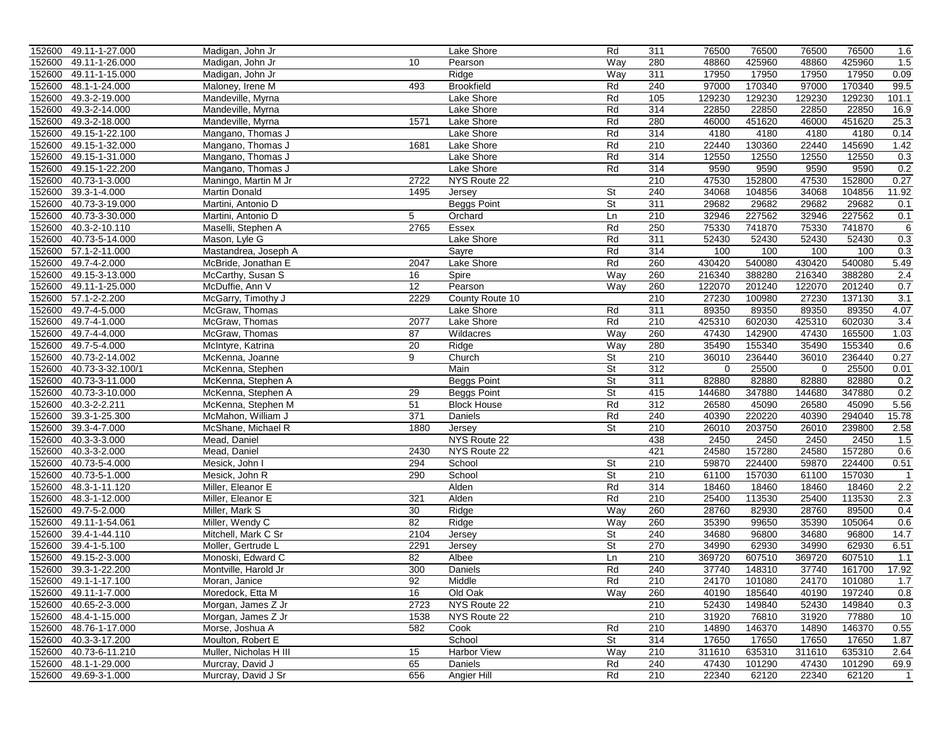| 152600 49.11-1-27.000 |                  | Madigan, John Jr                 |                      | Lake Shore         | Rd        | 311        | 76500  | 76500  | 76500  | 76500  | 1.6            |
|-----------------------|------------------|----------------------------------|----------------------|--------------------|-----------|------------|--------|--------|--------|--------|----------------|
| 152600                | 49.11-1-26.000   | Madigan, John Jr                 | 10                   | Pearson            | Way       | 280        | 48860  | 425960 | 48860  | 425960 | 1.5            |
| 152600                | 49.11-1-15.000   | Madigan, John Jr                 |                      | Ridge              | Way       | 311        | 17950  | 17950  | 17950  | 17950  | 0.09           |
| 152600                | 48.1-1-24.000    | Maloney, Irene M                 | 493                  | <b>Brookfield</b>  | Rd        | 240        | 97000  | 170340 | 97000  | 170340 | 99.5           |
| 152600                | 49.3-2-19.000    | Mandeville, Myrna                |                      | Lake Shore         | Rd        | 105        | 129230 | 129230 | 129230 | 129230 | 101.1          |
| 152600                | 49.3-2-14.000    | Mandeville, Myrna                |                      | Lake Shore         | Rd        | 314        | 22850  | 22850  | 22850  | 22850  | 16.9           |
| 152600                | 49.3-2-18.000    | Mandeville, Myrna                | 1571                 | Lake Shore         | Rd        | 280        | 46000  | 451620 | 46000  | 451620 | 25.3           |
| 152600                | 49.15-1-22.100   | Mangano, Thomas J                |                      | Lake Shore         | Rd        | 314        | 4180   | 4180   | 4180   | 4180   | 0.14           |
| 152600                | 49.15-1-32.000   | Mangano, Thomas J                | 1681                 | Lake Shore         | Rd        | 210        | 22440  | 130360 | 22440  | 145690 | 1.42           |
| 152600                | 49.15-1-31.000   | Mangano, Thomas J                |                      | Lake Shore         | Rd        | 314        | 12550  | 12550  | 12550  | 12550  | 0.3            |
| 152600                | 49.15-1-22.200   | Mangano, Thomas J                |                      | Lake Shore         | Rd        | 314        | 9590   | 9590   | 9590   | 9590   | 0.2            |
| 152600                | 40.73-1-3.000    | Maningo, Martin M Jr             | 2722                 | NYS Route 22       |           | 210        | 47530  | 152800 | 47530  | 152800 | 0.27           |
| 152600                | 39.3-1-4.000     | <b>Martin Donald</b>             | 1495                 | Jersey             | <b>St</b> | 240        | 34068  | 104856 | 34068  | 104856 | 11.92          |
| 152600                | 40.73-3-19.000   | Martini, Antonio D               |                      | <b>Beggs Point</b> | St        | 311        | 29682  | 29682  | 29682  | 29682  | 0.1            |
| 152600                | 40.73-3-30.000   | Martini, Antonio D               | 5                    | Orchard            | Ln        | 210        | 32946  | 227562 | 32946  | 227562 | 0.1            |
| 152600                | 40.3-2-10.110    | Maselli, Stephen A               | 2765                 | Essex              | Rd        | 250        | 75330  | 741870 | 75330  | 741870 | 6              |
| 152600                | 40.73-5-14.000   | Mason, Lyle G                    |                      | Lake Shore         | Rd        | 311        | 52430  | 52430  | 52430  | 52430  | 0.3            |
| 152600                | 57.1-2-11.000    | Mastandrea, Joseph A             |                      | Sayre              | Rd        | 314        | 100    | 100    | 100    | 100    | 0.3            |
| 152600                | 49.7-4-2.000     | McBride, Jonathan E              | 2047                 | Lake Shore         | Rd        | 260        | 430420 | 540080 | 430420 | 540080 | 5.49           |
| 152600                | 49.15-3-13.000   | McCarthy, Susan S                | 16                   | Spire              | Way       | 260        | 216340 | 388280 | 216340 | 388280 | 2.4            |
| 152600 49.11-1-25.000 |                  | McDuffie, Ann V                  | 12                   | Pearson            | Way       | 260        | 122070 | 201240 | 122070 | 201240 | 0.7            |
| 152600                | 57.1-2-2.200     | McGarry, Timothy J               | 2229                 | County Route 10    |           | 210        | 27230  | 100980 | 27230  | 137130 | 3.1            |
| 152600                | 49.7-4-5.000     | McGraw, Thomas                   |                      | Lake Shore         | Rd        | 311        | 89350  | 89350  | 89350  | 89350  | 4.07           |
| 152600                | 49.7-4-1.000     |                                  | 2077                 | Lake Shore         | Rd        | 210        | 425310 | 602030 | 425310 | 602030 |                |
| 152600                | 49.7-4-4.000     | McGraw, Thomas<br>McGraw, Thomas | 87                   | Wildacres          | Way       | 260        | 47430  | 142900 | 47430  | 165500 | 3.4<br>1.03    |
|                       | 49.7-5-4.000     |                                  |                      |                    |           |            |        |        |        |        |                |
| 152600                |                  | McIntyre, Katrina                | $\overline{20}$<br>9 | Ridge              | Way       | 280<br>210 | 35490  | 155340 | 35490  | 155340 | 0.6            |
| 152600                | 40.73-2-14.002   | McKenna, Joanne                  |                      | Church             | St        |            | 36010  | 236440 | 36010  | 236440 | 0.27           |
| 152600                | 40.73-3-32.100/1 | McKenna, Stephen                 |                      | Main               | St        | 312        | 0      | 25500  | 0      | 25500  | 0.01           |
| 152600                | 40.73-3-11.000   | McKenna, Stephen A               |                      | <b>Beggs Point</b> | St        | 311        | 82880  | 82880  | 82880  | 82880  | 0.2            |
| 152600                | 40.73-3-10.000   | McKenna, Stephen A               | 29                   | <b>Beggs Point</b> | St        | 415        | 144680 | 347880 | 144680 | 347880 | 0.2            |
| 152600                | 40.3-2-2.211     | McKenna, Stephen M               | 51                   | <b>Block House</b> | Rd        | 312        | 26580  | 45090  | 26580  | 45090  | 5.56           |
| 152600                | 39.3-1-25.300    | McMahon, William J               | 371                  | Daniels            | Rd        | 240        | 40390  | 220220 | 40390  | 294040 | 15.78          |
| 152600                | 39.3-4-7.000     | McShane, Michael R               | 1880                 | Jersey             | <b>St</b> | 210        | 26010  | 203750 | 26010  | 239800 | 2.58           |
| 152600                | 40.3-3-3.000     | Mead, Daniel                     |                      | NYS Route 22       |           | 438        | 2450   | 2450   | 2450   | 2450   | 1.5            |
| 152600                | 40.3-3-2.000     | Mead, Daniel                     | 2430                 | NYS Route 22       |           | 421        | 24580  | 157280 | 24580  | 157280 | 0.6            |
| 152600                | 40.73-5-4.000    | Mesick, John I                   | 294                  | School             | St        | 210        | 59870  | 224400 | 59870  | 224400 | 0.51           |
| 152600                | 40.73-5-1.000    | Mesick, John R                   | 290                  | School             | St        | 210        | 61100  | 157030 | 61100  | 157030 | $\mathbf{1}$   |
| 152600                | 48.3-1-11.120    | Miller, Eleanor E                |                      | Alden              | Rd        | 314        | 18460  | 18460  | 18460  | 18460  | 2.2            |
| 152600                | 48.3-1-12.000    | Miller, Eleanor E                | 321                  | Alden              | Rd        | 210        | 25400  | 113530 | 25400  | 113530 | 2.3            |
| 152600                | 49.7-5-2.000     | Miller, Mark S                   | 30                   | Ridge              | Way       | 260        | 28760  | 82930  | 28760  | 89500  | 0.4            |
| 152600                | 49.11-1-54.061   | Miller, Wendy C                  | 82                   | Ridge              | Way       | 260        | 35390  | 99650  | 35390  | 105064 | 0.6            |
| 152600                | 39.4-1-44.110    | Mitchell, Mark C Sr              | 2104                 | Jersey             | St        | 240        | 34680  | 96800  | 34680  | 96800  | 14.7           |
| 152600                | 39.4-1-5.100     | Moller, Gertrude L               | 2291                 | Jersey             | St        | 270        | 34990  | 62930  | 34990  | 62930  | 6.51           |
| 152600                | 49.15-2-3.000    | Monoski, Edward C                | 82                   | Albee              | Ln        | 210        | 369720 | 607510 | 369720 | 607510 | 1.1            |
| 152600 39.3-1-22.200  |                  | Montville, Harold Jr             | 300                  | <b>Daniels</b>     | Rd        | 240        | 37740  | 148310 | 37740  | 161700 | 17.92          |
| 152600 49.1-1-17.100  |                  | Moran, Janice                    | 92                   | Middle             | Rd        | 210        | 24170  | 101080 | 24170  | 101080 | 1.7            |
| 152600 49.11-1-7.000  |                  | Moredock, Etta M                 | 16                   | Old Oak            | Way       | 260        | 40190  | 185640 | 40190  | 197240 | 0.8            |
| 152600 40.65-2-3.000  |                  | Morgan, James Z Jr               | 2723                 | NYS Route 22       |           | 210        | 52430  | 149840 | 52430  | 149840 | 0.3            |
| 152600 48.4-1-15.000  |                  | Morgan, James Z Jr               | 1538                 | NYS Route 22       |           | 210        | 31920  | 76810  | 31920  | 77880  | 10             |
| 152600 48.76-1-17.000 |                  | Morse, Joshua A                  | 582                  | Cook               | Rd        | 210        | 14890  | 146370 | 14890  | 146370 | 0.55           |
| 152600 40.3-3-17.200  |                  | Moulton, Robert E                |                      | School             | St        | 314        | 17650  | 17650  | 17650  | 17650  | 1.87           |
| 152600 40.73-6-11.210 |                  | Muller, Nicholas H III           | 15                   | Harbor View        | Way       | 210        | 311610 | 635310 | 311610 | 635310 | 2.64           |
| 152600 48.1-1-29.000  |                  | Murcray, David J                 | 65                   | Daniels            | Rd        | 240        | 47430  | 101290 | 47430  | 101290 | 69.9           |
| 152600 49.69-3-1.000  |                  | Murcray, David J Sr              | 656                  | Angier Hill        | Rd        | 210        | 22340  | 62120  | 22340  | 62120  | $\overline{1}$ |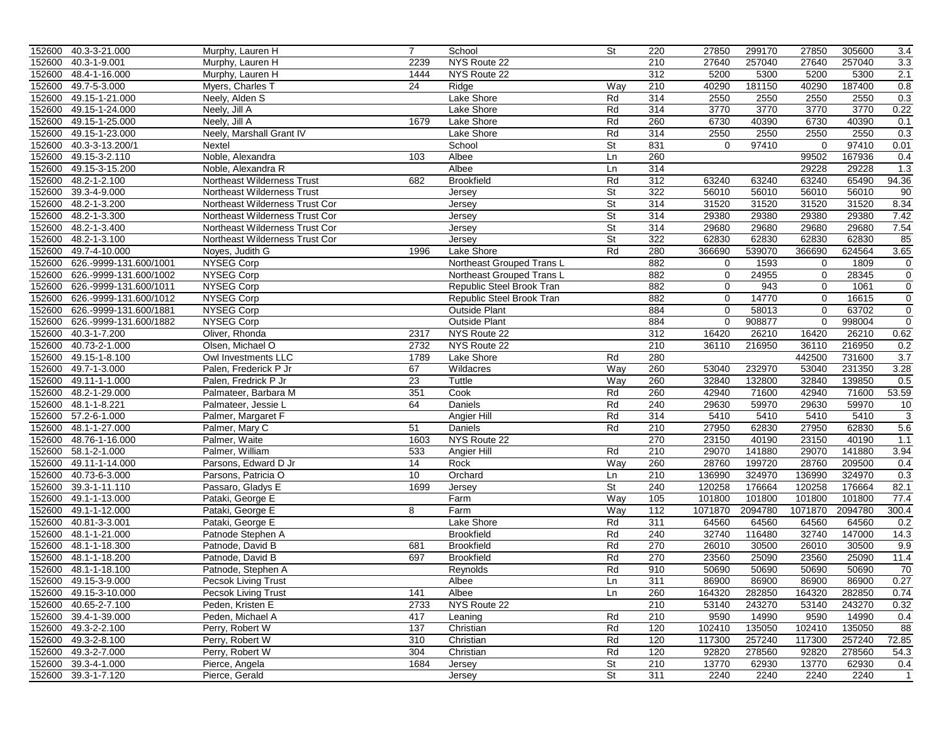|        | 152600 40.3-3-21.000   | Murphy, Lauren H                  | $\overline{7}$  | School                    | $\overline{\mathsf{St}}$ | 220 | 27850       | 299170  | 27850       | 305600  | 3.4          |
|--------|------------------------|-----------------------------------|-----------------|---------------------------|--------------------------|-----|-------------|---------|-------------|---------|--------------|
| 152600 | 40.3-1-9.001           | Murphy, Lauren H                  | 2239            | NYS Route 22              |                          | 210 | 27640       | 257040  | 27640       | 257040  | 3.3          |
| 152600 | 48.4-1-16.000          | Murphy, Lauren H                  | 1444            | NYS Route 22              |                          | 312 | 5200        | 5300    | 5200        | 5300    | 2.1          |
| 152600 | 49.7-5-3.000           | Myers, Charles T                  | $\overline{24}$ | Ridge                     | Way                      | 210 | 40290       | 181150  | 40290       | 187400  | 0.8          |
| 152600 | 49.15-1-21.000         | Neely, Alden S                    |                 | Lake Shore                | Rd                       | 314 | 2550        | 2550    | 2550        | 2550    | 0.3          |
| 152600 | 49.15-1-24.000         | Neely, Jill A                     |                 | Lake Shore                | Rd                       | 314 | 3770        | 3770    | 3770        | 3770    | 0.22         |
| 152600 | 49.15-1-25.000         | Neely, Jill A                     | 1679            | Lake Shore                | Rd                       | 260 | 6730        | 40390   | 6730        | 40390   | 0.1          |
| 152600 | 49.15-1-23.000         | Neely, Marshall Grant IV          |                 | Lake Shore                | Rd                       | 314 | 2550        | 2550    | 2550        | 2550    | 0.3          |
| 152600 | 40.3-3-13.200/1        | Nextel                            |                 | School                    | St                       | 831 | 0           | 97410   | 0           | 97410   | 0.01         |
| 152600 | 49.15-3-2.110          | Noble, Alexandra                  | 103             | Albee                     | Ln                       | 260 |             |         | 99502       | 167936  | 0.4          |
| 152600 | 49.15-3-15.200         | Noble, Alexandra R                |                 | Albee                     | Ln                       | 314 |             |         | 29228       | 29228   | 1.3          |
| 152600 | 48.2-1-2.100           | Northeast Wilderness Trust        | 682             | <b>Brookfield</b>         | Rd                       | 312 | 63240       | 63240   | 63240       | 65490   | 94.36        |
| 152600 | 39.3-4-9.000           | <b>Northeast Wilderness Trust</b> |                 | Jersey                    | <b>St</b>                | 322 | 56010       | 56010   | 56010       | 56010   | 90           |
| 152600 | 48.2-1-3.200           | Northeast Wilderness Trust Cor    |                 | Jersey                    | St                       | 314 | 31520       | 31520   | 31520       | 31520   | 8.34         |
| 152600 | 48.2-1-3.300           | Northeast Wilderness Trust Cor    |                 | Jersey                    | St                       | 314 | 29380       | 29380   | 29380       | 29380   | 7.42         |
| 152600 | 48.2-1-3.400           | Northeast Wilderness Trust Cor    |                 | Jersey                    | St                       | 314 | 29680       | 29680   | 29680       | 29680   | 7.54         |
| 152600 | 48.2-1-3.100           | Northeast Wilderness Trust Cor    |                 | Jersey                    | St                       | 322 | 62830       | 62830   | 62830       | 62830   | 85           |
| 152600 | 49.7-4-10.000          | Noyes, Judith G                   | 1996            | Lake Shore                | Rd                       | 280 | 366690      | 539070  | 366690      | 624564  | 3.65         |
| 152600 | 626.-9999-131.600/1001 | <b>NYSEG Corp</b>                 |                 | Northeast Grouped Trans L |                          | 882 | 0           | 1593    | $\mathbf 0$ | 1809    | $\mathbf 0$  |
| 152600 | 626.-9999-131.600/1002 | <b>NYSEG Corp</b>                 |                 | Northeast Grouped Trans L |                          | 882 | 0           | 24955   | $\mathbf 0$ | 28345   | $\mathbf 0$  |
| 152600 | 626.-9999-131.600/1011 | <b>NYSEG Corp</b>                 |                 | Republic Steel Brook Tran |                          | 882 | $\mathbf 0$ | 943     | $\mathbf 0$ | 1061    | $\mathbf 0$  |
| 152600 | 626.-9999-131.600/1012 | <b>NYSEG Corp</b>                 |                 | Republic Steel Brook Tran |                          | 882 | $\mathbf 0$ | 14770   | $\Omega$    | 16615   | $\mathbf 0$  |
| 152600 | 626.-9999-131.600/1881 | <b>NYSEG Corp</b>                 |                 | <b>Outside Plant</b>      |                          | 884 | $\mathbf 0$ | 58013   | 0           | 63702   | $\mathbf 0$  |
| 152600 | 626.-9999-131.600/1882 | <b>NYSEG Corp</b>                 |                 | <b>Outside Plant</b>      |                          | 884 | $\Omega$    | 908877  | $\mathbf 0$ | 998004  | $\mathbf 0$  |
| 152600 | 40.3-1-7.200           | Oliver, Rhonda                    | 2317            | NYS Route 22              |                          | 312 | 16420       | 26210   | 16420       | 26210   | 0.62         |
| 152600 | 40.73-2-1.000          | Olsen, Michael O                  | 2732            | NYS Route 22              |                          | 210 | 36110       | 216950  | 36110       | 216950  | 0.2          |
| 152600 | 49.15-1-8.100          | Owl Investments LLC               | 1789            | Lake Shore                | Rd                       | 280 |             |         | 442500      | 731600  | 3.7          |
|        |                        |                                   |                 |                           |                          |     | 53040       |         |             |         |              |
| 152600 | 49.7-1-3.000           | Palen, Frederick P Jr             | 67              | Wildacres                 | Way                      | 260 |             | 232970  | 53040       | 231350  | 3.28         |
| 152600 | 49.11-1-1.000          | Palen, Fredrick P Jr              | 23              | Tuttle                    | Way                      | 260 | 32840       | 132800  | 32840       | 139850  | 0.5          |
| 152600 | 48.2-1-29.000          | Palmateer, Barbara M              | 351             | Cook                      | Rd                       | 260 | 42940       | 71600   | 42940       | 71600   | 53.59        |
| 152600 | 48.1-1-8.221           | Palmateer, Jessie L               | 64              | Daniels                   | Rd                       | 240 | 29630       | 59970   | 29630       | 59970   | 10           |
| 152600 | 57.2-6-1.000           | Palmer, Margaret F                |                 | Angier Hill               | Rd                       | 314 | 5410        | 5410    | 5410        | 5410    | 3            |
| 152600 | 48.1-1-27.000          | Palmer, Mary C                    | 51              | Daniels                   | Rd                       | 210 | 27950       | 62830   | 27950       | 62830   | 5.6          |
| 152600 | 48.76-1-16.000         | Palmer, Waite                     | 1603            | NYS Route 22              |                          | 270 | 23150       | 40190   | 23150       | 40190   | 1.1          |
|        | 152600 58.1-2-1.000    | Palmer, William                   | 533             | Angier Hill               | Rd                       | 210 | 29070       | 141880  | 29070       | 141880  | 3.94         |
| 152600 | 49.11-1-14.000         | Parsons, Edward D Jr              | 14              | Rock                      | Way                      | 260 | 28760       | 199720  | 28760       | 209500  | 0.4          |
| 152600 | 40.73-6-3.000          | Parsons, Patricia O               | 10              | Orchard                   | Ln                       | 210 | 136990      | 324970  | 136990      | 324970  | 0.3          |
| 152600 | 39.3-1-11.110          | Passaro, Gladys E                 | 1699            | Jersey                    | $\overline{\mathsf{St}}$ | 240 | 120258      | 176664  | 120258      | 176664  | 82.1         |
| 152600 | 49.1-1-13.000          | Pataki, George E                  |                 | Farm                      | Way                      | 105 | 101800      | 101800  | 101800      | 101800  | 77.4         |
| 152600 | 49.1-1-12.000          | Pataki, George E                  | 8               | Farm                      | Way                      | 112 | 1071870     | 2094780 | 1071870     | 2094780 | 300.4        |
| 152600 | 40.81-3-3.001          | Pataki, George E                  |                 | Lake Shore                | Rd                       | 311 | 64560       | 64560   | 64560       | 64560   | 0.2          |
| 152600 | 48.1-1-21.000          | Patnode Stephen A                 |                 | <b>Brookfield</b>         | Rd                       | 240 | 32740       | 116480  | 32740       | 147000  | 14.3         |
| 152600 | 48.1-1-18.300          | Patnode, David B                  | 681             | <b>Brookfield</b>         | Rd                       | 270 | 26010       | 30500   | 26010       | 30500   | 9.9          |
| 152600 | 48.1-1-18.200          | Patnode, David B                  | 697             | <b>Brookfield</b>         | Rd                       | 270 | 23560       | 25090   | 23560       | 25090   | 11.4         |
|        | 152600 48.1-1-18.100   | Patnode, Stephen A                |                 | Reynolds                  | Rd                       | 910 | 50690       | 50690   | 50690       | 50690   | 70           |
|        | 152600 49.15-3-9.000   | Pecsok Living Trust               |                 | Albee                     | Ln                       | 311 | 86900       | 86900   | 86900       | 86900   | 0.27         |
|        | 152600 49.15-3-10.000  | <b>Pecsok Living Trust</b>        | 141             | Albee                     | Ln                       | 260 | 164320      | 282850  | 164320      | 282850  | 0.74         |
|        | 152600 40.65-2-7.100   | Peden, Kristen E                  | 2733            | NYS Route 22              |                          | 210 | 53140       | 243270  | 53140       | 243270  | 0.32         |
|        | 152600 39.4-1-39.000   | Peden, Michael A                  | 417             | Leaning                   | Rd                       | 210 | 9590        | 14990   | 9590        | 14990   | 0.4          |
|        | 152600 49.3-2-2.100    | Perry, Robert W                   | 137             | Christian                 | Rd                       | 120 | 102410      | 135050  | 102410      | 135050  | 88           |
|        | 152600 49.3-2-8.100    | Perry, Robert W                   | 310             | Christian                 | Rd                       | 120 | 117300      | 257240  | 117300      | 257240  | 72.85        |
|        | 152600 49.3-2-7.000    | Perry, Robert W                   | 304             | Christian                 | Rd                       | 120 | 92820       | 278560  | 92820       | 278560  | 54.3         |
|        | 152600 39.3-4-1.000    | Pierce, Angela                    | 1684            | Jersey                    | St                       | 210 | 13770       | 62930   | 13770       | 62930   | 0.4          |
|        | 152600 39.3-1-7.120    | Pierce, Gerald                    |                 | Jersey                    | St                       | 311 | 2240        | 2240    | 2240        | 2240    | $\mathbf{1}$ |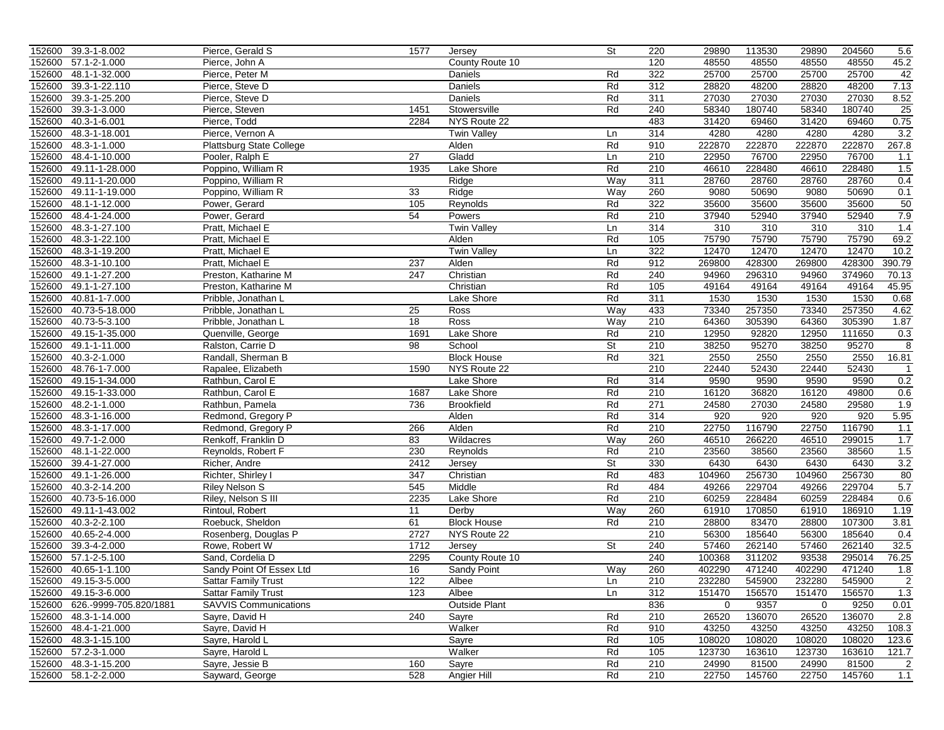|                  | 152600 39.3-1-8.002             | Pierce, Gerald S                             | 1577            | Jersey               | $\overline{\mathsf{St}}$ | 220        | 29890           | 113530          | 29890          | 204560           | 5.6             |
|------------------|---------------------------------|----------------------------------------------|-----------------|----------------------|--------------------------|------------|-----------------|-----------------|----------------|------------------|-----------------|
| 152600           | 57.1-2-1.000                    | Pierce, John A                               |                 | County Route 10      |                          | 120        | 48550           | 48550           | 48550          | 48550            | 45.2            |
| 152600           | 48.1-1-32.000                   | Pierce, Peter M                              |                 | Daniels              | Rd                       | 322        | 25700           | 25700           | 25700          | 25700            | 42              |
| 152600           | 39.3-1-22.110                   | Pierce, Steve D                              |                 | Daniels              | Rd                       | 312        | 28820           | 48200           | 28820          | 48200            | 7.13            |
| 152600           | 39.3-1-25.200                   | Pierce, Steve D                              |                 | Daniels              | Rd                       | 311        | 27030           | 27030           | 27030          | 27030            | 8.52            |
| 152600           | 39.3-1-3.000                    | Pierce, Steven                               | 1451            | Stowersville         | Rd                       | 240        | 58340           | 180740          | 58340          | 180740           | $\overline{25}$ |
| 152600           | 40.3-1-6.001                    | Pierce, Todd                                 | 2284            | NYS Route 22         |                          | 483        | 31420           | 69460           | 31420          | 69460            | 0.75            |
| 152600           | 48.3-1-18.001                   | Pierce, Vernon A                             |                 | <b>Twin Valley</b>   | Ln                       | 314        | 4280            | 4280            | 4280           | 4280             | 3.2             |
| 152600           | 48.3-1-1.000                    | Plattsburg State College                     |                 | Alden                | Rd                       | 910        | 222870          | 222870          | 222870         | 222870           | 267.8           |
| 152600           | 48.4-1-10.000                   | Pooler, Ralph E                              | $\overline{27}$ | Gladd                | Ln                       | 210        | 22950           | 76700           | 22950          | 76700            | 1.1             |
| 152600           | 49.11-1-28.000                  | Poppino, William R                           | 1935            | Lake Shore           | Rd                       | 210        | 46610           | 228480          | 46610          | 228480           | 1.5             |
| 152600           | 49.11-1-20.000                  | Poppino, William R                           |                 | Ridge                | Way                      | 311        | 28760           | 28760           | 28760          | 28760            | 0.4             |
| 152600           | 49.11-1-19.000                  | Poppino, William R                           | 33              | Ridge                | Way                      | 260        | 9080            | 50690           | 9080           | 50690            | 0.1             |
| 152600           | 48.1-1-12.000                   | Power, Gerard                                | 105             | Reynolds             | Rd                       | 322        | 35600           | 35600           | 35600          | 35600            | 50              |
| 152600           | 48.4-1-24.000                   | Power, Gerard                                | 54              | Powers               | Rd                       | 210        | 37940           | 52940           | 37940          | 52940            | 7.9             |
| 152600           | 48.3-1-27.100                   | Pratt, Michael E                             |                 | <b>Twin Valley</b>   | Ln                       | 314        | 310             | 310             | 310            | 310              | 1.4             |
| 152600           | 48.3-1-22.100                   | Pratt, Michael E                             |                 | Alden                | Rd                       | 105        | 75790           | 75790           | 75790          | 75790            | 69.2            |
|                  | 152600 48.3-1-19.200            | Pratt, Michael E                             |                 | <b>Twin Valley</b>   | Ln                       | 322        | 12470           | 12470           | 12470          | 12470            | 10.2            |
| 152600           | 48.3-1-10.100                   | Pratt, Michael E                             | 237             | Alden                | Rd                       | 912        | 269800          | 428300          | 269800         | 428300           | 390.79          |
| 152600           | 49.1-1-27.200                   | Preston, Katharine M                         | 247             | Christian            | Rd                       | 240        | 94960           | 296310          | 94960          | 374960           | 70.13           |
| 152600           | 49.1-1-27.100                   | Preston, Katharine M                         |                 | Christian            | Rd                       | 105        | 49164           | 49164           | 49164          | 49164            | 45.95           |
| 152600           | 40.81-1-7.000                   | Pribble, Jonathan L                          |                 | Lake Shore           | Rd                       | 311        | 1530            | 1530            | 1530           | 1530             | 0.68            |
| 152600           | 40.73-5-18.000                  | Pribble, Jonathan L                          | 25              | Ross                 | Way                      | 433        | 73340           | 257350          | 73340          | 257350           | 4.62            |
| 152600           | 40.73-5-3.100                   | Pribble, Jonathan L                          | 18              | Ross                 | Way                      | 210        | 64360           | 305390          | 64360          | 305390           | 1.87            |
| 152600           | 49.15-1-35.000                  | Quenville, George                            | 1691            | Lake Shore           | Rd                       | 210        | 12950           | 92820           | 12950          | 111650           | 0.3             |
| 152600           | 49.1-1-11.000                   | Ralston, Carrie D                            | 98              | School               | St                       | 210        | 38250           | 95270           | 38250          | 95270            | 8               |
| 152600           | 40.3-2-1.000                    | Randall, Sherman B                           |                 | <b>Block House</b>   | Rd                       | 321        | 2550            | 2550            | 2550           | 2550             | 16.81           |
| 152600           | 48.76-1-7.000                   | Rapalee, Elizabeth                           | 1590            | NYS Route 22         |                          | 210        | 22440           | 52430           | 22440          | 52430            | $\overline{1}$  |
| 152600           | 49.15-1-34.000                  | Rathbun, Carol E                             |                 | Lake Shore           | Rd                       | 314        | 9590            | 9590            | 9590           | 9590             | 0.2             |
| 152600           | 49.15-1-33.000                  | Rathbun, Carol E                             | 1687            | Lake Shore           | Rd                       | 210        | 16120           | 36820           | 16120          | 49800            | 0.6             |
| 152600           | 48.2-1-1.000                    | Rathbun, Pamela                              | 736             | <b>Brookfield</b>    | Rd                       | 271        | 24580           | 27030           | 24580          | 29580            | 1.9             |
| 152600           | 48.3-1-16.000                   |                                              |                 | Alden                | Rd                       | 314        | 920             | 920             | 920            | 920              | 5.95            |
| 152600           | 48.3-1-17.000                   | Redmond, Gregory P<br>Redmond, Gregory P     | 266             | Alden                | Rd                       | 210        | 22750           | 116790          | 22750          | 116790           | 1.1             |
| 152600           | 49.7-1-2.000                    | Renkoff, Franklin D                          | 83              | Wildacres            | Way                      | 260        | 46510           | 266220          | 46510          | 299015           | 1.7             |
|                  | 152600 48.1-1-22.000            |                                              | 230             | Reynolds             | Rd                       | 210        | 23560           | 38560           | 23560          | 38560            | 1.5             |
| 152600           | 39.4-1-27.000                   | Reynolds, Robert F                           | 2412            |                      | St                       | 330        | 6430            | 6430            | 6430           | 6430             | 3.2             |
|                  |                                 | Richer, Andre                                |                 | Jersey<br>Christian  | Rd                       | 483        |                 | 256730          | 104960         | 256730           | 80              |
| 152600           | 49.1-1-26.000                   | Richter, Shirley I                           | 347<br>545      |                      | Rd                       | 484        | 104960<br>49266 | 229704          |                | 229704           |                 |
| 152600<br>152600 | 40.3-2-14.200<br>40.73-5-16.000 | <b>Riley Nelson S</b><br>Riley, Nelson S III | 2235            | Middle<br>Lake Shore | Rd                       | 210        | 60259           | 228484          | 49266<br>60259 | 228484           | 5.7<br>0.6      |
|                  | 49.11-1-43.002                  | Rintoul, Robert                              |                 |                      |                          |            |                 |                 | 61910          |                  |                 |
| 152600<br>152600 |                                 |                                              | 11              | Derby                | Way<br>Rd                | 260<br>210 | 61910           | 170850          |                | 186910           | 1.19            |
|                  | 40.3-2-2.100<br>40.65-2-4.000   | Roebuck, Sheldon                             | 61<br>2727      | <b>Block House</b>   |                          | 210        | 28800<br>56300  | 83470<br>185640 | 28800<br>56300 | 107300<br>185640 | 3.81<br>0.4     |
| 152600           |                                 | Rosenberg, Douglas P                         |                 | NYS Route 22         |                          |            |                 |                 |                |                  |                 |
| 152600           | 39.3-4-2.000<br>57.1-2-5.100    | Rowe, Robert W                               | 1712<br>2295    | Jersey               | St                       | 240<br>240 | 57460           | 262140          | 57460<br>93538 | 262140<br>295014 | 32.5            |
| 152600           |                                 | Sand, Cordelia D                             |                 | County Route 10      |                          |            | 100368          | 311202          |                |                  | 76.25           |
|                  | 152600 40.65-1-1.100            | Sandy Point Of Essex Ltd                     | 16              | Sandy Point          | Way                      | 260        | 402290          | 471240          | 402290         | 471240           | 1.8             |
|                  | 152600 49.15-3-5.000            | Sattar Family Trust                          | 122             | Albee                | Ln                       | 210        | 232280          | 545900          | 232280         | 545900           | $\mathbf{z}$    |
|                  | 152600 49.15-3-6.000            | <b>Sattar Family Trust</b>                   | 123             | Albee                | Ln                       | 312        | 151470          | 156570          | 151470         | 156570           | 1.3             |
|                  | 152600 626.-9999-705.820/1881   | <b>SAVVIS Communications</b>                 |                 | <b>Outside Plant</b> |                          | 836        | 0               | 9357            | 0              | 9250             | 0.01            |
|                  | 152600 48.3-1-14.000            | Sayre, David H                               | 240             | Sayre                | Rd                       | 210        | 26520           | 136070          | 26520          | 136070           | 2.8             |
|                  | 152600 48.4-1-21.000            | Sayre, David H                               |                 | Walker               | Rd                       | 910        | 43250           | 43250           | 43250          | 43250            | 108.3           |
|                  | 152600 48.3-1-15.100            | Sayre, Harold L                              |                 | Sayre                | Rd                       | 105        | 108020          | 108020          | 108020         | 108020           | 123.6           |
|                  | 152600 57.2-3-1.000             | Sayre, Harold L                              |                 | Walker               | Rd                       | 105        | 123730          | 163610          | 123730         | 163610           | 121.7           |
|                  | 152600 48.3-1-15.200            | Sayre, Jessie B                              | 160             | Sayre                | Rd                       | 210        | 24990           | 81500           | 24990          | 81500            | $\overline{2}$  |
|                  | 152600 58.1-2-2.000             | Sayward, George                              | 528             | Angier Hill          | Rd                       | 210        | 22750           | 145760          | 22750          | 145760           | 1.1             |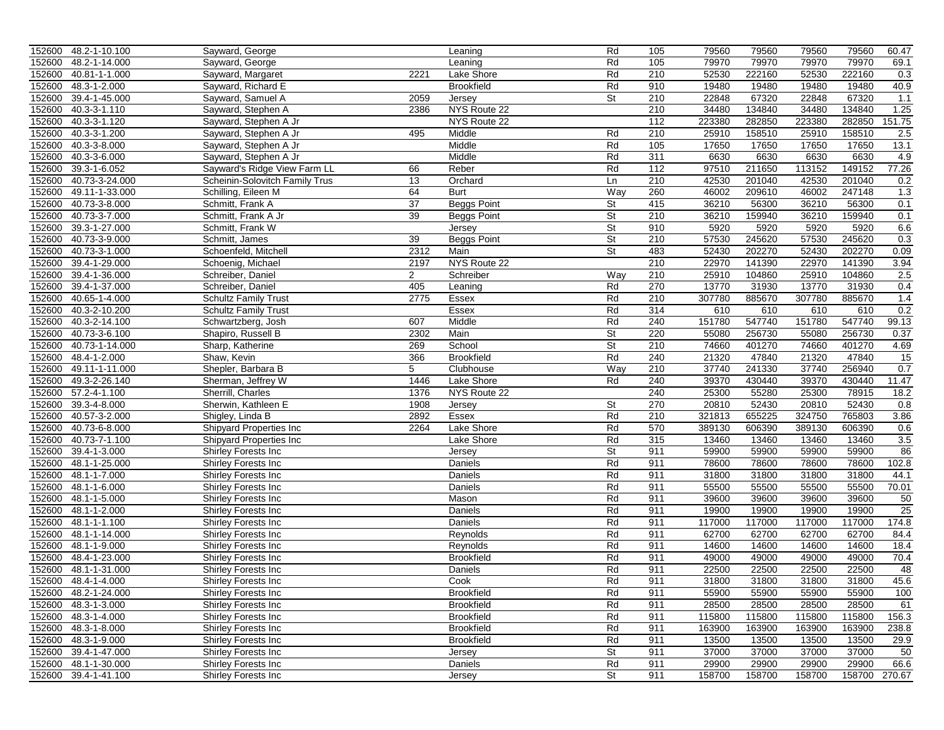|        | 152600 48.2-1-10.100 | Sayward, George                |                 | Leaning            | Rd        | 105 | 79560  | 79560  | 79560  | 79560         | 60.47  |
|--------|----------------------|--------------------------------|-----------------|--------------------|-----------|-----|--------|--------|--------|---------------|--------|
| 152600 | 48.2-1-14.000        | Sayward, George                |                 | Leaning            | Rd        | 105 | 79970  | 79970  | 79970  | 79970         | 69.1   |
| 152600 | 40.81-1-1.000        | Sayward, Margaret              | 2221            | Lake Shore         | Rd        | 210 | 52530  | 222160 | 52530  | 222160        | 0.3    |
| 152600 | 48.3-1-2.000         | Sayward, Richard E             |                 | <b>Brookfield</b>  | Rd        | 910 | 19480  | 19480  | 19480  | 19480         | 40.9   |
| 152600 | 39.4-1-45.000        | Sayward, Samuel A              | 2059            | Jersey             | <b>St</b> | 210 | 22848  | 67320  | 22848  | 67320         | 1.1    |
| 152600 | 40.3-3-1.110         | Sayward, Stephen A             | 2386            | NYS Route 22       |           | 210 | 34480  | 134840 | 34480  | 134840        | 1.25   |
| 152600 | 40.3-3-1.120         | Sayward, Stephen A Jr          |                 | NYS Route 22       |           | 112 | 223380 | 282850 | 223380 | 282850        | 151.75 |
| 152600 | 40.3-3-1.200         | Sayward, Stephen A Jr          | 495             | Middle             | Rd        | 210 | 25910  | 158510 | 25910  | 158510        | 2.5    |
| 152600 | 40.3-3-8.000         | Sayward, Stephen A Jr          |                 | Middle             | Rd        | 105 | 17650  | 17650  | 17650  | 17650         | 13.1   |
| 152600 | 40.3-3-6.000         | Sayward, Stephen A Jr          |                 | Middle             | Rd        | 311 | 6630   | 6630   | 6630   | 6630          | 4.9    |
| 152600 | 39.3-1-6.052         | Sayward's Ridge View Farm LL   | 66              | Reber              | Rd        | 112 | 97510  | 211650 | 113152 | 149152        | 77.26  |
| 152600 | 40.73-3-24.000       |                                | 13              | Orchard            | Ln        | 210 | 42530  | 201040 | 42530  | 201040        | 0.2    |
|        |                      | Scheinin-Solovitch Family Trus |                 |                    |           |     |        |        |        |               |        |
| 152600 | 49.11-1-33.000       | Schilling, Eileen M            | 64              | <b>Burt</b>        | Way       | 260 | 46002  | 209610 | 46002  | 247148        | 1.3    |
| 152600 | 40.73-3-8.000        | Schmitt, Frank A               | 37              | <b>Beggs Point</b> | St        | 415 | 36210  | 56300  | 36210  | 56300         | 0.1    |
| 152600 | 40.73-3-7.000        | Schmitt, Frank A Jr            | 39              | <b>Beggs Point</b> | St        | 210 | 36210  | 159940 | 36210  | 159940        | 0.1    |
| 152600 | 39.3-1-27.000        | Schmitt, Frank W               |                 | Jersey             | St        | 910 | 5920   | 5920   | 5920   | 5920          | 6.6    |
| 152600 | 40.73-3-9.000        | Schmitt, James                 | 39              | <b>Beggs Point</b> | St        | 210 | 57530  | 245620 | 57530  | 245620        | 0.3    |
| 152600 | 40.73-3-1.000        | Schoenfeld, Mitchell           | 2312            | Main               | St        | 483 | 52430  | 202270 | 52430  | 202270        | 0.09   |
| 152600 | 39.4-1-29.000        | Schoenig, Michael              | 2197            | NYS Route 22       |           | 210 | 22970  | 141390 | 22970  | 141390        | 3.94   |
| 152600 | 39.4-1-36.000        | Schreiber, Daniel              | $\overline{2}$  | Schreiber          | Way       | 210 | 25910  | 104860 | 25910  | 104860        | 2.5    |
| 152600 | 39.4-1-37.000        | Schreiber, Daniel              | 405             | Leaning            | Rd        | 270 | 13770  | 31930  | 13770  | 31930         | 0.4    |
| 152600 | 40.65-1-4.000        | <b>Schultz Family Trust</b>    | 2775            | Essex              | Rd        | 210 | 307780 | 885670 | 307780 | 885670        | 1.4    |
| 152600 | 40.3-2-10.200        | <b>Schultz Family Trust</b>    |                 | <b>Essex</b>       | Rd        | 314 | 610    | 610    | 610    | 610           | 0.2    |
| 152600 | 40.3-2-14.100        | Schwartzberg, Josh             | 607             | Middle             | Rd        | 240 | 151780 | 547740 | 151780 | 547740        | 99.13  |
| 152600 | 40.73-3-6.100        | Shapiro, Russell B             | 2302            | Main               | St        | 220 | 55080  | 256730 | 55080  | 256730        | 0.37   |
| 152600 | 40.73-1-14.000       | Sharp, Katherine               | 269             | School             | St        | 210 | 74660  | 401270 | 74660  | 401270        | 4.69   |
| 152600 | 48.4-1-2.000         | Shaw, Kevin                    | 366             | <b>Brookfield</b>  | Rd        | 240 | 21320  | 47840  | 21320  | 47840         | 15     |
| 152600 | 49.11-1-11.000       | Shepler, Barbara B             | $5\overline{)}$ | Clubhouse          | Way       | 210 | 37740  | 241330 | 37740  | 256940        | 0.7    |
| 152600 | 49.3-2-26.140        | Sherman, Jeffrey W             | 1446            | Lake Shore         | Rd        | 240 | 39370  | 430440 | 39370  | 430440        | 11.47  |
| 152600 | 57.2-4-1.100         | Sherrill, Charles              | 1376            | NYS Route 22       |           | 240 | 25300  | 55280  | 25300  | 78915         | 18.2   |
| 152600 | 39.3-4-8.000         | Sherwin, Kathleen E            | 1908            | Jersey             | St        | 270 | 20810  | 52430  | 20810  | 52430         | 0.8    |
| 152600 | 40.57-3-2.000        | Shigley, Linda B               | 2892            | Essex              | Rd        | 210 | 321813 | 655225 | 324750 | 765803        | 3.86   |
| 152600 | 40.73-6-8.000        | Shipyard Properties Inc        | 2264            | Lake Shore         | Rd        | 570 | 389130 | 606390 | 389130 | 606390        | 0.6    |
| 152600 | 40.73-7-1.100        | Shipyard Properties Inc        |                 | Lake Shore         | Rd        | 315 | 13460  | 13460  | 13460  | 13460         | 3.5    |
| 152600 | 39.4-1-3.000         | Shirley Forests Inc            |                 | Jersey             | <b>St</b> | 911 | 59900  | 59900  | 59900  | 59900         | 86     |
| 152600 | 48.1-1-25.000        | Shirley Forests Inc            |                 | Daniels            | Rd        | 911 | 78600  | 78600  | 78600  | 78600         | 102.8  |
|        |                      |                                |                 |                    |           |     |        |        |        |               |        |
| 152600 | 48.1-1-7.000         | Shirley Forests Inc            |                 | Daniels            | Rd<br>Rd  | 911 | 31800  | 31800  | 31800  | 31800         | 44.1   |
| 152600 | 48.1-1-6.000         | Shirley Forests Inc            |                 | Daniels            |           | 911 | 55500  | 55500  | 55500  | 55500         | 70.01  |
| 152600 | 48.1-1-5.000         | Shirley Forests Inc            |                 | Mason              | Rd        | 911 | 39600  | 39600  | 39600  | 39600         | 50     |
| 152600 | 48.1-1-2.000         | Shirley Forests Inc            |                 | Daniels            | Rd        | 911 | 19900  | 19900  | 19900  | 19900         | 25     |
| 152600 | 48.1-1-1.100         | Shirley Forests Inc            |                 | Daniels            | Rd        | 911 | 117000 | 117000 | 117000 | 117000        | 174.8  |
| 152600 | 48.1-1-14.000        | Shirley Forests Inc            |                 | Reynolds           | Rd        | 911 | 62700  | 62700  | 62700  | 62700         | 84.4   |
| 152600 | 48.1-1-9.000         | Shirley Forests Inc            |                 | Reynolds           | Rd        | 911 | 14600  | 14600  | 14600  | 14600         | 18.4   |
| 152600 | 48.4-1-23.000        | Shirley Forests Inc            |                 | <b>Brookfield</b>  | Rd        | 911 | 49000  | 49000  | 49000  | 49000         | 70.4   |
| 152600 | 48.1-1-31.000        | Shirley Forests Inc            |                 | Daniels            | Rd        | 911 | 22500  | 22500  | 22500  | 22500         | 48     |
|        | 152600 48.4-1-4.000  | Shirley Forests Inc            |                 | Cook               | Rd        | 911 | 31800  | 31800  | 31800  | 31800         | 45.6   |
|        | 152600 48.2-1-24.000 | <b>Shirley Forests Inc.</b>    |                 | <b>Brookfield</b>  | Rd        | 911 | 55900  | 55900  | 55900  | 55900         | 100    |
|        | 152600 48.3-1-3.000  | <b>Shirley Forests Inc.</b>    |                 | <b>Brookfield</b>  | Rd        | 911 | 28500  | 28500  | 28500  | 28500         | 61     |
|        | 152600 48.3-1-4.000  | Shirley Forests Inc            |                 | <b>Brookfield</b>  | Rd        | 911 | 115800 | 115800 | 115800 | 115800        | 156.3  |
|        | 152600 48.3-1-8.000  | <b>Shirley Forests Inc.</b>    |                 | <b>Brookfield</b>  | Rd        | 911 | 163900 | 163900 | 163900 | 163900        | 238.8  |
|        | 152600 48.3-1-9.000  | Shirley Forests Inc            |                 | <b>Brookfield</b>  | Rd        | 911 | 13500  | 13500  | 13500  | 13500         | 29.9   |
|        | 152600 39.4-1-47.000 | Shirley Forests Inc            |                 | Jersey             | St        | 911 | 37000  | 37000  | 37000  | 37000         | 50     |
|        | 152600 48.1-1-30.000 | <b>Shirley Forests Inc.</b>    |                 | Daniels            | Rd        | 911 | 29900  | 29900  | 29900  | 29900         | 66.6   |
|        | 152600 39.4-1-41.100 | <b>Shirley Forests Inc</b>     |                 | Jersey             | St        | 911 | 158700 | 158700 | 158700 | 158700 270.67 |        |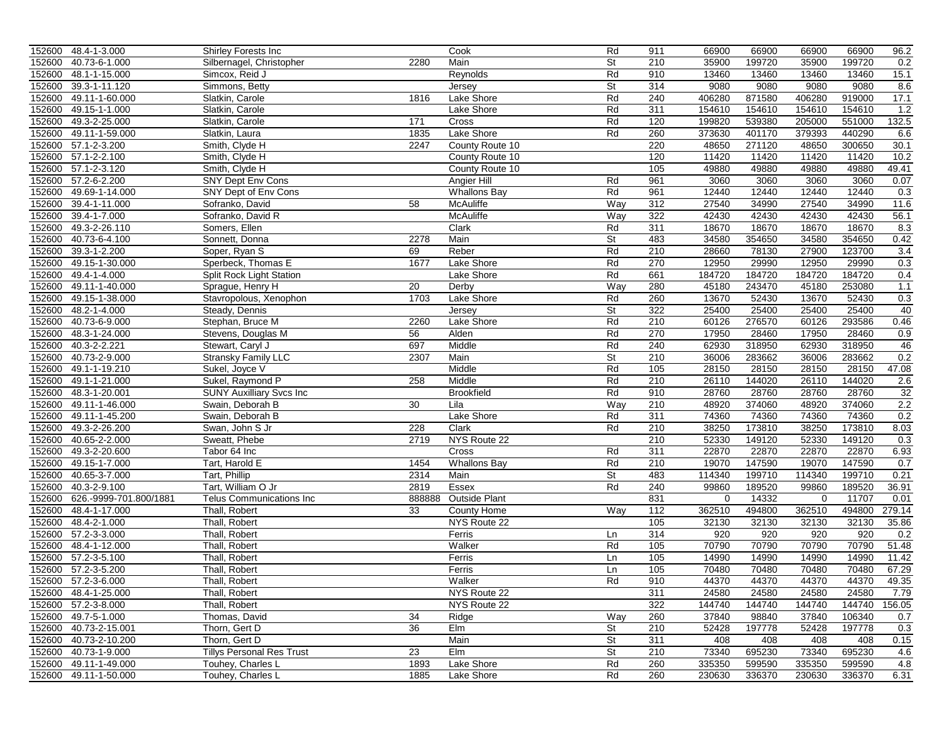|        | 152600 48.4-1-3.000    | <b>Shirley Forests Inc</b>       |                 | Cook                 | Rd                       | 911        | 66900  | 66900  | 66900       | 66900  | 96.2   |
|--------|------------------------|----------------------------------|-----------------|----------------------|--------------------------|------------|--------|--------|-------------|--------|--------|
| 152600 | 40.73-6-1.000          | Silbernagel, Christopher         | 2280            | Main                 | St                       | 210        | 35900  | 199720 | 35900       | 199720 | 0.2    |
| 152600 | 48.1-1-15.000          | Simcox, Reid J                   |                 | Reynolds             | Rd                       | 910        | 13460  | 13460  | 13460       | 13460  | 15.1   |
| 152600 | 39.3-1-11.120          | Simmons, Betty                   |                 | Jersey               | St                       | 314        | 9080   | 9080   | 9080        | 9080   | 8.6    |
| 152600 | 49.11-1-60.000         | Slatkin, Carole                  | 1816            | Lake Shore           | Rd                       | 240        | 406280 | 871580 | 406280      | 919000 | 17.1   |
| 152600 | 49.15-1-1.000          | Slatkin, Carole                  |                 | Lake Shore           | Rd                       | 311        | 154610 | 154610 | 154610      | 154610 | 1.2    |
| 152600 | 49.3-2-25.000          | Slatkin, Carole                  | 171             | Cross                | Rd                       | 120        | 199820 | 539380 | 205000      | 551000 | 132.5  |
| 152600 | 49.11-1-59.000         | Slatkin, Laura                   | 1835            | Lake Shore           | Rd                       | 260        | 373630 | 401170 | 379393      | 440290 | 6.6    |
| 152600 | 57.1-2-3.200           | Smith, Clyde H                   | 2247            | County Route 10      |                          | 220        | 48650  | 271120 | 48650       | 300650 | 30.1   |
| 152600 | 57.1-2-2.100           | Smith, Clyde H                   |                 | County Route 10      |                          | 120        | 11420  | 11420  | 11420       | 11420  | 10.2   |
| 152600 | 57.1-2-3.120           | Smith, Clyde H                   |                 | County Route 10      |                          | 105        | 49880  | 49880  | 49880       | 49880  | 49.41  |
| 152600 | 57.2-6-2.200           | <b>SNY Dept Env Cons</b>         |                 | Angier Hill          | Rd                       | 961        | 3060   | 3060   | 3060        | 3060   | 0.07   |
| 152600 | 49.69-1-14.000         | SNY Dept of Env Cons             |                 | <b>Whallons Bay</b>  | Rd                       | 961        | 12440  | 12440  | 12440       | 12440  | 0.3    |
| 152600 | 39.4-1-11.000          | Sofranko, David                  | 58              | McAuliffe            | Way                      | 312        | 27540  | 34990  | 27540       | 34990  | 11.6   |
| 152600 | 39.4-1-7.000           | Sofranko, David R                |                 | McAuliffe            | Way                      | 322        | 42430  | 42430  | 42430       | 42430  | 56.1   |
| 152600 | 49.3-2-26.110          | Somers, Ellen                    |                 | Clark                | Rd                       | 311        | 18670  | 18670  | 18670       | 18670  | 8.3    |
| 152600 | 40.73-6-4.100          | Sonnett, Donna                   | 2278            | Main                 | St                       | 483        | 34580  | 354650 | 34580       | 354650 | 0.42   |
| 152600 | 39.3-1-2.200           | Soper, Ryan S                    | 69              | Reber                | Rd                       | 210        | 28660  | 78130  | 27900       | 123700 | 3.4    |
| 152600 | 49.15-1-30.000         | Sperbeck, Thomas E               | 1677            | Lake Shore           | Rd                       | 270        | 12950  | 29990  | 12950       | 29990  | 0.3    |
| 152600 | 49.4-1-4.000           | Split Rock Light Station         |                 | Lake Shore           | Rd                       | 661        | 184720 | 184720 | 184720      | 184720 | 0.4    |
| 152600 | 49.11-1-40.000         | Sprague, Henry H                 | 20              | Derby                | Way                      | 280        | 45180  | 243470 | 45180       | 253080 | 1.1    |
| 152600 | 49.15-1-38.000         | Stavropolous, Xenophon           | 1703            | Lake Shore           | Rd                       | 260        | 13670  | 52430  | 13670       | 52430  | 0.3    |
| 152600 | 48.2-1-4.000           | Steady, Dennis                   |                 | Jersey               | $\overline{\mathsf{St}}$ | 322        | 25400  | 25400  | 25400       | 25400  | 40     |
| 152600 | 40.73-6-9.000          | Stephan, Bruce M                 | 2260            | Lake Shore           | Rd                       | 210        | 60126  | 276570 | 60126       | 293586 | 0.46   |
| 152600 | 48.3-1-24.000          | Stevens, Douglas M               | 56              | Alden                | Rd                       | 270        | 17950  | 28460  | 17950       | 28460  | 0.9    |
| 152600 | 40.3-2-2.221           | Stewart, Caryl J                 | 697             | Middle               | Rd                       | 240        | 62930  | 318950 | 62930       | 318950 | 46     |
| 152600 | 40.73-2-9.000          | <b>Stransky Family LLC</b>       | 2307            | Main                 | St                       | 210        | 36006  | 283662 | 36006       | 283662 | 0.2    |
| 152600 | 49.1-1-19.210          | Sukel, Joyce V                   |                 | Middle               | Rd                       | 105        | 28150  | 28150  | 28150       | 28150  | 47.08  |
| 152600 | 49.1-1-21.000          | Sukel, Raymond P                 | 258             | Middle               | Rd                       | 210        | 26110  | 144020 | 26110       | 144020 | 2.6    |
|        |                        |                                  |                 | <b>Brookfield</b>    | Rd                       | 910        | 28760  | 28760  | 28760       | 28760  | 32     |
| 152600 | 48.3-1-20.001          | <b>SUNY Auxilliary Svcs Inc.</b> | 30              |                      |                          |            |        |        |             |        | 2.2    |
| 152600 | 49.11-1-46.000         | Swain, Deborah B                 |                 | Lila                 | Way                      | 210<br>311 | 48920  | 374060 | 48920       | 374060 |        |
| 152600 | 49.11-1-45.200         | Swain, Deborah B                 |                 | Lake Shore           | Rd                       |            | 74360  | 74360  | 74360       | 74360  | 0.2    |
| 152600 | 49.3-2-26.200          | Swan, John S Jr                  | 228             | Clark                | Rd                       | 210        | 38250  | 173810 | 38250       | 173810 | 8.03   |
| 152600 | 40.65-2-2.000          | Sweatt, Phebe                    | 2719            | NYS Route 22         |                          | 210        | 52330  | 149120 | 52330       | 149120 | 0.3    |
| 152600 | 49.3-2-20.600          | Tabor 64 Inc                     |                 | Cross                | Rd                       | 311        | 22870  | 22870  | 22870       | 22870  | 6.93   |
| 152600 | 49.15-1-7.000          | Tart, Harold E                   | 1454            | <b>Whallons Bay</b>  | Rd                       | 210        | 19070  | 147590 | 19070       | 147590 | 0.7    |
| 152600 | 40.65-3-7.000          | Tart, Phillip                    | 2314            | Main                 | <b>St</b>                | 483        | 114340 | 199710 | 114340      | 199710 | 0.21   |
| 152600 | 40.3-2-9.100           | Tart, William O Jr               | 2819            | Essex                | Rd                       | 240        | 99860  | 189520 | 99860       | 189520 | 36.91  |
| 152600 | 626.-9999-701.800/1881 | Telus Communications Inc         | 888888          | <b>Outside Plant</b> |                          | 831        | 0      | 14332  | $\mathbf 0$ | 11707  | 0.01   |
| 152600 | 48.4-1-17.000          | Thall, Robert                    | 33              | County Home          | Way                      | 112        | 362510 | 494800 | 362510      | 494800 | 279.14 |
| 152600 | 48.4-2-1.000           | Thall, Robert                    |                 | NYS Route 22         |                          | 105        | 32130  | 32130  | 32130       | 32130  | 35.86  |
| 152600 | 57.2-3-3.000           | Thall, Robert                    |                 | Ferris               | Ln                       | 314        | 920    | 920    | 920         | 920    | 0.2    |
| 152600 | 48.4-1-12.000          | Thall, Robert                    |                 | Walker               | Rd                       | 105        | 70790  | 70790  | 70790       | 70790  | 51.48  |
| 152600 | 57.2-3-5.100           | Thall, Robert                    |                 | Ferris               | Ln                       | 105        | 14990  | 14990  | 14990       | 14990  | 11.42  |
|        | 152600 57.2-3-5.200    | Thall, Robert                    |                 | Ferris               | Ln                       | 105        | 70480  | 70480  | 70480       | 70480  | 67.29  |
|        | 152600 57.2-3-6.000    | Thall, Robert                    |                 | Walker               | Rd                       | 910        | 44370  | 44370  | 44370       | 44370  | 49.35  |
|        | 152600 48.4-1-25.000   | Thall, Robert                    |                 | NYS Route 22         |                          | 311        | 24580  | 24580  | 24580       | 24580  | 7.79   |
|        | 152600 57.2-3-8.000    | Thall, Robert                    |                 | NYS Route 22         |                          | 322        | 144740 | 144740 | 144740      | 144740 | 156.05 |
|        | 152600 49.7-5-1.000    | Thomas, David                    | 34              | Ridge                | Way                      | 260        | 37840  | 98840  | 37840       | 106340 | 0.7    |
|        | 152600 40.73-2-15.001  | Thorn, Gert D                    | $\overline{36}$ | Elm                  | $\overline{\mathsf{St}}$ | 210        | 52428  | 197778 | 52428       | 197778 | 0.3    |
|        | 152600 40.73-2-10.200  | Thorn, Gert D                    |                 | Main                 | St                       | 311        | 408    | 408    | 408         | 408    | 0.15   |
|        | 152600 40.73-1-9.000   | <b>Tillys Personal Res Trust</b> | 23              | Elm                  | St                       | 210        | 73340  | 695230 | 73340       | 695230 | 4.6    |
|        | 152600 49.11-1-49.000  | Touhey, Charles L                | 1893            | Lake Shore           | Rd                       | 260        | 335350 | 599590 | 335350      | 599590 | 4.8    |
|        | 152600 49.11-1-50.000  | Touhey, Charles L                | 1885            | Lake Shore           | Rd                       | 260        | 230630 | 336370 | 230630      | 336370 | 6.31   |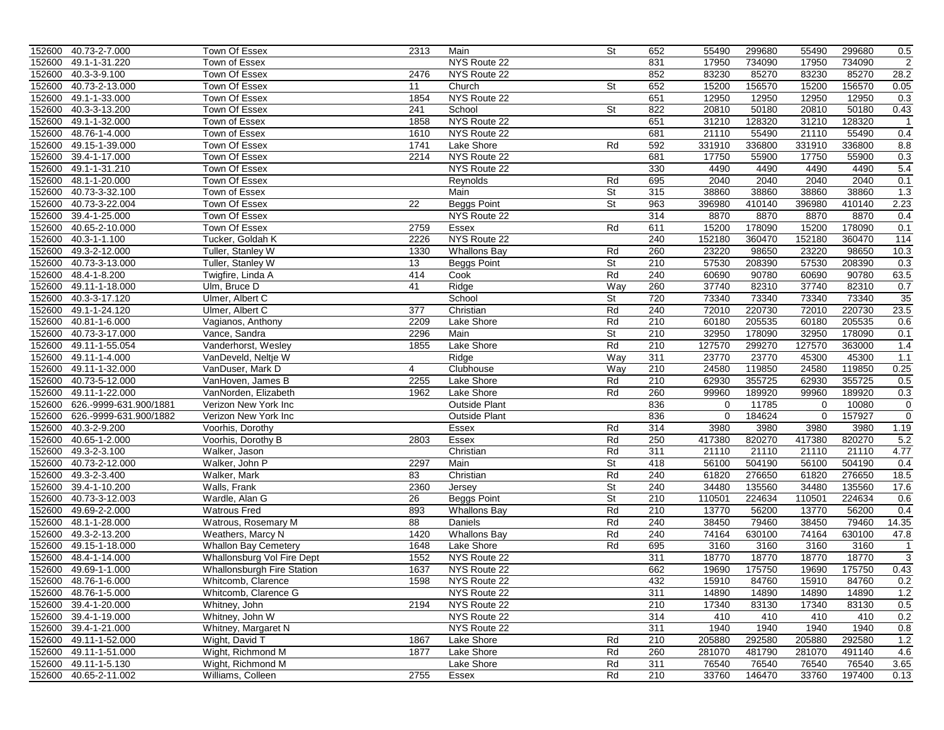|        | 152600 40.73-2-7.000   | Town Of Essex               | 2313             | Main                 | St                       | 652 | 55490     | 299680 | 55490       | 299680 | 0.5                        |
|--------|------------------------|-----------------------------|------------------|----------------------|--------------------------|-----|-----------|--------|-------------|--------|----------------------------|
| 152600 | 49.1-1-31.220          | Town of Essex               |                  | NYS Route 22         |                          | 831 | 17950     | 734090 | 17950       | 734090 | $\overline{2}$             |
| 152600 | 40.3-3-9.100           | Town Of Essex               | 2476             | NYS Route 22         |                          | 852 | 83230     | 85270  | 83230       | 85270  | 28.2                       |
| 152600 | 40.73-2-13.000         | <b>Town Of Essex</b>        | 11               | Church               | St                       | 652 | 15200     | 156570 | 15200       | 156570 | 0.05                       |
| 152600 | 49.1-1-33.000          | Town Of Essex               | 1854             | NYS Route 22         |                          | 651 | 12950     | 12950  | 12950       | 12950  | 0.3                        |
| 152600 | 40.3-3-13.200          | Town Of Essex               | 241              | School               | $\overline{\mathsf{St}}$ | 822 | 20810     | 50180  | 20810       | 50180  | 0.43                       |
| 152600 | 49.1-1-32.000          | Town of Essex               | 1858             | NYS Route 22         |                          | 651 | 31210     | 128320 | 31210       | 128320 | $\mathbf{1}$               |
| 152600 | 48.76-1-4.000          | Town of Essex               | 1610             | NYS Route 22         |                          | 681 | 21110     | 55490  | 21110       | 55490  | 0.4                        |
| 152600 | 49.15-1-39.000         | Town Of Essex               | 1741             | Lake Shore           | Rd                       | 592 | 331910    | 336800 | 331910      | 336800 | 8.8                        |
| 152600 | 39.4-1-17.000          | Town Of Essex               | 2214             | NYS Route 22         |                          | 681 | 17750     | 55900  | 17750       | 55900  | 0.3                        |
| 152600 | 49.1-1-31.210          | Town Of Essex               |                  | NYS Route 22         |                          | 330 | 4490      | 4490   | 4490        | 4490   | 5.4                        |
| 152600 | 48.1-1-20.000          | <b>Town Of Essex</b>        |                  | Reynolds             | Rd                       | 695 | 2040      | 2040   | 2040        | 2040   | 0.1                        |
| 152600 | 40.73-3-32.100         | Town of Essex               |                  | Main                 | St                       | 315 | 38860     | 38860  | 38860       | 38860  | 1.3                        |
| 152600 | 40.73-3-22.004         | <b>Town Of Essex</b>        | $\overline{22}$  | <b>Beggs Point</b>   | St                       | 963 | 396980    | 410140 | 396980      | 410140 | 2.23                       |
| 152600 | 39.4-1-25.000          | <b>Town Of Essex</b>        |                  | NYS Route 22         |                          | 314 | 8870      | 8870   | 8870        | 8870   | 0.4                        |
| 152600 | 40.65-2-10.000         | Town Of Essex               | 2759             | Essex                | Rd                       | 611 | 15200     | 178090 | 15200       | 178090 | 0.1                        |
| 152600 | 40.3-1-1.100           | Tucker, Goldah K            | 2226             | NYS Route 22         |                          | 240 | 152180    | 360470 | 152180      | 360470 | 114                        |
| 152600 | 49.3-2-12.000          | Tuller, Stanley W           | 1330             | <b>Whallons Bay</b>  | Rd                       | 260 | 23220     | 98650  | 23220       | 98650  | 10.3                       |
| 152600 | 40.73-3-13.000         | Tuller, Stanley W           | 13               | <b>Beggs Point</b>   | St                       | 210 | 57530     | 208390 | 57530       | 208390 | 0.3                        |
| 152600 | 48.4-1-8.200           | Twigfire, Linda A           | 414              | Cook                 | Rd                       | 240 | 60690     | 90780  | 60690       | 90780  | 63.5                       |
| 152600 | 49.11-1-18.000         | Ulm, Bruce D                | 41               | Ridge                | Way                      | 260 | 37740     | 82310  | 37740       | 82310  | 0.7                        |
| 152600 | 40.3-3-17.120          | Ulmer, Albert C             |                  | School               | St                       | 720 | 73340     | 73340  | 73340       | 73340  | 35                         |
| 152600 | 49.1-1-24.120          | Ulmer, Albert C             | $\overline{377}$ | Christian            | Rd                       | 240 | 72010     | 220730 | 72010       | 220730 | 23.5                       |
| 152600 | 40.81-1-6.000          | Vagianos, Anthony           | 2209             | Lake Shore           | Rd                       | 210 | 60180     | 205535 | 60180       | 205535 | 0.6                        |
| 152600 | 40.73-3-17.000         | Vance, Sandra               | 2296             | Main                 | St                       | 210 | 32950     | 178090 | 32950       | 178090 | 0.1                        |
| 152600 | 49.11-1-55.054         | Vanderhorst, Wesley         | 1855             | Lake Shore           | Rd                       | 210 | 127570    | 299270 | 127570      | 363000 | 1.4                        |
| 152600 | 49.11-1-4.000          | VanDeveld, Neltje W         |                  | Ridge                | Way                      | 311 | 23770     | 23770  | 45300       | 45300  | 1.1                        |
| 152600 | 49.11-1-32.000         | VanDuser, Mark D            | $\overline{4}$   | Clubhouse            | Way                      | 210 | 24580     | 119850 | 24580       | 119850 | 0.25                       |
| 152600 | 40.73-5-12.000         | VanHoven, James B           | 2255             | Lake Shore           | Rd                       | 210 | 62930     | 355725 | 62930       | 355725 | 0.5                        |
| 152600 | 49.11-1-22.000         | VanNorden, Elizabeth        | 1962             | Lake Shore           | Rd                       | 260 | 99960     | 189920 | 99960       | 189920 | 0.3                        |
| 152600 | 626.-9999-631.900/1881 | Verizon New York Inc        |                  | <b>Outside Plant</b> |                          | 836 | 0         | 11785  | 0           | 10080  | $\mathbf 0$                |
| 152600 | 626.-9999-631.900/1882 | Verizon New York Inc        |                  | <b>Outside Plant</b> |                          | 836 | $\pmb{0}$ | 184624 | $\mathbf 0$ | 157927 | $\mathbf 0$                |
| 152600 | 40.3-2-9.200           | Voorhis, Dorothy            |                  | Essex                | Rd                       | 314 | 3980      | 3980   | 3980        | 3980   | 1.19                       |
| 152600 | 40.65-1-2.000          | Voorhis, Dorothy B          | 2803             | Essex                | Rd                       | 250 | 417380    | 820270 | 417380      | 820270 | 5.2                        |
| 152600 | 49.3-2-3.100           | Walker, Jason               |                  | Christian            | Rd                       | 311 | 21110     | 21110  | 21110       | 21110  | 4.77                       |
| 152600 | 40.73-2-12.000         | Walker, John P              | 2297             | Main                 | St                       | 418 | 56100     | 504190 | 56100       | 504190 | 0.4                        |
| 152600 | 49.3-2-3.400           | Walker, Mark                | 83               | Christian            | Rd                       | 240 | 61820     | 276650 | 61820       | 276650 | 18.5                       |
| 152600 | 39.4-1-10.200          | Walls, Frank                | 2360             | Jersey               | St                       | 240 | 34480     | 135560 | 34480       | 135560 | 17.6                       |
| 152600 | 40.73-3-12.003         | Wardle, Alan G              | 26               | <b>Beggs Point</b>   | $\overline{\mathsf{St}}$ | 210 | 110501    | 224634 | 110501      | 224634 | 0.6                        |
| 152600 | 49.69-2-2.000          | <b>Watrous Fred</b>         | 893              | <b>Whallons Bay</b>  | Rd                       | 210 | 13770     | 56200  | 13770       | 56200  | 0.4                        |
| 152600 | 48.1-1-28.000          | Watrous, Rosemary M         | 88               | Daniels              | Rd                       | 240 | 38450     | 79460  | 38450       | 79460  | 14.35                      |
| 152600 | 49.3-2-13.200          | Weathers, Marcy N           | 1420             | <b>Whallons Bay</b>  | Rd                       | 240 | 74164     | 630100 | 74164       | 630100 | 47.8                       |
| 152600 | 49.15-1-18.000         | <b>Whallon Bay Cemetery</b> | 1648             | Lake Shore           | Rd                       | 695 | 3160      | 3160   | 3160        | 3160   |                            |
| 152600 | 48.4-1-14.000          |                             | 1552             | NYS Route 22         |                          | 311 | 18770     | 18770  | 18770       | 18770  | $\mathbf{1}$<br>$\sqrt{3}$ |
|        |                        | Whallonsburg Vol Fire Dept  | 1637             | NYS Route 22         |                          | 662 | 19690     | 175750 | 19690       | 175750 |                            |
| 152600 | 49.69-1-1.000          | Whallonsburgh Fire Station  |                  |                      |                          |     |           |        |             |        | 0.43                       |
|        | 152600 48.76-1-6.000   | Whitcomb, Clarence          | 1598             | NYS Route 22         |                          | 432 | 15910     | 84760  | 15910       | 84760  | 0.2                        |
|        | 152600 48.76-1-5.000   | Whitcomb, Clarence G        |                  | NYS Route 22         |                          | 311 | 14890     | 14890  | 14890       | 14890  | 1.2                        |
|        | 152600 39.4-1-20.000   | Whitney, John               | 2194             | NYS Route 22         |                          | 210 | 17340     | 83130  | 17340       | 83130  | 0.5                        |
|        | 152600 39.4-1-19.000   | Whitney, John W             |                  | NYS Route 22         |                          | 314 | 410       | 410    | 410         | 410    | 0.2                        |
|        | 152600 39.4-1-21.000   | Whitney, Margaret N         |                  | NYS Route 22         |                          | 311 | 1940      | 1940   | 1940        | 1940   | 0.8                        |
|        | 152600 49.11-1-52.000  | Wight, David T              | 1867             | Lake Shore           | Rd                       | 210 | 205880    | 292580 | 205880      | 292580 | 1.2                        |
|        | 152600 49.11-1-51.000  | Wight, Richmond M           | 1877             | Lake Shore           | Rd                       | 260 | 281070    | 481790 | 281070      | 491140 | 4.6                        |
|        | 152600 49.11-1-5.130   | Wight, Richmond M           |                  | Lake Shore           | Rd                       | 311 | 76540     | 76540  | 76540       | 76540  | 3.65                       |
|        | 152600 40.65-2-11.002  | Williams, Colleen           | 2755             | Essex                | Rd                       | 210 | 33760     | 146470 | 33760       | 197400 | 0.13                       |